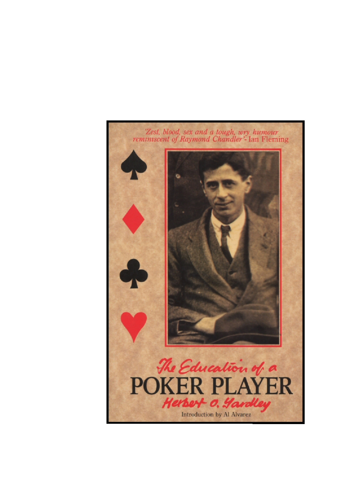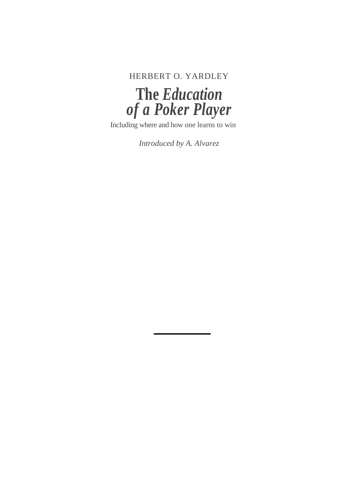HERBERT O. YARDLEY

**The** *Education of a Poker Player*

Including where and how one learns to win

*Introduced by A. Alvarez*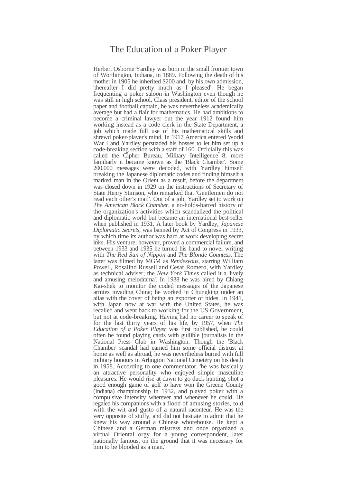## The Education of a Poker Player

Herbert Osborne Yardley was born in the small frontier town of Worthington, Indiana, in 1889. Following the death of his mother in 1905 he inherited \$200 and, by his own admission, 'thereafter I did pretty much as I pleased'. He began frequenting a poker saloon in Washington even though he was still in high school. Class president, editor of the school paper and football captain, he was nevertheless academically average but had a flair for mathematics. He had ambitions to become a criminal lawyer but the year 1912 found him working instead as a code clerk in the State Department, a job which made full use of his mathematical skills and shrewd poker-player's mind. In 1917 America entered World War I and Yardley persuaded his bosses to let him set up a code-breaking section with a staff of 160. Officially this was called the Cipher Bureau, Military Intelligence 8; more familiarly it became known as the 'Black Chamber'. Some 200,000 messages were decoded, with Yardley himself breaking the Japanese diplomatic codes and finding himself a marked man in the Orient as a result, before the department was closed down in 1929 on the instructions of Secretary of State Henry Stimson, who remarked that 'Gentlemen do not read each other's mail'. Out of a job, Yardley set to work on *The American Black Chamber,* a no-holds-barred history of the organization's activities which scandalized the political and diplomatic world but became an international best-seller when published in 1931. A later book by Yardley, *Japanese Diplomatic Secrets,* was banned by Act of Congress in 1933, by which time its author was hard at work developing secret inks. His venture, however, proved a commercial failure, and between 1933 and 1935 he turned his hand to novel writing with *The Red Sun of Nippon* and *The Blonde Countess.* The latter was filmed by MGM as *Rendezvous,* starring William Powell, Rosalind Russell and Cesar Romero, with Yardley as technical adviser; the *New York Times* called it a 'lively and amusing melodrama'. In 1938 he was hired by Chiang Kai-shek to monitor the coded messages of the Japanese armies invading China; he worked in Chungking under an alias with the cover of being an exporter of hides. In 1941, with Japan now at war with the United States, he was recalled and went back to working for the US Government, but not at code-breaking. Having had no career to speak of for the last thirty years of his life, by 1957, when *The Education of a Poker Player* was first published, he could often be found playing cards with gullible journalists in the National Press Club in Washington. Though the 'Black Chamber' scandal had earned him some official distrust at home as well as abroad, he was nevertheless buried with full military honours in Arlington National Cemetery on his death in 1958. According to one commentator, 'he was basically an attractive personality who enjoyed simple masculine pleasures. He would rise at dawn to go duck-hunting, shot a good enough game of golf to have won the Greene County (Indiana) championship in 1932, and played poker with a compulsive intensity wherever and whenever he could. He regaled his companions with a flood of amusing stories, told with the wit and gusto of a natural raconteur. He was the very opposite of stuffy, and did not hesitate to admit that he knew his way around a Chinese whorehouse. He kept a Chinese and a German mistress and once organized a virtual Oriental orgy for a young correspondent, later nationally famous, on the ground that it was necessary for him to be blooded as a man.'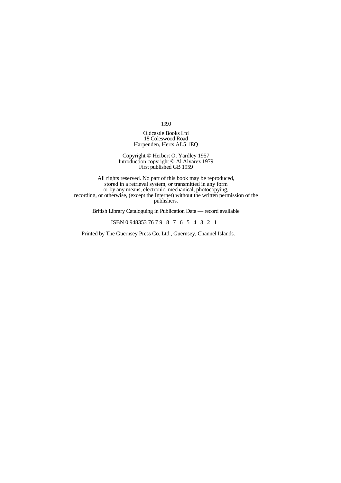1990

Oldcastle Books Ltd 18 Coleswood Road Harpenden, Herts AL5 1EQ

Copyright © Herbert O. Yardley 1957 Introduction copyright © Al Alvarez 1979 First published GB 1959

All rights reserved. No part of this book may be reproduced, stored in a retrieval system, or transmitted in any form or by any means, electronic, mechanical, photocopying, recording, or otherwise, (except the Internet) without the written permission of the publishers.

British Library Cataloguing in Publication Data — record available

ISBN 0 948353 76 7 9 8 7 6 5 4 3 2 1

Printed by The Guernsey Press Co. Ltd., Guernsey, Channel Islands.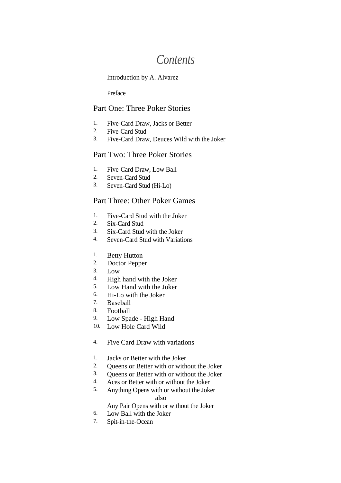# *Contents*

Introduction by A. Alvarez

Preface

## Part One: Three Poker Stories

- 
- 
- 1. Five-Card Draw, Jacks or Better<br>
2. Five-Card Stud<br>
3. Five-Card Draw, Deuces Wild with the Joker

## Part Two: Three Poker Stories

- 1. Five-Card Draw, Low Ball
- 2. Seven-Card Stud
- 3. Seven-Card Stud (Hi-Lo)

## Part Three: Other Poker Games

- 1. Five-Card Stud with the Joker<br>2. Six-Card Stud
- Six-Card Stud
- 3. Six-Card Stud with the Joker
- 4. Seven-Card Stud with Variations
- 1. Betty Hutton
- 2. Doctor Pepper
- 3. Low
- 4. High hand with the Joker  $5. \quad$  Low Hand with the Joker
- 5. Low Hand with the Joker
- 6. Hi-Lo with the Joker
- 7. Baseball
- 8. Football<br>9. Low Spa
- Low Spade High Hand
- 10. Low Hole Card Wild
- 4. Five Card Draw with variations
- 1. Jacks or Better with the Joker
- 2. Queens or Better with or without the Joker
- 3. Queens or Better with or without the Joker
- 4. Aces or Better with or without the Joker
- 5. Anything Opens with or without the Joker also

Any Pair Opens with or without the Joker

- 6. Low Ball with the Joker
- 7. Spit-in-the-Ocean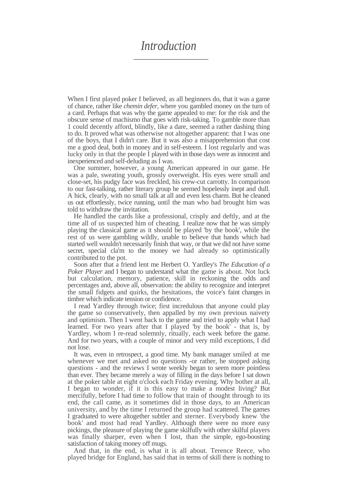# *Introduction*

When I first played poker I believed, as all beginners do, that it was a game of chance, rather like *chemin defer,* where you gambled money on the turn of a card. Perhaps that was why the game appealed to me: for the risk and the obscure sense of machismo that goes with risk-taking. To gamble more than 1 could decently afford, blindly, like a dare, seemed a rather dashing thing to do. It proved what was otherwise not altogether apparent: that I was one of the boys, that I didn't care. But it was also a misapprehension that cost me a good deal, both in money and in self-esteem. I lost regularly and was lucky only in that the people I played with in those days were asinnocent and inexperienced and self-deluding as I was.

One summer, however, a young American appeared in our game. He was a pale, sweating youth, grossly overweight. His eyes were small and close-set, his pudgy face was freckled, his crew-cut carrotty. In comparison to our fast-talking, rather literary group he seemed hopelessly inept and dull. A hick, clearly, with no small talk at all and even less charm. But he cleaned us out effortlessly, twice running, until the man who had brought him was told to withdraw the invitation.

He handled the cards like a professional, crisply and deftly, and at the time all of us suspected him of cheating. I realize now that he was simply playing the classical game as it should be played 'by the book', while the rest of us were gambling wildly, unable to believe that hands which had started well wouldn't necessarily finish that way, or that we did not have some secret, special cla<sup>t</sup>m to the money we had already so optimistically contributed to the pot.

Soon after that a friend lent me Herbert O. Yardley's *The Education of a Poker Player* and I began to understand what the game is about. Not luck but calculation, memory, patience, skill in reckoning the odds and percentages and, above all, observation: the ability to recognize and interpret the small fidgets and quirks, the hesitations, the voice's faint changes in timbre which indicate tension or confidence.

I read Yardley through twice; first incredulous that anyone could play the game so conservatively, then appalled by my own previous naivety and optimism. Then I went back to the game and tried to apply what I had learned. For two years after that I played 'by the book' - that is, by Yardley, whom I re-read solemnly, ritually, each week before the game. And for two years, with a couple of minor and very mild exceptions, I did not lose.

It was, even in retrospect, a good time. My bank manager smiled at me whenever we met and asked no questions -or rather, he stopped asking questions - and the reviews I wrote weekly began to seem more pointless than ever. They became merely a way of filling in the days before I sat down at the poker table at eight o'clock each Friday evening. Why bother at all, I began to wonder, if it is this easy to make a modest living? But mercifully, before I had time to follow that train of thought through to its end, the call came, as it sometimes did in those days, to an American university, and by the time I returned the group had scattered. The games I graduated to were altogether subtler and sterner. Everybody knew 'the book' and most had read Yardley. Although there were no more easy pickings, the pleasure of playing the game skilfully with other skilful players was finally sharper, even when  $\overline{I}$  lost, than the simple, ego-boosting satisfaction of taking money off mugs.

And that, in the end, is what it is all about. Terence Reece, who played bridge for England, has said that in terms of skill there is nothing to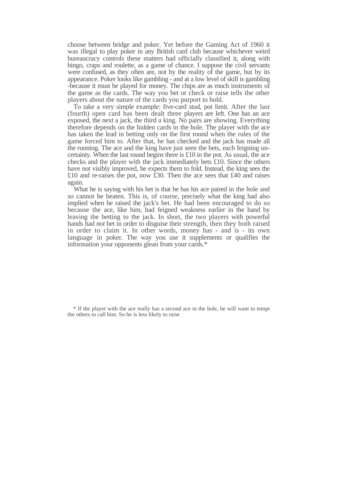choose between bridge and poker. Yet before the Gaming Act of 1960 it was illegal to play poker in any British card club because whichever weird bureaucracy controls these matters had officially classified it, along with bingo, craps and roulette, as a game of chance. I suppose the civil servants were confused, as they often are, not by the reality of the game, but by its appearance. Poker looks like gambling - and at a low level of skill is gambling -because it must be played for money. The chips are as much instruments of the game as the cards. The way you bet or check or raise tells the other players about the nature of the cards you purport to hold.

To take a very simple example: five-card stud, pot limit. After the last (fourth) open card has been dealt three players are left. One has an ace exposed, the next a jack, the third a king. No pairs are showing. Everything therefore depends on the hidden cards in the hole. The player with the ace has taken the lead in betting only on the first round when the rules of the game forced him to. After that, he has checked and the jack has made all the running. The ace and the king have just seen the bets, each feigning uncertainty. When the last round begins there is £10 in the pot. As usual, the ace checks and the player with the jack immediately bets £10. Since the others have not visibly improved, he expects them to fold. Instead, the king sees the £10 and re-raises the pot, now £30. Then the ace sees that £40 and raises again.

What he is saying with his bet is that he has his ace paired in the hole and so cannot be beaten. This is, of course, precisely what the king had also implied when he raised the jack's bet. He had been encouraged to do so because the ace, like him, had feigned weakness earlier in the hand by leaving the betting to the jack. In short, the two players with powerful hands had *not* bet in order to disguise their strength, then they both raised in order to claim it. In other words, money has - and is - its own language in poker. The way you use it supplements or qualifies the information your opponents glean from your cards.\*

<sup>\*</sup> If the player with the ace really has a second ace in the hole, he will want to tempt the others to call him. So he is less likely to raise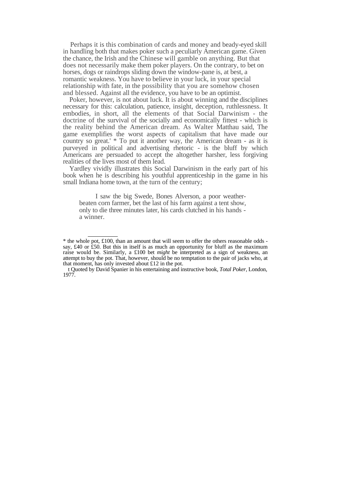Perhaps it is this combination of cards and money and beady-eyed skill in handling both that makes poker such a peculiarly American game. Given the chance, the Irish and the Chinese will gamble on anything. But that does not necessarily make them poker players. On the contrary, to bet on horses, dogs or raindrops sliding down the window-pane is, at best, a romantic weakness. You have to believe in your luck, in your special relationship with fate, in the possibility that you are somehow chosen and blessed. Against all the evidence, you have to be an optimist.

Poker, however, is not about luck. It is about winning and the disciplines necessary for this: calculation, patience, insight, deception, ruthlessness. It embodies, in short, all the elements of that Social Darwinism - the doctrine of the survival of the socially and economically fittest - which is the reality behind the American dream. As Walter Matthau said, The game exemplifies the worst aspects of capitalism that have made our country so great.' \* To put it another way, the American dream - as it is purveyed in political and advertising rhetoric - is the bluff by which Americans are persuaded to accept the altogether harsher, less forgiving realities of the lives most of them lead.

Yardley vividly illustrates this Social Darwinism in the early part of his book when he is describing his youthful apprenticeship in the game in his small Indiana home town, at the turn of the century;

I saw the big Swede, Bones Alverson, a poor weatherbeaten corn farmer, bet the last of his farm against a tent show, only to die three minutes later, his cards clutched in his hands a winner.

<sup>\*</sup> the whole pot, £100, than an amount that will seem to offer the others reasonable odds say,  $\text{\pounds}40$  or  $\text{\pounds}50$ . But this in itself is as much an opportunity for bluff as the maximum raise would be. Similarly, a £100 bet *might* be interpreted as a sign of weakness, an attempt to buy the pot. That, however, should be no temptation to the pair of jacks who, at that moment, has only invested about £12 in the pot.

t Quoted by David Spanier in his entertaining and instructive book, *Total Poker,* London, 1977.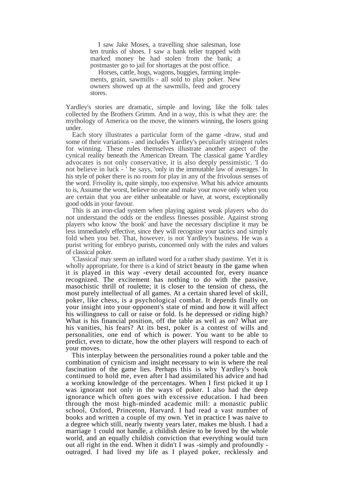I saw Jake Moses, a travelling shoe salesman, lose ten trunks of shoes. I saw a bank teller trapped with marked money he had stolen from the bank; a postmaster go to jail for shortages at the post office.

Horses, cattle, hogs, wagons, buggies, farming implements, grain, sawmills - all sold to play poker. New owners showed up at the sawmills, feed and grocery stores.

Yardley's stories are dramatic, simple and loving, like the folk tales collected by the Brothers Grimm. And in a way, this is what they are: the mythology of America on the move, the winners winning, the losers going under.

Each story illustrates a particular form of the game -draw, stud and some of their variations - and includes Yardley's peculiarly stringent rules for winning. These rules themselves illustrate another aspect of the cynical reality beneath the American Dream. The classical game Yardley advocates is not only conservative, it is also deeply pessimistic. 'I do not believe in luck - ' he says, 'only in the immutable law of averages.' In his style of poker there is no room for play in any of the frivolous senses of the word. Frivolity is, quite simply, too expensive. What his advice amounts to is, Assume the worst, believe no one and make your move only when you are certain that you are either unbeatable or have, at worst, exceptionally good odds in your favour.

This is an iron-clad system when playing against weak players who do not understand the odds or the endless finesses possible. Against strong players who know 'the book' and have the necessary discipline it may be less immediately effective, since they will recognize your tactics and simply fold when you bet. That, however, is not Yardley's business. He was a purist writing for embryo purists, concerned only with the rules and values of classical poker.

'Classical' may seem an inflated word for a rather shady pastime. Yet it is wholly appropriate, for there is a kind of strict beauty in the game when it is played in this way -every detail accounted for, every nuance recognized. The excitement has nothing to do with the passive, masochistic thrill of roulette; it is closer to the tension of chess, the most purely intellectual of all games. At a certain shared level of skill, poker, like chess, is a psychological combat. It depends finally on your insight into your opponent's state of mind and how it will affect his willingness to call or raise or fold. Is he depressed or riding high? What is his financial position, off the table as well as on? What are his vanities, his fears? At its best, poker is a contest of wills and personalities, one end of which is power. You want to be able to predict, even to dictate, how the other players will respond to each of your moves.

This interplay between the personalities round a poker table and the combination of cynicism and insight necessary to win is where the real fascination of the game lies. Perhaps this is why Yardley's book continued to hold me, even after I had assimilated his advice and had a working knowledge of the percentages. When I first picked it up I was ignorant not only in the ways of poker. I also had the deep ignorance which often goes with excessive education. I had been through the most high-minded academic mill: a monastic public school, Oxford, Princeton, Harvard. I had read a vast number of books and written a couple of my own. Yet in practice I was naive to a degree which still, nearly twenty years later, makes me blush. I had a marriage 1 could not handle, a childish desire to be loved by the whole world, and an equally childish conviction that everything would turn out all right in the end. When it didn't I was -simply and profoundly outraged. I had lived my life as I played poker, recklessly and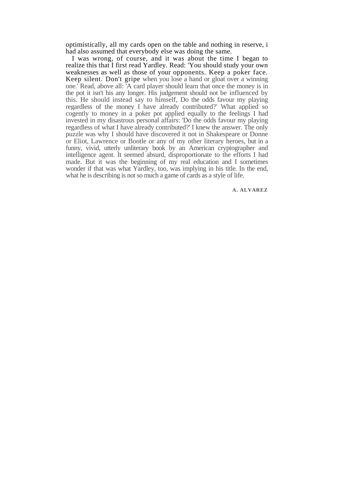optimistically, all my cards open on the table and nothing in reserve, i had also assumed that everybody else was doing the same.

I was wrong, of course, and it was about the time I began to realize this that I first read Yardley. Read: 'You should study your own weaknesses as well as those of your opponents. Keep a poker face. Keep silent. Don't gripe when you lose a hand or gloat over a winning one.' Read, above all: 'A card player should learn that once the money is in the pot it isn't his any longer. His judgement should not be influenced by this. He should instead say to himself, Do the odds favour my playing regardless of the money I have already contributed?' What applied so cogently to money in a poker pot applied equally to the feelings I had invested in my disastrous personal affairs: 'Do the odds favour my playing regardless of what I have already contributed?' I knew the answer. The only puzzle was why I should have discovered it not in Shakespeare or Donne or Eliot, Lawrence or Bootle or any of my other literary heroes, but in a funny, vivid, utterly unliterary book by an American cryptographer and intelligence agent. It seemed absurd, disproportionate to the efforts I had made. But it was the beginning of my real education and I sometimes wonder if that was what Yardley, too, was implying in his title. In the end, what he is describing is not so much a game of cards as a style of life.

**A. ALVAREZ**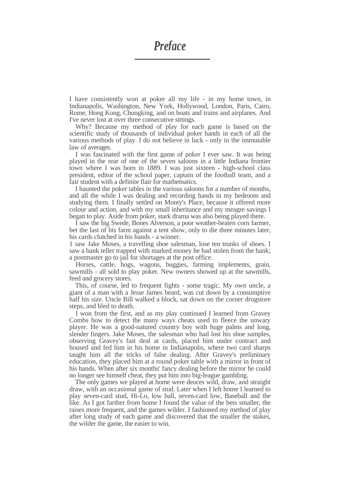# *Preface*

I have consistently won at poker all my life - in my home town, in Indianapolis, Washington, New York, Hollywood, London, Paris, Cairo, Rome, Hong Kong, Chungking, and on boats and trains and airplanes. And I've never lost at over three consecutive sittings.

Why? Because my method of play for each game is based on the scientific study of thousands of individual poker hands in each of all the various methods of play. I do not believe in luck - only in the immutable law of averages.

I was fascinated with the first game of poker I ever saw. It was being played in the rear of one of the seven saloons in a little Indiana frontier town where I was born in 1889. I was just sixteen - high-school class president, editor of the school paper, captain of the football team, and a fair student with a definite flair for mathematics.

I haunted the poker tables in the various saloons for a number of months, and all the while I was dealing and recording hands in my bedroom and studying them. I finally settled on Monty's Place, because it offered more colour and action, and with my small inheritance and my meagre savings I began to play. Aside from poker, stark drama was also being played there.

I saw the big Swede, Bones Alverson, a poor weather-beaten corn farmer, bet the last of his farm against a tent show, only to die three minutes later, his cards clutched in his hands - a winner.

1 saw Jake Moses, a travelling shoe salesman, lose ten trunks of shoes. I saw a bank teller trapped with marked money he had stolen from the bank; a postmaster go to jail for shortages at the post office.

Horses, cattle, hogs, wagons, buggies, farming implements, grain, sawmills - all sold to play poker. New owners showed up at the sawmills, feed and grocery stores.

This, of course, led to frequent fights - some tragic. My own uncle, a giant of a man with a Jesse James beard, was cut down by a consumptive half his size. Uncle Bill walked a block, sat down on the corner drugstore steps, and bled to death.

I won from the first, and as my play continued I learned from Gravey Combs how to detect the many ways cheats used to fleece the unwary player. He was a good-natured country boy with huge palms and long, slender fingers. Jake Moses, the salesman who had lost his shoe samples, observing Gravey's fast deal at cards, placed him under contract and housed and fed him in his home in Indianapolis, where two card sharps taught him all the tricks of false dealing. After Gravey's preliminary education, they placed him at a round poker table with a mirror in front of his hands. When after six months' fancy dealing before the mirror he could no longer see himself cheat, they put him into big-league gambling.

The only games we played at home were deuces wild, draw, and straight draw, with an occasional game of stud. Later when I left home I learned to play seven-card stud, Hi-Lo, low ball, seven-card low, Baseball and the like. As I got farther from home I found the value of the bets smaller, the raises more frequent, and the games wilder. I fashioned my method of play after long study of each game and discovered that the smaller the stakes, the wilder the game, the easier to win.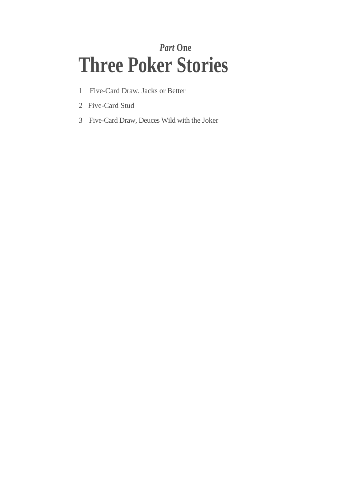# *Part* **One Three Poker Stories**

- 1 Five-Card Draw, Jacks or Better
- 2 Five-Card Stud
- 3 Five-Card Draw, Deuces Wild with the Joker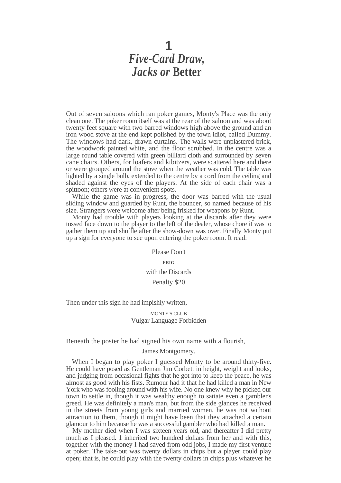# **1** *Five-Card Draw, Jacks or* **Better**

Out of seven saloons which ran poker games, Monty's Place was the only clean one. The poker room itself was at the rear of the saloon and was about twenty feet square with two barred windows high above the ground and an iron wood stove at the end kept polished by the town idiot, called Dummy. The windows had dark, drawn curtains. The walls were unplastered brick, the woodwork painted white, and the floor scrubbed. In the centre was a large round table covered with green billiard cloth and surrounded by seven cane chairs. Others, for loafers and kibitzers, were scattered here and there or were grouped around the stove when the weather was cold. The table was lighted by a single bulb, extended to the centre by a cord from the ceiling and shaded against the eyes of the players. At the side of each chair was a spittoon; others were at convenient spots.

While the game was in progress, the door was barred with the usual sliding window and guarded by Runt, the bouncer, so named because of his size. Strangers were welcome after being frisked for weapons by Runt.

Monty had trouble with players looking at the discards after they were tossed face down to the player to the left of the dealer, whose chore it was to gather them up and shuffle after the show-down was over. Finally Monty put up a sign for everyone to see upon entering the poker room. It read:

Please Don't

**FRIG**

with the Discards

#### Penalty \$20

Then under this sign he had impishly written,

#### MONTY'S CLUB Vulgar Language Forbidden

Beneath the poster he had signed his own name with a flourish,

#### James Montgomery.

When I began to play poker I guessed Monty to be around thirty-five. He could have posed as Gentleman Jim Corbett in height, weight and looks, and judging from occasional fights that he got into to keep the peace, he was almost as good with his fists. Rumour had it that he had killed a man in New York who was fooling around with his wife. No one knew why he picked our town to settle in, though it was wealthy enough to satiate even a gambler's greed. He was definitely a man's man, but from the side glances he received in the streets from young girls and married women, he was not without attraction to them, though it might have been that they attached a certain glamour to him because he was a successful gambler who had killed a man.

My mother died when I was sixteen years old, and thereafter I did pretty much as I pleased. 1 inherited two hundred dollars from her and with this, together with the money I had saved from odd jobs, I made my first venture at poker. The take-out was twenty dollars in chips but a player could play open; that is, he could play with the twenty dollars in chips plus whatever he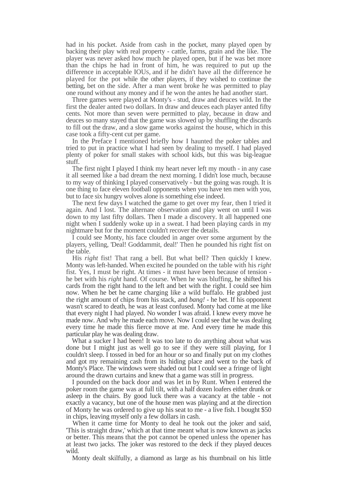had in his pocket. Aside from cash in the pocket, many played open by backing their play with real property - cattle, farms, grain and the like. The player was never asked how much he played open, but if he was bet more than the chips he had in front of him, he was required to put up the difference in acceptable IOUS, and if he didn't have all the difference he played for the pot while the other players, if they wished to continue the betting, bet on the side. After a man went broke he was permitted to play one round without any money and if he won the antes he had another start.

Three games were played at Monty's - stud, draw and deuces wild. In the first the dealer anted two dollars. In draw and deuces each player anted fifty cents. Not more than seven were permitted to play, because in draw and deuces so many stayed that the game was slowed up by shuffling the discards to fill out the draw, and a slow game works against the house, which in this case took a fifty-cent cut per game.

In the Preface I mentioned briefly how I haunted the poker tables and tried to put in practice what I had seen by dealing to myself. I had played plenty of poker for small stakes with school kids, but this was big-league stuff.

The first night I played I think my heart never left my mouth - in any case it all seemed like a bad dream the next morning. I didn't lose much, because to my way of thinking I played conservatively - but the going was rough. It is one thing to face eleven football opponents when you have ten men with you, but to face six hungry wolves alone is something else indeed.

The next few days I watched the game to get over my fear, then I tried it again. And I lost. The alternate observation and play went on until I was down to my last fifty dollars. Then I made a discovery. It all happened one night when I suddenly woke up in a sweat. I had been playing cards in my nightmare but for the moment couldn't recover the details.

I could see Monty, his face clouded in anger over some argument by the players, yelling, 'Deal! Goddammit, deal!' Then he pounded his right fist on the table.

His *right* fist! That rang a bell. But what bell? Then quickly I knew. Monty was left-handed. When excited he pounded on the table with his *right*  fist. Yes, I must be right. At times - it must have been because of tension he bet with his *right* hand. Of course. When he was bluffing, he shifted his cards from the right hand to the left and bet with the right. I could see him now. When he bet he came charging like a wild buffalo. He grabbed just the right amount of chips from his stack, and *bang! -* he bet. If his opponent wasn't scared to death, he was at least confused. Monty had come at me like that every night I had played. No wonder I was afraid. I knew every move he made now. And why he made each move. Now I could see that he was dealing every time he made this fierce move at me. And every time he made this particular play he was dealing draw.

What a sucker I had been! It was too late to do anything about what was done but I might just as well go to see if they were still playing, for I couldn't sleep. I tossed in bed for an hour or so and finally put on my clothes and got my remaining cash from its hiding place and went to the back of Monty's Place. The windows were shaded out but I could see a fringe of light around the drawn curtains and knew that a game was still in progress.

I pounded on the back door and was let in by Runt. When I entered the poker room the game was at full tilt, with a half dozen loafers either drunk or asleep in the chairs. By good luck there was a vacancy at the table - not exactly a vacancy, but one of the house men was playing and at the direction of Monty he was ordered to give up his seat to me - a live fish. I bought \$50 in chips, leaving myself only a few dollars in cash.

When it came time for Monty to deal he took out the joker and said, 'This is straight draw,' which at that time meant what is now known as jacks or better. This means that the pot cannot be opened unless the opener has at least two jacks. The joker was restored to the deck if they played deuces wild.

Monty dealt skilfully, a diamond as large as his thumbnail on his little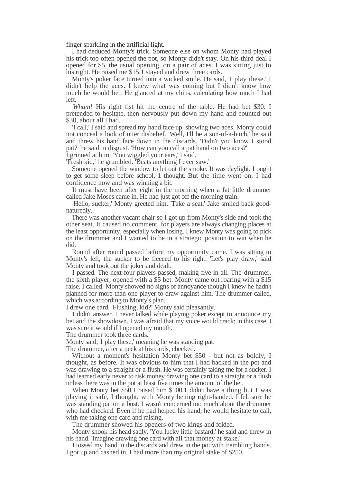finger sparkling in the artificial light.

I had deduced Monty's trick. Someone else on whom Monty had played his trick too often opened the pot, so Monty didn't stay. On his third deal I opened for \$5, the usual opening, on a pair of aces. I was sitting just to his right. He raised me \$15.1 stayed and drew three cards.

Monty's poker face turned into a wicked smile. He said, 'I play these.' I didn't help the aces. I knew what was coming but I didn't know how much he would bet. He glanced at my chips, calculating how much I had left.

*Wham!* His right fist hit the centre of the table. He had bet \$30. I pretended to hesitate, then nervously put down my hand and counted out \$30, about all I had.

'I call,' I said and spread my hand face up, showing two aces. Monty could not conceal a look of utter disbelief. 'Well, I'll be a son-of-a-bitch,' he said and threw his hand face down in the discards. 'Didn't you know I stood pat?' he said in disgust. 'How can you call a pat hand on two aces?'

I grinned at him. 'You wiggled your ears,' I said.

'Fresh kid,' he grumbled. 'Beats anything I ever saw.'

Someone opened the window to let out the smoke. It was daylight. I ought to get some sleep before school, 1 thought. But the time went on. I had confidence now and was winning a bit.

It must have been after eight in the morning when a fat little drummer called Jake Moses came in. He had just got off the morning train.

'Hello, sucker,' Monty greeted him. 'Take a seat.' Jake smiled back goodnaturedly.

There was another vacant chair so I got up from Monty's side and took the other seat. It caused no comment, for players are always changing places at the least opportunity, especially when losing. I knew Monty was going to pick on the drummer and I wanted to be in a strategic position to win when he did.

Round after round passed before my opportunity came. I was sitting to Monty's left, the sucker to be fleeced to his right. 'Let's play draw,' said Monty and took out the joker and dealt.

I passed. The next four players passed, making five in all. The drummer, the sixth player, opened with a \$5 bet. Monty came out roaring with a \$15 raise. I called. Monty showed no signs of annoyance though I knew he hadn't planned for more than one player to draw against him. The drummer called, which was according to Monty's plan.

I drew one card. 'Flushing, kid?' Monty said pleasantly.

I didn't answer. I never talked while playing poker except to announce my bet and the showdown. I was afraid that my voice would crack; in this case, I was sure it would if I opened my mouth.

The drummer took three cards.

Monty said, 1 play these,' meaning he was standing pat.

The drummer, after a peek at his cards, checked.

Without a moment's hesitation Monty bet \$50 - but not as boldly, I thought, as before. It was obvious to him that I had backed in the pot and was drawing to a straight or a flush. He was certainly taking me for a sucker. I had learned early never to risk money drawing one card to a straight or a flush unless there was in the pot at least five times the amount of the bet.

When Monty bet \$50 I raised him \$100.1 didn't have a thing but I was playing it safe, I thought, with Monty betting right-handed. I felt sure he was standing pat on a bust. I wasn't concerned too much about the drummer who had checked. Even if he had helped his hand, he would hesitate to call, with me taking one card and raising.

The drummer showed his openers of two kings and folded.

Monty shook his head sadly. 'You lucky little bastard,' he said and threw in his hand. 'Imagine drawing one card with all that money at stake.'

I tossed my hand in the discards and drew in the pot with trembling hands. I got up and cashed in. I had more than my original stake of \$250.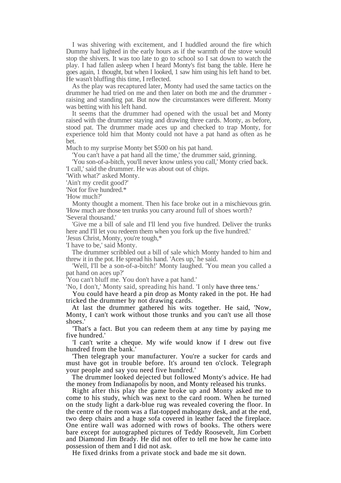I was shivering with excitement, and I huddled around the fire which Dummy had lighted in the early hours as if the warmth of the stove would stop the shivers. It was too late to go to school so I sat down to watch the play. I had fallen asleep when I heard Monty's fist bang the table. Here he goes again, 1 thought, but when I looked, 1 saw him using his left hand to bet. He wasn't bluffing this time, I reflected.

As the play was recaptured later, Monty had used the same tactics on the drummer he had tried on me and then later on both me and the drummer raising and standing pat. But now the circumstances were different. Monty was betting with his left hand.

It seems that the drummer had opened with the usual bet and Monty raised with the drummer staying and drawing three cards. Monty, as before, stood pat. The drummer made aces up and checked to trap Monty, for experience told him that Monty could not have a pat hand as often as he bet.

Much to my surprise Monty bet \$500 on his pat hand.

'You can't have a pat hand all the time,' the drummer said, grinning.

'You son-of-a-bitch, you'll never know unless you call,' Monty cried back. 'I call,' said the drummer. He was about out of chips.

'With what?' asked Monty.

'Ain't my credit good?'

'Not for five hundred.\*

'How much?'

Monty thought a moment. Then his face broke out in a mischievous grin. 'How much are those ten trunks you carry around full of shoes worth? 'Several thousand.'

'Give me a bill of sale and I'll lend you five hundred. Deliver the trunks here and I'll let you redeem them when you fork up the five hundred.' 'Jesus Christ, Monty, you're tough,\*

'I have to be,' said Monty.

The drummer scribbled out a bill of sale which Monty handed to him and threw it in the pot. He spread his hand. 'Aces up,' he said.

'Well, I'll be a son-of-a-bitch!' Monty laughed. 'You mean you called a pat hand on aces up?'

'You can't bluff me. You don't have a pat hand.'

'No, I don't,' Monty said, spreading his hand. 'I only have three tens.'

You could have heard a pin drop as Monty raked in the pot. He had tricked the drummer by not drawing cards.

At last the drummer gathered his wits together. He said, 'Now, Monty, I can't work without those trunks and you can't use all those shoes.'

'That's a fact. But you can redeem them at any time by paying me five hundred.'

'I can't write a cheque. My wife would know if I drew out five hundred from the bank.'

'Then telegraph your manufacturer. You're a sucker for cards and must have got in trouble before. It's around ten o'clock. Telegraph your people and say you need five hundred.'

The drummer looked dejected but followed Monty's advice. He had the money from Indianapolis by noon, and Monty released his trunks.

Right after this play the game broke up and Monty asked me to come to his study, which was next to the card room. When he turned on the study light a dark-blue rug was revealed covering the floor. In the centre of the room was a flat-topped mahogany desk, and at the end, two deep chairs and a huge sofa covered in leather faced the fireplace. One entire wall was adorned with rows of books. The others were bare except for autographed pictures of Teddy Roosevelt, Jim Corbett and Diamond Jim Brady. He did not offer to tell me how he came into possession of them and I did not ask.

He fixed drinks from a private stock and bade me sit down.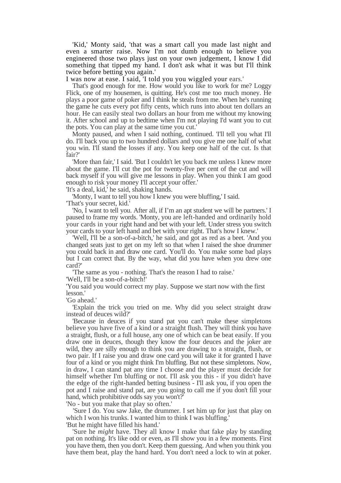'Kid,' Monty said, 'that was a smart call you made last night and even a smarter raise. Now I'm not dumb enough to believe you engineered those two plays just on your own judgement, I know I did something that tipped my hand. I don't ask what it was but I'll think twice before betting you again.'

I was now at ease. I said, 'I told you you wiggled your ears.'

That's good enough for me. How would you like to work for me? Loggy Flick, one of my housemen, is quitting. He's cost me too much money. He plays a poor game of poker and I think he steals from me. When he's running the game he cuts every pot fifty cents, which runs into about ten dollars an hour. He can easily steal two dollars an hour from me without my knowing it. After school and up to bedtime when I'm not playing I'd want you to cut the pots. You can play at the same time you cut.'

Monty paused, and when I said nothing, continued. 'I'll tell you what I'll do. I'll back you up to two hundred dollars and you give me one half of what you win. I'll stand the losses if any. You keep one half of the cut. Is that fair?'

'More than fair,' I said. 'But I couldn't let you back me unless I knew more about the game. I'll cut the pot for twenty-five per cent of the cut and will back myself if you will give me lessons in play. When you think I am good enough to risk your money I'll accept your offer.'

'It's a deal, kid,' he said, shaking hands.

'Monty, I want to tell you how I knew you were bluffing,' I said.

'That's your secret, kid.'

'No, I want to tell you. After all, if I'm an apt student we will be partners.' I paused to frame my words. 'Monty, you are left-handed and ordinarily hold your cards in your right hand and bet with your left. Under stress you switch your cards to your left hand and bet with your right. That's how I knew.'

'Well, I'll be a son-of-a-bitch,' he said, and got as red as a beet. 'And you changed seats just to get on my left so that when I raised the shoe drummer you could back in and draw one card. You'll do. You make some bad plays but I can correct that. By the way, what did you have when you drew one card?'

'The same as you - nothing. That's the reason I had to raise.'

'Well, I'll be a son-of-a-bitch!'

'You said you would correct my play. Suppose we start now with the first lesson.'

'Go ahead.'

'Explain the trick you tried on me. Why did you select straight draw instead of deuces wild?'

'Because in deuces if you stand pat you can't make these simpletons believe you have five of a kind or a straight flush. They will think you have a straight, flush, or a full house, any one of which can be beat easily. If you draw one in deuces, though they know the four deuces and the joker are wild, they are silly enough to think you are drawing to a straight, flush, or two pair. If I raise you and draw one card you will take it for granted I have four of a kind or you might think I'm bluffing. But not these simpletons. Now, in draw, I can stand pat any time I choose and the player must decide for himself whether I'm bluffing or not. I'll ask you this - if you didn't have the edge of the right-handed betting business - I'll ask you, if you open the pot and I raise and stand pat, are you going to call me if you don't fill your hand, which prohibitive odds say you won't?'

'No - but you make that play so often.'

'Sure I do. You saw Jake, the drummer. I set him up for just that play on which I won his trunks. I wanted him to think I was bluffing.'

'But he might have filled his hand.'

'Sure he *might* have. They all know I make that fake play by standing pat on nothing. It's like odd or even, as I'll show you in a few moments. First you have them, then you don't. Keep them guessing. And when you think you have them beat, play the hand hard. You don't need a lock to win at poker.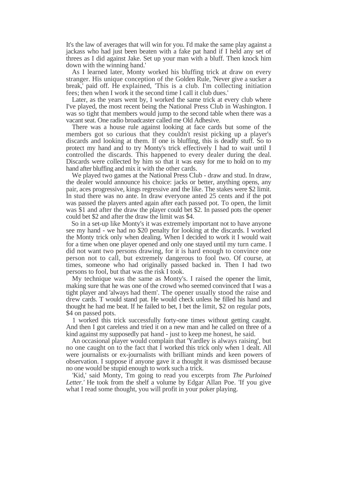It's the law of averages that will win for you. I'd make the same play against a jackass who had just been beaten with a fake pat hand if I held any set of threes as I did against Jake. Set up your man with a bluff. Then knock him down with the winning hand.'

As I learned later, Monty worked his bluffing trick at draw on every stranger. His unique conception of the Golden Rule, 'Never give a sucker a break,' paid off. He explained, 'This is a club. I'm collecting initiation fees; then when I work it the second time I call it club dues.'

Later, as the years went by, I worked the same trick at every club where I've played, the most recent being the National Press Club in Washington. I was so tight that members would jump to the second table when there was a vacant seat. One radio broadcaster called me Old Adhesive.

There was a house rule against looking at face cards but some of the members got so curious that they couldn't resist picking up a player's discards and looking at them. If one is bluffing, this is deadly stuff. So to protect my hand and to try Monty's trick effectively I had to wait until I controlled the discards. This happened to every dealer during the deal. Discards were collected by him so that it was easy for me to hold on to my hand after bluffing and mix it with the other cards.

We played two games at the National Press Club - draw and stud. In draw, the dealer would announce his choice: jacks or better, anything opens, any pair, aces progressive, kings regressive and the like. The stakes were \$2 limit. In stud there was no ante. In draw everyone anted 25 cents and if the pot was passed the players anted again after each passed pot. To open, the limit was \$1 and after the draw the player could bet \$2. In passed pots the opener could bet \$2 and after the draw the limit was \$4.

So in a set-up like Monty's it was extremely important not to have anyone see my hand - we had no \$20 penalty for looking at the discards. I worked the Monty trick only when dealing. When I decided to work it I would wait for a time when one player opened and only one stayed until my turn came. I did not want two persons drawing, for it is hard enough to convince one person not to call, but extremely dangerous to fool two. Of course, at times, someone who had originally passed backed in. Then I had two persons to fool, but that was the risk I took.

My technique was the same as Monty's. I raised the opener the limit, making sure that he was one of the crowd who seemed convinced that I was a tight player and 'always had them'. The opener usually stood the raise and drew cards. T would stand pat. He would check unless he filled his hand and thought he had me beat. If he failed to bet, I bet the limit, \$2 on regular pots, \$4 on passed pots.

1 worked this trick successfully forty-one times without getting caught. And then I got careless and tried it on a new man and he called on three of a kind against my supposedly pat hand - just to keep me honest, he said.

An occasional player would complain that 'Yardley is always raising', but no one caught on to the fact that I worked this trick only when 1 dealt. All were journalists or ex-journalists with brilliant minds and keen powers of observation. I suppose if anyone gave it a thought it was dismissed because no one would be stupid enough to work such a trick.

'Kid,' said Monty, Tm going to read you excerpts from *The Purloined*  Letter.' He took from the shelf a volume by Edgar Allan Poe. 'If you give what I read some thought, you will profit in your poker playing.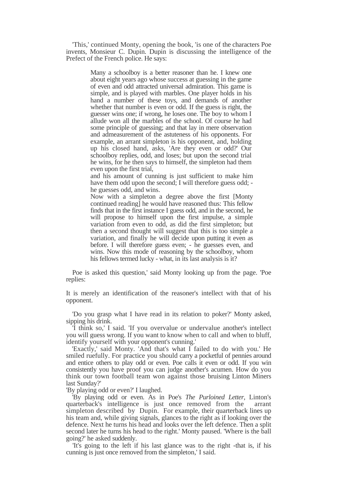'This,' continued Monty, opening the book, 'is one of the characters Poe invents, Monsieur C. Dupin. Dupin is discussing the intelligence of the Prefect of the French police. He says:

> Many a schoolboy is a better reasoner than he. I knew one about eight years ago whose success at guessing in the game of even and odd attracted universal admiration. This game is simple, and is played with marbles. One player holds in his hand a number of these toys, and demands of another whether that number is even or odd. If the guess is right, the guesser wins one; if wrong, he loses one. The boy to whom I allude won all the marbles of the school. Of course he had some principle of guessing; and that lay in mere observation and admeasurement of the astuteness of his opponents. For example, an arrant simpleton is his opponent, and, holding up his closed hand, asks, 'Are they even or odd?' Our schoolboy replies, odd, and loses; but upon the second trial he wins, for he then says to himself, the simpleton had them even upon the first trial,

> and his amount of cunning is just sufficient to make him have them odd upon the second; I will therefore guess odd; he guesses odd, and wins.

> Now with a simpleton a degree above the first [Monty continued reading] he would have reasoned thus: This fellow finds that in the first instance I guess odd, and in the second, he will propose to himself upon the first impulse, a simple variation from even to odd, as did the first simpleton; but then a second thought will suggest that this is too simple a variation, and finally he will decide upon putting it even as before. I will therefore guess even; - he guesses even, and wins. Now this mode of reasoning by the schoolboy, whom his fellows termed lucky - what, in its last analysis is it?

Poe is asked this question,' said Monty looking up from the page. 'Poe replies:

It is merely an identification of the reasoner's intellect with that of his opponent.

'Do you grasp what I have read in its relation to poker?' Monty asked, sipping his drink.

'I think so,' I said. 'If you overvalue or undervalue another's intellect you will guess wrong. If you want to know when to call and when to bluff, identify yourself with your opponent's cunning.'

'Exactly,' said Monty. 'And that's what I failed to do with you.' He smiled ruefully. For practice you should carry a pocketful of pennies around and entice others to play odd or even. Poe calls it even or odd. If you win consistently you have proof you can judge another's acumen. How do you think our town football team won against those bruising Linton Miners last Sunday?'

'By playing odd or even?' I laughed.

'By playing odd or even. As in Poe's *The Purloined Letter,* Linton's quarterback's intelligence is just once removed from the arrant simpleton described by Dupin. For example, their quarterback lines up his team and, while giving signals, glances to the right as if looking over the defence. Next he turns his head and looks over the left defence. Then a split second later he turns his head to the right.' Monty paused. 'Where is the ball going?' he asked suddenly.

'It's going to the left if his last glance was to the right -that is, if his cunning is just once removed from the simpleton,' I said.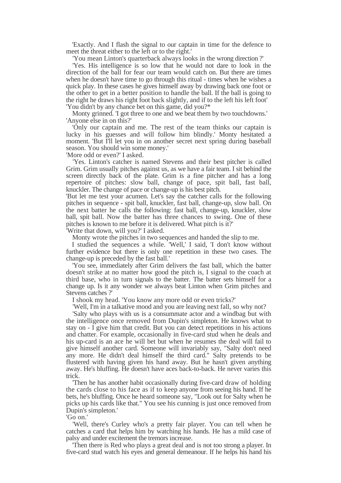'Exactly. And I flash the signal to our captain in time for the defence to meet the threat either to the left or to the right.'

'You mean Linton's quarterback always looks in the wrong direction ?'

'Yes. His intelligence is so low that he would not dare to look in the direction of the ball for fear our team would catch on. But there are times when he doesn't have time to go through this ritual - times when he wishes a quick play. In these cases he gives himself away by drawing back one foot or the other to get in a better position to handle the ball. If the ball is going to the right he draws his right foot back slightly, and if to the left his left foot' 'You didn't by any chance bet on this game, did you?\*

Monty grinned. 'I got three to one and we beat them by two touchdowns.' 'Anyone else in on this?'

'Only our captain and me. The rest of the team thinks our captain is lucky in his guesses and will follow him blindly.' Monty hesitated a moment. 'But I'll let you in on another secret next spring during baseball season. You should win some money.'

'More odd or even?' I asked.

'Yes. Linton's catcher is named Stevens and their best pitcher is called Grim. Grim usually pitches against us, as we have a fair team. I sit behind the screen directly back of the plate. Grim is a fine pitcher and has a long repertoire of pitches: slow ball, change of pace, spit ball, fast ball, knuckler. The change of pace or change-up is his best pitch.

'But let me test your acumen. Let's say the catcher calls for the following pitches in sequence - spit ball, knuckler, fast ball, change-up, slow ball. On the next batter he calls the following: fast ball, change-up, knuckler, slow ball, spit ball. Now the batter has three chances to swing. One of these pitches is known to me before it is delivered. What pitch is it?'

'Write that down, will you?' I asked.

Monty wrote the pitches in two sequences and handed the slip to me.

I studied the sequences a while. 'Well,' I said, 'I don't know without further evidence but there is only one repetition in these two cases. The change-up is preceded by the fast ball.'

'You see, immediately after Grim delivers the fast ball, which the batter doesn't strike at no matter how good the pitch is, I signal to the coach at third base, who in turn signals to the batter. The batter sets himself for a change up. Is it any wonder we always beat Linton when Grim pitches and Stevens catches ?'

I shook my head. 'You know any more odd or even tricks?'

'Well, I'm in a talkative mood and you are leaving next fall, so why not?

'Salty who plays with us is a consummate actor and a windbag but with the intelligence once removed from Dupin's simpleton. He knows what to stay on - I give him that credit. But you can detect repetitions in his actions and chatter. For example, occasionally in five-card stud when he deals and his up-card is an ace he will bet but when he resumes the deal will fail to give himself another card. Someone will invariably say, "Salty don't need any more. He didn't deal himself the third card." Salty pretends to be flustered with having given his hand away. But he hasn't given anything away. He's bluffing. He doesn't have aces back-to-back. He never varies this trick.

'Then he has another habit occasionally during five-card draw of holding the cards close to his face as if to keep anyone from seeing his hand. If he bets, he's bluffing. Once he heard someone say, "Look out for Salty when he picks up his cards like that." You see his cunning is just once removed from Dupin's simpleton.'

'Go on.'

'Well, there's Curley who's a pretty fair player. You can tell when he catches a card that helps him by watching his hands. He has a mild case of palsy and under excitement the tremors increase.

'Then there is Red who plays a great deal and is not too strong a player. In five-card stud watch his eyes and general demeanour. If he helps his hand his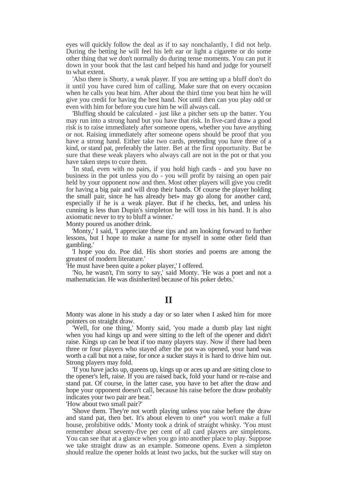eyes will quickly follow the deal as if to say nonchalantly, I did not help. During the betting he will feel his left ear or light a cigarette or do some other thing that we don't normally do during tense moments. You can put it down in your book that the last card helped his hand and judge for yourself to what extent.

'Also there is Shorty, a weak player. If you are setting up a bluff don't do it until you have cured him of calling. Make sure that on every occasion when he calls you beat him. After about the third time you beat him he will give you credit for having the best hand. Not until then can you play odd or even with him for before you cure him he will always call.

'Bluffing should be calculated - just like a pitcher sets up the batter. You may run into a strong hand but you have that risk. In five-card draw a good risk is to raise immediately after someone opens, whether you have anything or not. Raising immediately after someone opens should be proof that you have a strong hand. Either take two cards, pretending you have three of a kind, or stand pat, preferably the latter. Bet at the first opportunity. But be sure that these weak players who always call are not in the pot or that you have taken steps to cure them.

'In stud, even with no pairs, if you hold high cards - and you have no business in the pot unless you do - you will profit by raising an open pair held by your opponent now and then. Most other players will give you credit for having a big pair and will drop their hands. Of course the player holding the small pair, since he has already bet» may go along for another card, especially if he is a weak player. But if he checks, bet, and unless his cunning is less than Dupin's simpleton he will toss in his hand. It is also axiomatic never to try to bluff a winner.'

Monty poured us another drink.

'Monty,' I said, 'I appreciate these tips and am looking forward to further lessons, but I hope to make a name for myself in some other field than gambling.'

'I hope you do. Poe did. His short stories and poems are among the greatest of modern literature.'

'He must have been quite a poker player,' I offered.

'No, he wasn't, I'm sorry to say,' said Monty. 'He was a poet and not a mathematician. He was disinherited because of his poker debts.'

### **II**

Monty was alone in his study a day or so later when I asked him for more pointers on straight draw.

'Well, for one thing,' Monty said, 'you made a dumb play last night when you had kings up and were sitting to the left of the opener and didn't raise. Kings up can be beat if too many players stay. Now if there had been three or four players who stayed after the pot was opened, your hand was worth a call but not a raise, for once a sucker stays it is hard to drive him out. Strong players may fold.

'If you have jacks up, queens up, kings up or aces up and are sitting close to the opener's left, raise. If you are raised back, fold your hand or re-raise and stand pat. Of course, in the latter case, you have to bet after the draw and hope your opponent doesn't call, because his raise before the draw probably indicates your two pair are beat.'

'How about two small pair?'

'Shove them. They're not worth playing unless you raise before the draw and stand pat, then bet. It's about eleven to one\* you won't make a full house, prohibitive odds.' Monty took a drink of straight whisky. 'You must remember about seventy-five per cent of all card players are simpletons. You can see that at a glance when you go into another place to play. Suppose we take straight draw as an example. Someone opens. Even a simpleton should realize the opener holds at least two jacks, but the sucker will stay on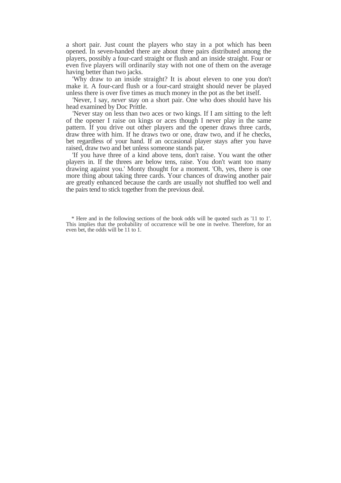a short pair. Just count the players who stay in a pot which has been opened. In seven-handed there are about three pairs distributed among the players, possibly a four-card straight or flush and an inside straight. Four or even five players will ordinarily stay with not one of them on the average having better than two jacks.

'Why draw to an inside straight? It is about eleven to one you don't make it. A four-card flush or a four-card straight should never be played unless there is over five times as much money in the pot as the bet itself.

'Never, I say, *never* stay on a short pair. One who does should have his head examined by Doc Prittle.

'Never stay on less than two aces or two kings. If I am sitting to the left of the opener I raise on kings or aces though I never play in the same pattern. If you drive out other players and the opener draws three cards, draw three with him. If he draws two or one, draw two, and if he checks, bet regardless of your hand. If an occasional player stays after you have raised, draw two and bet unless someone stands pat.

'If you have three of a kind above tens, don't raise. You want the other players in. If the threes are below tens, raise. You don't want too many drawing against you.' Monty thought for a moment. 'Oh, yes, there is one more thing about taking three cards. Your chances of drawing another pair are greatly enhanced because the cards are usually not shuffled too well and the pairs tend to stick together from the previous deal.

<sup>\*</sup> Here and in the following sections of the book odds will be quoted such as '11 to 1'. This implies that the probability of occurrence will be one in twelve. Therefore, for an even bet, the odds will be 11 to 1.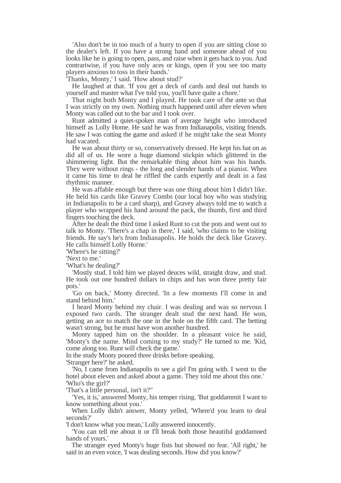'Also don't be in too much of a hurry to open if you are sitting close to the dealer's left. If you have a strong hand and someone ahead of you looks like he is going to open, pass, and raise when it gets back to you. And contrariwise, if you have only aces or kings, open if you see too many players anxious to toss in their hands.'

'Thanks, Monty,' I said. 'How about stud?'

He laughed at that. 'If you get a deck of cards and deal out hands to yourself and master what I've told you, you'll have quite a chore.'

That night both Monty and I played. He took care of the ante so that I was strictly on my own. Nothing much happened until after eleven when Monty was called out to the bar and I took over.

Runt admitted a quiet-spoken man of average height who introduced himself as Lolly Home. He said he was from Indianapolis, visiting friends. He saw I was cutting the game and asked if he might take the seat Monty had vacated.

He was about thirty or so, conservatively dressed. He kept his hat on as did all of us. He wore a huge diamond stickpin which glittered in the shimmering light. But the remarkable thing about him was his hands. They were without rings - the long and slender hands of a pianist. When it came his time to deal he riffled the cards expertly and dealt in a fast rhythmic manner.

He was affable enough but there was one thing about him I didn't like. He held his cards like Gravey Combs (our local boy who was studying in Indianapolis to be a card sharp), and Gravey always told me to watch a player who wrapped his hand around the pack, the thumb, first and third fingers touching the deck.

After he dealt the third time I asked Runt to cut the pots and went out to talk to Monty. 'There's a chap in there,' I said, 'who claims to be visiting friends. He say's he's from Indianapolis. He holds the deck like Gravey. He calls himself Lolly Horne.'

'Where's he sitting?'

'Next to me.'

'What's he dealing?'

'Mostly stud. I told him we played deuces wild, straight draw, and stud. He took out one hundred dollars in chips and has won three pretty fair pots.'

'Go on back,' Monty directed. 'In a few moments I'll come in and stand behind him.'

I heard Monty behind my chair. I was dealing and was so nervous I exposed two cards. The stranger dealt stud the next hand. He won, getting an ace to match the one in the hole on the fifth card. The betting wasn't strong, but he must have won another hundred.

Monty tapped him on the shoulder. In a pleasant voice he said, 'Monty's the name. Mind coming to my study?' He turned to me. 'Kid, come along too. Runt will check the game.'

In the study Monty poured three drinks before speaking.

'Stranger here?' he asked.

'No, I came from Indianapolis to see a girl I'm going with. I went to the hotel about eleven and asked about a game. They told me about this one.' 'Who's the girl?'

'That's a little personal, isn't it?"

'Yes, it is,' answered Monty, his temper rising. 'But goddammit I want to know something about you.'

When Lolly didn't answer, Monty yelled, 'Where'd you learn to deal seconds?'

'I don't know what you mean,' Lolly answered innocently.

'You can tell me about it or I'll break both those beautiful goddamned hands of yours.'

The stranger eyed Monty's huge fists but showed no fear. 'All right,' he said in an even voice, 'I was dealing seconds. How did you know?'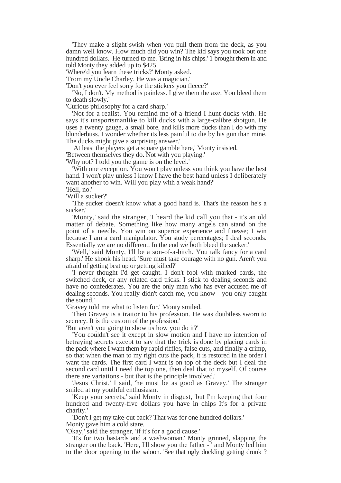'They make a slight swish when you pull them from the deck, as you damn well know. How much did you win? The kid says you took out one hundred dollars.' He turned to me. 'Bring in his chips.' 1 brought them in and told Monty they added up to \$425.

'Where'd you learn these tricks?' Monty asked.

'From my Uncle Charley. He was a magician.'

'Don't you ever feel sorry for the stickers you fleece?'

'No, I don't. My method is painless. I give them the axe. You bleed them to death slowly.'

'Curious philosophy for a card sharp.'

'Not for a realist. You remind me of a friend I hunt ducks with. He says it's unsportsmanlike to kill ducks with a large-calibre shotgun. He uses a twenty gauge, a small bore, and kills more ducks than I do with my blunderbuss. I wonder whether its less painful to die by his gun than mine. The ducks might give a surprising answer.'

'At least the players get a square gamble here,' Monty insisted.

'Between themselves they do. Not with you playing.'

'Why not? I told you the game is on the level.'

'With one exception. You won't play unless you think you have the best hand. I won't play unless I know I have the best hand unless I deliberately want another to win. Will you play with a weak hand?'

'Hell, no.' 'Will a sucker?'

'The sucker doesn't know what a good hand is. That's the reason he's a sucker.'

'Monty,' said the stranger, 'I heard the kid call you that - it's an old matter of debate. Something like how many angels can stand on the point of a needle. You win on superior experience and finesse; I win because I am a card manipulator. You study percentages; I deal seconds. Essentially we are no different. In the end we both bleed the sucker.'

'Well,' said Monty, I'll be a son-of-a-bitch. You talk fancy for a card sharp.' He shook his head. 'Sure must take courage with no gun. Aren't you afraid of getting beat up or getting killed?'

'I never thought I'd get caught. I don't fool with marked cards, the switched deck, or any related card tricks. I stick to dealing seconds and have no confederates. You are the only man who has ever accused me of dealing seconds. You really didn't catch me, you know - you only caught the sound.'

'Gravey told me what to listen for.' Monty smiled.

Then Gravey is a traitor to his profession. He was doubtless sworn to secrecy. It is the custom of the profession.'

'But aren't you going to show us how you do it?'

'You couldn't see it except in slow motion and I have no intention of betraying secrets except to say that the trick is done by placing cards in the pack where I want them by rapid riffles, false cuts, and finally a crimp, so that when the man to my right cuts the pack, it is restored in the order I want the cards. The first card I want is on top of the deck but I deal the second card until I need the top one, then deal that to myself. Of course there are variations - but that is the principle involved.'

'Jesus Christ,' I said, 'he must be as good as Gravey.' The stranger smiled at my youthful enthusiasm.

'Keep your secrets,' said Monty in disgust, 'but I'm keeping that four hundred and twenty-five dollars you have in chips It's for a private charity.'

'Don't I get my take-out back? That was for one hundred dollars.'

Monty gave him a cold stare.

'Okay,' said the stranger, 'if it's for a good cause.'

'It's for two bastards and a washwoman.' Monty grinned, slapping the stranger on the back. 'Here, I'll show you the father - ' and Monty led him to the door opening to the saloon. 'See that ugly duckling getting drunk ?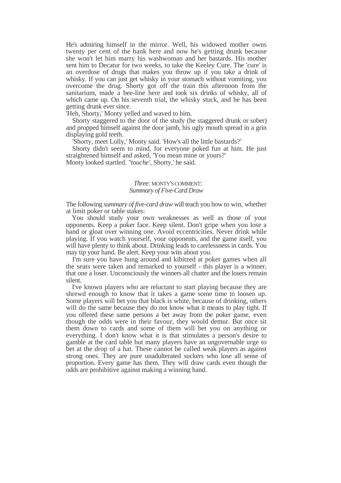He's admiring himself in the mirror. Well, his widowed mother owns twenty per cent of the bank here and now he's getting drunk because she won't let him marry his washwoman and her bastards. His mother sent him to Decatur for two weeks, to take the Keeley Cure. The 'cure' is an overdose of drugs that makes you throw up if you take a drink of whisky. If you can just get whisky in your stomach without vomiting, you overcome the drug. Shorty got off the train this afternoon from the sanitarium, made a bee-line here and took six drinks of whisky, all of which came up. On his seventh trial, the whisky stuck, and he has been getting drunk ever since.

'Heh, Shorty,' Monty yelled and waved to him.

Shorty staggered to the door of the study (he staggered drunk or sober) and propped himself against the door jamb, his ugly mouth spread in a grin displaying gold teeth.

'Shorty, meet Lolly,' Monty said. 'How's all the little bastards?'

Shorty didn't seem to mind, for everyone poked fun at him. He just straightened himself and asked, 'You mean mine or yours?' Monty looked startled. *"touche',* Shorty,' he said.

#### *Three:* MONTY'S COMMENT: *Summary of Five-Card Draw*

The following *summary of five-card draw* will teach you how to win, whether at limit poker or table stakes:

You should study your own weaknesses as well as those of your opponents. Keep a poker face. Keep silent. Don't gripe when you lose a hand or gloat over winning one. Avoid eccentricities. Never drink while playing. If you watch yourself, your opponents, and the game itself, you will have plenty to think about. Drinking leads to carelessness in cards. You may tip your hand. Be alert. Keep your wits about you.

I'm sure you have hung around and kibitzed at poker games when all the seats were taken and remarked to yourself - this player is a winner, that one a loser. Unconsciously the winners all chatter and the losers remain silent.

I've known players who are reluctant to start playing because they are shrewd enough to know that it takes a game some time to loosen up. Some players will bet you that black is white, because of drinking, others will do the same because they do not know what it means to play tight. If you offered these same persons a bet away from the poker game, even though the odds were in their favour, they would demur. But once sit them down to cards and some of them will bet you on anything or everything. I don't know what it is that stimulates a person's desire to gamble at the card table but many players have an ungovernable urge to bet at the drop of a hat. These cannot be called weak players as against strong ones. They are pure unadulterated suckers who lose all sense of proportion. Every game has them. They will draw cards even though the odds are prohibitive against making a winning hand.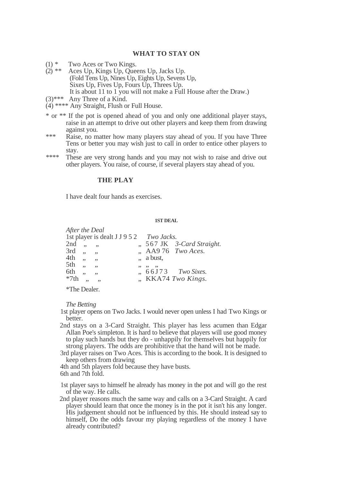#### **WHAT TO STAY ON**

- (1)  $*$  Two Aces or Two Kings.<br>(2)  $**$  Aces Un. Kings Un. Que
- Aces Up, Kings Up, Queens Up, Jacks Up. (Fold Tens Up, Nines Up, Eights Up, Sevens Up, Sixes Up, Fives Up, Fours Up, Threes Up. It is about 11 to 1 you will not make a Full House after the Draw.)
- (3)\*\*\* Any Three of a Kind.

(4) \*\*\*\* Any Straight, Flush or Full House.

- \* or \*\* If the pot is opened ahead of you and only one additional player stays, raise in an attempt to drive out other players and keep them from drawing against you.
- \*\*\* Raise, no matter how many players stay ahead of you. If you have Three Tens or better you may wish just to call in order to entice other players to stay.
- \*\*\*\* These are very strong hands and you may not wish to raise and drive out other players. You raise, of course, if several players stay ahead of you.

#### **THE PLAY**

I have dealt four hands as exercises.

#### **1ST DEAL**

| After the Deal |       |                                          |               |                                 |
|----------------|-------|------------------------------------------|---------------|---------------------------------|
|                |       | 1st player is dealt J J 9 5 2 Two Jacks. |               |                                 |
| 2nd            | , , , | , , ,                                    |               | $\mu$ , 567 JK 3-Card Straight. |
| $3rd$ ,        |       | , , ,                                    |               | " $A4976$ Two Aces.             |
| 4th            | ,     | , ,                                      | ", a bust,    |                                 |
| 5th            | ,     | ,,                                       | ,,,,,<br>, 22 |                                 |
| 6th            | ,     | , ,                                      |               | $, 66J73$ Two Sixes.            |
| $*7th$         | , ,   | ,,                                       |               | " KKA74 Two Kings.              |
|                |       |                                          |               |                                 |

\*The Dealer.

*The Betting*

1st player opens on Two Jacks. I would never open unless I had Two Kings or better.

- 2nd stays on a 3-Card Straight. This player has less acumen than Edgar Allan Poe's simpleton. It is hard to believe that players will use good money to play such hands but they do - unhappily for themselves but happily for strong players. The odds are prohibitive that the hand will not be made.
- 3rd player raises on Two Aces. This is according to the book. It is designed to keep others from drawing
- 4th and 5th players fold because they have busts.

6th and 7th fold.

1st player says to himself he already has money in the pot and will go the rest of the way. He calls.

2nd player reasons much the same way and calls on a 3-Card Straight. A card player should learn that once the money is in the pot it isn't his any longer. His judgement should not be influenced by this. He should instead say to himself, Do the odds favour my playing regardless of the money I have already contributed?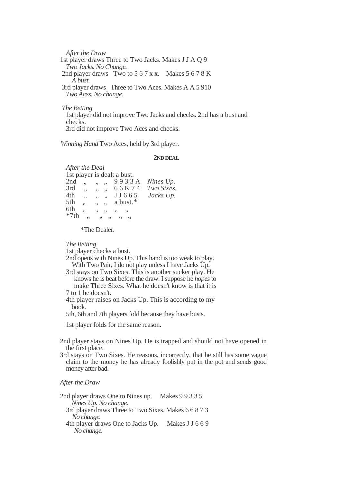*After the Draw* 1st player draws Three to Two Jacks. Makes J J A Q 9 *Two Jacks. No Change.* 2nd player draws Two to  $567 \times x$ . Makes  $5678 \times x$ *A bust.*  3rd player draws Three to Two Aces. Makes A A 5 910 *Two Aces. No change.*

*The Betting*

1st player did not improve Two Jacks and checks. 2nd has a bust and checks. 3rd did not improve Two Aces and checks.

*Winning Hand* Two Aces, held by 3rd player.

#### **2ND DEAL**

*After the Deal* 1st player is dealt a bust. 2nd , , , 9933A *Nines Up*. 3rd , , , , 6 6 K 7 4 *Two Sixes*. 4th , , , J J 6 6 5 *Jacks Up*. 5th , , , , a bust.\* 6th , , , , , , , ,  $*7th$  ", ", ", ", ",

\*The Dealer.

*The Betting*

1st player checks a bust.

2nd opens with Nines Up. This hand is too weak to play. With Two Pair, I do not play unless I have Jacks Up.

3rd stays on Two Sixes. This is another sucker play. He knows he is beat before the draw. I suppose he *hopes* to make Three Sixes. What he doesn't know is that it is 7 to 1 he doesn't.

4th player raises on Jacks Up. This is according to my book.

5th, 6th and 7th players fold because they have busts.

1st player folds for the same reason.

2nd player stays on Nines Up. He is trapped and should not have opened in the first place.

3rd stays on Two Sixes. He reasons, incorrectly, that he still has some vague claim to the money he has already foolishly put in the pot and sends good money after bad.

#### *After the Draw*

2nd player draws One to Nines up. Makes 9 9 3 3 5 *Nines Up. No change.*  3rd player draws Three to Two Sixes. Makes 6 6 8 7 3 *No change.*  4th player draws One to Jacks Up. Makes J J 6 6 9 *No change.*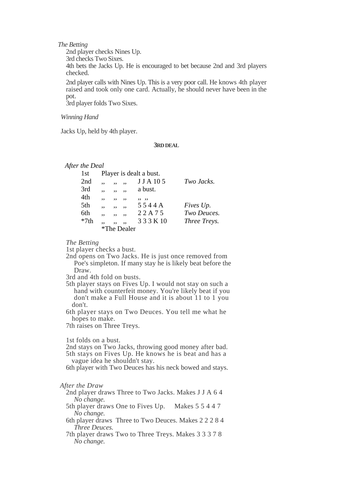#### *The Betting*

2nd player checks Nines Up.

3rd checks Two Sixes.

4th bets the Jacks Up. He is encouraged to bet because 2nd and 3rd players checked.

2nd player calls with Nines Up. This is a very poor call. He knows 4th player raised and took only one card. Actually, he should never have been in the pot.

3rd player folds Two Sixes.

#### *Winning Hand*

Jacks Up, held by 4th player.

#### **3RD DEAL**

#### *After the Deal*

| 1st    | Player is dealt a bust.   |     |     |         |              |  |
|--------|---------------------------|-----|-----|---------|--------------|--|
| 2nd    | ,,                        | , , | , , | JJA 105 | Two Jacks.   |  |
| 3rd    | ,,                        | , 1 | ,   | a bust. |              |  |
| 4th    | ,,                        | ,,  | ,,  | ,, ,,   |              |  |
| 5th    | ,,                        | ,,  | , , | 5544A   | Fives Up.    |  |
| 6th    | ,,                        | ,,  | ,,  | 22A75   | Two Deuces.  |  |
| $*7th$ | ,,                        | ,,  | ,,  | 333K10  | Three Treys. |  |
|        | <i><b>*The Dealer</b></i> |     |     |         |              |  |

*The Betting*

1st player checks a bust.

2nd opens on Two Jacks. He is just once removed from Poe's simpleton. If many stay he is likely beat before the Draw.

3rd and 4th fold on busts.

5th player stays on Fives Up. I would not stay on such a hand with counterfeit money. You're likely beat if you don't make a Full House and it is about 11 to 1 you don't.

6th player stays on Two Deuces. You tell me what he hopes to make.

7th raises on Three Treys.

1st folds on a bust.

2nd stays on Two Jacks, throwing good money after bad.

5th stays on Fives Up. He knows he is beat and has a vague idea he shouldn't stay.

6th player with Two Deuces has his neck bowed and stays.

#### *After the Draw*

2nd player draws Three to Two Jacks. Makes J J A 6 4 *No change.* 

5th player draws One to Fives Up. Makes 5 5 4 4 7 *No change.* 

- 6th player draws Three to Two Deuces. Makes 2 2 2 8 4 *Three Deuces.*
- 7th player draws Two to Three Treys. Makes 3 3 3 7 8 *No change.*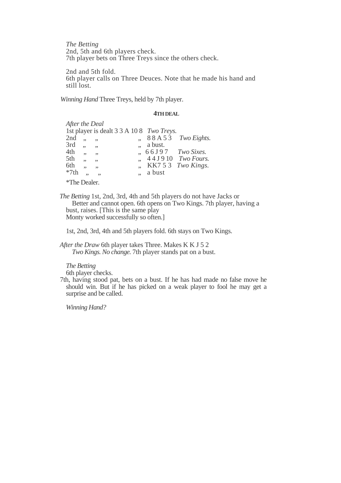*The Betting* 2nd, 5th and 6th players check. 7th player bets on Three Treys since the others check.

2nd and 5th fold. 6th player calls on Three Deuces. Note that he made his hand and still lost.

*Winning Hand* Three Treys, held by 7th player.

#### **4TH DEAL**

| After the Deal |    |                                           |    |         |                          |
|----------------|----|-------------------------------------------|----|---------|--------------------------|
|                |    | 1st player is dealt 3 3 A 10 8 Two Treys. |    |         |                          |
| 2nd            | ,, | , ,                                       |    |         | 88A53 Two Eights.        |
| 3rd            | ,  | , ,                                       |    | a bust. |                          |
| 4th            | ,, | ,,                                        |    |         | $\mu$ , 66J97 Two Sixes. |
| 5th            | ,, | ,,                                        |    |         | 44J910 Two Fours.        |
| 6th            | ,, | ,,                                        |    |         | KK7 5 3 Two Kings.       |
| $*7th$         | ,, | ,,                                        | ٠, | a bust  |                          |
|                |    |                                           |    |         |                          |

\*The Dealer.

*The Betting* 1st, 2nd, 3rd, 4th and 5th players do not have Jacks or Better and cannot open. 6th opens on Two Kings. 7th player, having a bust, raises. [This is the same play Monty worked successfully so often.]

1st, 2nd, 3rd, 4th and 5th players fold. 6th stays on Two Kings.

*After the Draw* 6th player takes Three. Makes K K J 5 2 *Two Kings. No change.* 7th player stands pat on a bust.

*The Betting*

6th player checks.

7th, having stood pat, bets on a bust. If he has had made no false move he should win. But if he has picked on a weak player to fool he may get a surprise and be called.

*Winning Hand?*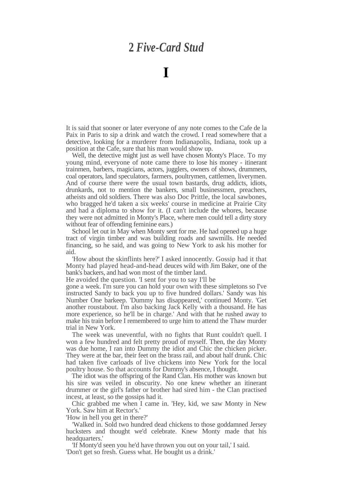# **2** *Five-Card Stud*

**I** 

It is said that sooner or later everyone of any note comes to the Cafe de la Paix in Paris to sip a drink and watch the crowd. I read somewhere that a detective, looking for a murderer from Indianapolis, Indiana, took up a position at the Cafe, sure that his man would show up.

Well, the detective might just as well have chosen Monty's Place. To my young mind, everyone of note came there to lose his money - itinerant trainmen, barbers, magicians, actors, jugglers, owners of shows, drummers, coal operators, land speculators, farmers, poultrymen, cattlemen, liverymen. And of course there were the usual town bastards, drug addicts, idiots, drunkards, not to mention the bankers, small businessmen, preachers, atheists and old soldiers. There was also Doc Prittle, the local sawbones, who bragged he'd taken a six weeks' course in medicine at Prairie City and had a diploma to show for it. (I can't include the whores, because they were not admitted in Monty's Place, where men could tell a dirty story without fear of offending feminine ears.)

School let out in May when Monty sent for me. He had opened up a huge tract of virgin timber and was building roads and sawmills. He needed financing, so he said, and was going to New York to ask his mother for aid.

'How about the skinflints here?' I asked innocently. Gossip had it that Monty had played head-and-head deuces wild with Jim Baker, one of the bank's backers, and had won most of the timber land.

He avoided the question. 'I sent for you to say I'll be

gone a week. I'm sure you can hold your own with these simpletons so I've instructed Sandy to back you up to five hundred dollars.' Sandy was his Number One barkeep. 'Dummy has disappeared,' continued Monty. 'Get another roustabout. I'm also backing Jack Kelly with a thousand. He has more experience, so he'll be in charge.' And with that he rushed away to make his train before I remembered to urge him to attend the Thaw murder trial in New York.

The week was uneventful, with no fights that Runt couldn't quell. I won a few hundred and felt pretty proud of myself. Then, the day Monty was due home, I ran into Dummy the idiot and Chic the chicken picker. They were at the bar, their feet on the brass rail, and about half drunk. Chic had taken five carloads of live chickens into New York for the local poultry house. So that accounts for Dummy's absence, I thought.

The idiot was the offspring of the Rand Clan. His mother was known but his sire was veiled in obscurity. No one knew whether an itinerant drummer or the girl's father or brother had sired him - the Clan practised incest, at least, so the gossips had it.

Chic grabbed me when I came in. 'Hey, kid, we saw Monty in New York. Saw him at Rector's.'

'How in hell you get in there?'

'Walked in. Sold two hundred dead chickens to those goddamned Jersey hucksters and thought we'd celebrate. Knew Monty made that his headquarters.'

'If Monty'd seen you he'd have thrown you out on your tail,' I said. 'Don't get so fresh. Guess what. He bought us a drink.'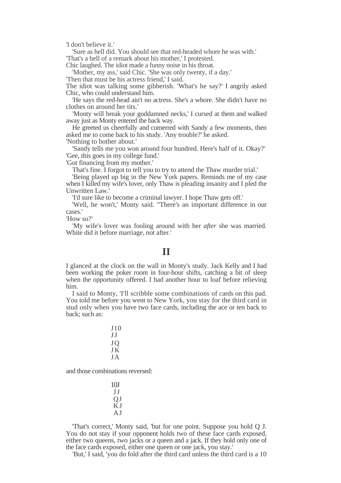'I don't believe it.'

'Sure as hell did. You should see that red-headed whore he was with.' 'That's a hell of a remark about his mother,' I protested.

Chic laughed. The idiot made a funny noise in his throat.

'Mother, my ass,' said Chic. 'She was only twenty, if a day.'

'Then that must be his actress friend,' I said.

The idiot was talking some gibberish. 'What's he say?' I angrily asked Chic, who could understand him.

'He says the red-head ain't no actress. She's a whore. She didn't have no clothes on around her tits.'

'Monty will break your goddamned necks,' I cursed at them and walked away just as Monty entered the back way.

He greeted us cheerfully and comerred with Sandy a few moments, then asked me to come back to his study. 'Any trouble?' he asked.

'Nothing to bother about.'

'Sandy tells me you won around four hundred. Here's half of it. Okay?' 'Gee, this goes in my college fund.'

'Got financing from my mother.'

That's fine. I forgot to tell you to try to attend the Thaw murder trial.'

'Being played up big in the New York papers. Reminds me of my case when I killed my wife's lover, only Thaw is pleading insanity and I pled the Unwritten Law.'

'I'd sure like to become a criminal lawyer. I hope Thaw gets off.'

'Well, he won't,' Monty said. "There's an important difference in our cases.'

'How so?'

'My wife's lover was fooling around with her *after* she was married. White did it before marriage, not after.'

## **II**

I glanced at the clock on the wall in Monty's study. Jack Kelly and I had been working the poker room in four-hour shifts, catching a bit of sleep when the opportunity offered. I had another hour to loaf before relieving him.

I said to Monty, 'I'll scribble some combinations of cards on this pad. You told me before you went to New York, you stay for the third card in stud only when you have two face cards, including the ace or ten back to back; such as:

| 110 |
|-----|
| ЛJ  |
| JO  |
| JΚ  |
| I A |
|     |

and those combinations reversed:

| $\vert$ ( ) $\vert$ |
|---------------------|
| H                   |
| $\Box$              |
| ΚI                  |
| ו ב                 |

'That's correct,' Monty said, 'but for one point. Suppose you hold Q J. You do not stay if your opponent holds two of these face cards exposed, either two queens, two jacks or a queen and a jack. If they hold only one of the face cards exposed, either one queen or one jack, you stay.'

'But,' I said, 'you do fold after the third card unless the third card is a 10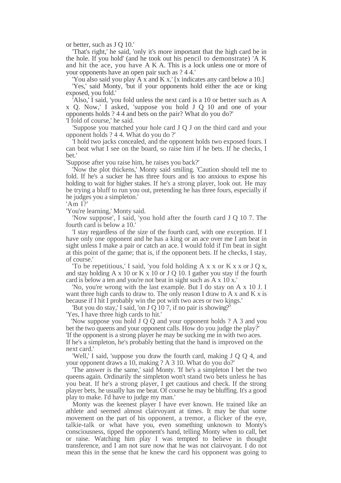or better, such as J Q 10.'

'That's right,' he said, 'only it's more important that the high card be in the hole. If you hold' (and he took out his pencil to demonstrate) 'A K and hit the ace, you have A K A. This is a lock unless one or more of your opponents have an open pair such as ? 4 4.'

'You also said you play A x and K x.' [x indicates any card below a 10.]

'Yes,' said Monty, 'but if your opponents hold either the ace or king exposed, you fold.'

'Also,' I said, 'you fold unless the next card is a 10 or better such as A x Q. Now,' I asked, 'suppose you hold J Q 10 and one of your opponents holds ? 4 4 and bets on the pair? What do you do?'

'I fold of course,' he said.

'Suppose you matched your hole card J Q J on the third card and your opponent holds ? 4 4. What do you do ?'

'I hold two jacks concealed, and the opponent holds two exposed fours. I can beat what I see on the board, so raise him if he bets. If he checks, I bet.'

'Suppose after you raise him, he raises you back?'

'Now the plot thickens,' Monty said smiling. 'Caution should tell me to fold. If he's a sucker he has three fours and is too anxious to expose his holding to wait for higher stakes. If he's a strong player, look out. He may be trying a bluff to run you out, pretending he has three fours, especially if he judges you a simpleton.'

'Am I?'

'You're learning,' Monty said.

'Now suppose', I said, 'you hold after the fourth card J Q 10 7. The fourth card is below a 10.'

'I stay regardless of the size of the fourth card, with one exception. If I have only one opponent and he has a king or an ace over me I am beat in sight unless I make a pair or catch an ace. I would fold if I'm beat in sight at this point of the game; that is, if the opponent bets. If he checks, I stay, of course.'

'To be repetitious,' I said, 'you fold holding A x x or K x x or J Q x, and stay holding  $A \times 10$  or K  $\times 10$  or J O 10. I gather you stay if the fourth card is below a ten and you're not beat in sight such as A x 10 x.'

'No, you're wrong with the last example. But I do stay on A x 10 J. I want three high cards to draw to. The only reason I draw to  $A$  x and  $K$  x is because if I hit I probably win the pot with two aces or two kings.'

'But you do stay,' I said, 'on J Q 10 7, if no pair is showing?' 'Yes, I have three high cards to hit.'

'Now suppose you hold J Q Q and your opponent holds ? A 3 and you bet the two queens and your opponent calls. How do you judge the play?' 'If the opponent is a strong player he may be sucking me in with two aces. If he's a simpleton, he's probably betting that the hand is improved on the next card.'

'Well,' I said, 'suppose you draw the fourth card, making J Q Q 4, and your opponent draws a 10, making ? A 3 10. What do you do?'

'The answer is the same,' said Monty. 'If he's a simpleton I bet the two queens again. Ordinarily the simpleton won't stand two bets unless he has you beat. If he's a strong player, I get cautious and check. If the strong player bets, he usually has me beat. Of course he may be bluffing. It's a good play to make. I'd have to judge my man.'

Monty was the keenest player I have ever known. He trained like an athlete and seemed almost clairvoyant at times. It may be that some movement on the part of his opponent, a tremor, a flicker of the eye, talkie-talk or what have you, even something unknown to Monty's consciousness, tipped the opponent's hand, telling Monty when to call, bet or raise. Watching him play I was tempted to believe in thought transference, and I am not sure now that he was not clairvoyant. I do not mean this in the sense that he knew the card his opponent was going to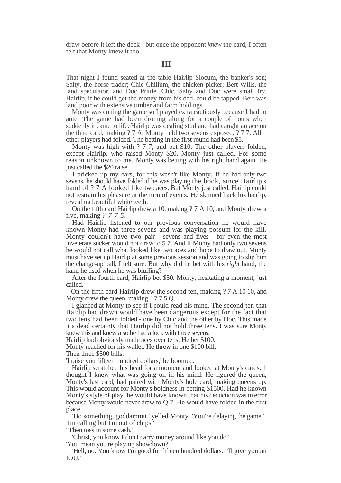draw before it left the deck - but once the opponent *knew* the card, I often felt that Monty knew it too.

That night I found seated at the table Hairlip Slocum, the banker's son; Salty, the horse trader; Chic Chillum, the chicken picker; Bert Wills, the land speculator, and Doc Prittle. Chic, Salty and Doc were small fry. Hairlip, if he could get the money from his dad, could be tapped. Bert was land poor with extensive timber and farm holdings.

Monty was cutting the game so I played extra cautiously because I had to ante. The game had been droning along for a couple of hours when suddenly it came to life. Hairlip was dealing stud and had caught an ace on the third card, making ? 7 A. Monty held two sevens exposed, ? 7 7. All other players had folded. The betting in the first round had been \$5.

Monty was high with ? 7 7, and bet \$10. The other players folded, except Hairlip, who raised Monty \$20. Monty just called. For some reason unknown to me, Monty was betting with his right hand again. He just called the \$20 raise.

I pricked up my ears, for this wasn't like Monty. If he had only two sevens, he should have folded if he was playing the book, since Hairlip's hand of ? 7 A looked like two aces. But Monty just called. Hairlip could not restrain his pleasure at the turn of events. He skinned back his hairlip, revealing beautiful white teeth.

On the fifth card Hairlip drew a 10, making ? 7 A 10, and Monty drew a five, making *? 7 7 5.*

Had Hairlip listened to our previous conversation he would have known Monty had three sevens and was playing possum for the kill. Monty couldn't have two pair - sevens and fives - for even the most inveterate sucker would not draw to 5 7. And if Monty had only two sevens he would not call what looked like two aces and hope to draw out. Monty must have set up Hairlip at some previous session and was going to slip him the change-up ball, I felt sure. But why did he bet with his *right* hand, the hand he used when he was bluffing?

After the fourth card, Hairlip bet \$50. Monty, hesitating a moment, just called.

On the fifth card Hairlip drew the second ten, making ? 7 A 10 10, and Monty drew the queen, making ? 7 7 5 Q.

I glanced at Monty to see if I could read his mind. The second ten that Hairlip had drawn would have been dangerous except for the fact that two tens had been folded - one by Chic and the other by Doc. This made it a dead certainty that Hairlip did not hold three tens. I was sure Monty knew this and knew also he had a lock with three sevens.

Hairlip had obviously made aces over tens. He bet \$100.

Monty reached for his wallet. He threw in one \$100 bill.

Then three \$500 bills.

'I raise you fifteen hundred dollars,' he boomed.

Hairlip scratched his head for a moment and looked at Monty's cards. 1 thought I knew what was going on in his mind. He figured the queen, Monty's last card, had paired with Monty's hole card, making queens up. This would account for Monty's boldness in betting \$1500. Had he known Monty's style of play, he would have known that his deduction was in error because Monty would never draw to Q 7. He would have folded in the first place.

'Do something, goddammit,' yelled Monty. 'You're delaying the game.' Tm calling but I'm out of chips.'

"Then toss in some cash.'

'Christ, you know I don't carry money around like you do.'

'You mean you're playing showdown?'

'Hell, no. You know I'm good for fifteen hundred dollars. I'll give you an IOU.'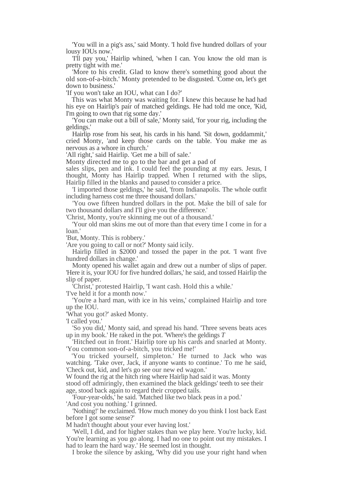'You will in a pig's ass,' said Monty. 'I hold five hundred dollars of your lousy IOUs now.'

'I'll pay you,' Hairlip whined, 'when I can. You know the old man is pretty tight with me.'

'More to his credit. Glad to know there's something good about the old son-of-a-bitch.' Monty pretended to be disgusted. 'Come on, let's get down to business.'

'If you won't take an IOU, what can I do?'

This was what Monty was waiting for. I knew this because he had had his eye on Hairlip's pair of matched geldings. He had told me once, 'Kid, I'm going to own that rig some day.'

'You can make out a bill of sale,' Monty said, 'for your rig, including the geldings.'

Hairlip rose from his seat, his cards in his hand. 'Sit down, goddammit,' cried Monty, 'and keep those cards on the table. You make me as nervous as a whore in church.'

'All right,' said Hairlip. 'Get me a bill of sale.'

Monty directed me to go to the bar and get a pad of

sales slips, pen and ink. I could feel the pounding at my ears. Jesus, I thought, Monty has Hairlip trapped. When I returned with the slips, Hairlip filled in the blanks and paused to consider a price.

'I imported those geldings,' he said, 'from Indianapolis. The whole outfit including harness cost me three thousand dollars.'

'You owe fifteen hundred dollars in the pot. Make the bill of sale for two thousand dollars and I'll give you the difference.'

'Christ, Monty, you're skinning me out of a thousand.'

'Your old man skins me out of more than that every time I come in for a loan.'

'But, Monty. This is robbery.'

'Are you going to call or not?' Monty said icily.

Hairlip filled in \$2000 and tossed the paper in the pot. 'I want five hundred dollars in change.'

Monty opened his wallet again and drew out a number of slips of paper. 'Here it is, your IOU for five hundred dollars,' he said, and tossed Hairlip the slip of paper.

'Christ,' protested Hairlip, 'I want cash. Hold this a while.'

'I've held it for a month now.'

'You're a hard man, with ice in his veins,' complained Hairlip and tore up the IOU.

'What you got?' asked Monty.

'I called you.'

'So you did,' Monty said, and spread his hand. 'Three sevens beats aces up in my book.' He raked in the pot. 'Where's the geldings *T*

'Hitched out in front.' Hairlip tore up his cards and snarled at Monty. 'You common son-of-a-bitch, you tricked me!'

'You tricked yourself, simpleton.' He turned to Jack who was watching. 'Take over, Jack, if anyone wants to continue.' To me he said, 'Check out, kid, and let's go see our new ed wagon.'

W found the rig at the hitch ring where Hairlip had said it was. Monty stood off admiringly, then examined the black geldings' teeth to see their age, stood back again to regard their cropped tails.

'Four-year-olds,' he said. 'Matched like two black peas in a pod.' 'And cost you nothing.' I grinned.

'Nothing!' he exclaimed. 'How much money do you think I lost back East before I got some sense?'

M hadn't thought about your ever having lost.'

'Well, I did, and for higher stakes than we play here. You're lucky, kid. You're learning as you go along. I had no one to point out my mistakes. I had to learn the hard way.' He seemed lost in thought.

I broke the silence by asking, 'Why did you use your right hand when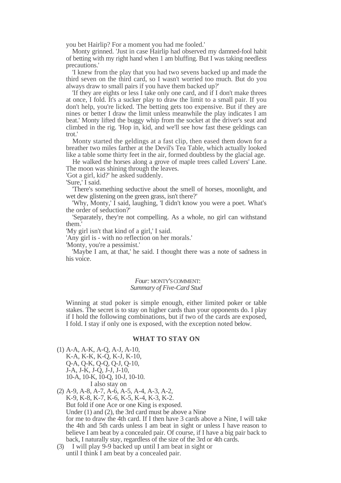you bet Hairlip? For a moment you had me fooled.'

Monty grinned. 'Just in case Hairlip had observed my damned-fool habit of betting with my right hand when 1 am bluffing. But I was taking needless precautions.'

'I knew from the play that you had two sevens backed up and made the third seven on the third card, so I wasn't worried too much. But do you always draw to small pairs if you have them backed up?'

'If they are eights or less I take only one card, and if I don't make threes at once, I fold. It's a sucker play to draw the limit to a small pair. If you don't help, you're licked. The betting gets too expensive. But if they are nines or better I draw the limit unless meanwhile the play indicates I am beat.' Monty lifted the buggy whip from the socket at the driver's seat and climbed in the rig. 'Hop in, kid, and we'll see how fast these geldings can trot.'

Monty started the geldings at a fast clip, then eased them down for a breather two miles farther at the Devil's Tea Table, which actually looked like a table some thirty feet in the air, formed doubtless by the glacial age.

He walked the horses along a grove of maple trees called Lovers' Lane. The moon was shining through the leaves.

'Got a girl, kid?' he asked suddenly.

'Sure,' I said.

'There's something seductive about the smell of horses, moonlight, and wet dew glistening on the green grass, isn't there?'

'Why, Monty,' I said, laughing, 'I didn't know you were a poet. What's the order of seduction?'

'Separately, they're not compelling. As a whole, no girl can withstand them.'

'My girl isn't that kind of a girl,' I said.

'Any girl is - with no reflection on her morals.'

'Monty, you're a pessimist.'

'Maybe I am, at that,' he said. I thought there was a note of sadness in his voice.

#### *Four:* MONTY'S COMMENT: *Summary of Five-Card Stud*

Winning at stud poker is simple enough, either limited poker or table stakes. The secret is to stay on higher cards than your opponents do. I play if I hold the following combinations, but if two of the cards are exposed, I fold. I stay if only one is exposed, with the exception noted below.

#### **WHAT TO STAY ON**

(1) A-A, A-K, A-Q, A-J, A-10, K-A, K-K, K-Q, K-J, K-10, Q-A, Q-K, Q-Q, Q-J, Q-10, J-A, J-K, J-Q, J-J, J-10, 10-A, 10-K, 10-Q, 10-J, 10-10. I also stay on

(2) A-9, A-8, A-7, A-6, A-5, A-4, A-3, A-2, K-9, K-8, K-7, K-6, K-5, K-4, K-3, K-2. But fold if one Ace or one King is exposed. Under (1) and (2), the 3rd card must be above a Nine for me to draw the 4th card. If I then have 3 cards above a Nine, I will take the 4th and 5th cards unless I am beat in sight or unless I have reason to believe I am beat by a concealed pair. Of course, if I have a big pair back to back, I naturally stay, regardless of the size of the 3rd or 4th cards.

(3) I will play 9-9 backed up until I am beat in sight or until I think I am beat by a concealed pair.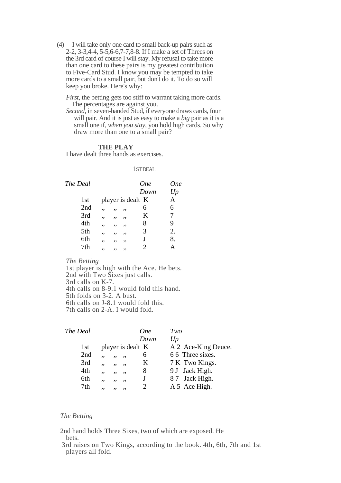(4) I will take only one card to small back-up pairs such as 2-2, 3-3,4-4, 5-5,6-6,7-7,8-8. If I make a set of Threes on the 3rd card of course I will stay. My refusal to take more than one card to these pairs is my greatest contribution to Five-Card Stud. I know you may be tempted to take more cards to a small pair, but don't do it. To do so will keep you broke. Here's why:

*First*, the betting gets too stiff to warrant taking more cards. The percentages are against you.

*Second,* in seven-handed Stud, if everyone draws cards, four will pair. And it is just as easy to make a *big* pair as it is a small one if, *when you stay,* you hold high cards. So why draw more than one to a small pair?

#### **THE PLAY**

I have dealt three hands as exercises.

#### 1ST DEAL

| The Deal |    |    |    | <b>One</b>            | <b>One</b> |
|----------|----|----|----|-----------------------|------------|
|          |    |    |    | Down                  | U p        |
| 1st      |    |    |    | player is dealt K     | A          |
| 2nd      | ,, | ,, | ,, | 6                     | 6          |
| 3rd      | ,, | ,, | ,, | K                     |            |
| 4th      | ,, | ,, | ,, | 8                     | 9          |
| 5th      | ,, | ,, | ,, | 3                     | 2.         |
| 6th      | ,, | ,, | ,, | J                     | 8.         |
| 7th      | ,, | ,, | ,, | $\mathcal{D}_{\cdot}$ |            |
|          |    |    |    |                       |            |

*The Betting* 1st player is high with the Ace. He bets. 2nd with Two Sixes just calls. 3rd calls on K-7. 4th calls on 8-9.1 would fold this hand. 5th folds on 3-2. A bust. 6th calls on J-8.1 would fold this. 7th calls on 2-A. I would fold.

| The Deal |    |    |     | <b>One</b>        | Two                 |
|----------|----|----|-----|-------------------|---------------------|
|          |    |    |     | Down              | Up                  |
| 1st      |    |    |     | player is dealt K | A 2 Ace-King Deuce. |
| 2nd      | ,, | ,, | ,,  | 6                 | 6.6 Three sixes.    |
| 3rd      | ,, | ,, | , , | K                 | 7 K Two Kings.      |
| 4th      | ,, | ,, | ,,  | 8                 | 9 J Jack High.      |
| 6th      | ,, | ,, | ,,  | J                 | 87 Jack High.       |
| 7th      | ,, | ,, | ,,  |                   | A 5 Ace High.       |
|          |    |    |     |                   |                     |

#### *The Betting*

2nd hand holds Three Sixes, two of which are exposed. He bets.

3rd raises on Two Kings, according to the book. 4th, 6th, 7th and 1st players all fold.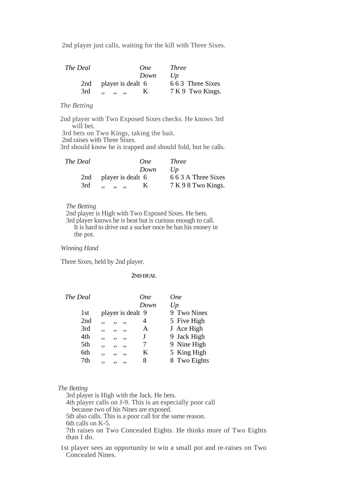2nd player just calls, waiting for the kill with Three Sixes.

| The Deal | <i>One</i>            | <i>Three</i>      |
|----------|-----------------------|-------------------|
|          | Down                  | $U_{\mathcal{D}}$ |
|          | 2nd player is dealt 6 | 663 Three Sixes   |
| 3rd      | ĸ                     | 7 K 9 Two Kings.  |

### *The Betting*

2nd player with Two Exposed Sixes checks. He knows 3rd will bet.

3rd bets on Two Kings, taking the bait.

2nd raises with Three Sixes.

3rd should know he is trapped and should fold, but he calls.

| The Deal | One                   | <b>Three</b>       |
|----------|-----------------------|--------------------|
|          | Down                  | l/n                |
|          | 2nd player is dealt 6 | 663 A Three Sixes  |
| 3rd      | K.<br>, 3, 3, 3,      | 7 K 9 8 Two Kings. |

### *The Betting*

2nd player is High with Two Exposed Sixes. He bets. 3rd player knows he is beat but is curious enough to call. It is hard to drive out a sucker once he has his money in the pot.

### *Winning Hand*

Three Sixes, held by 2nd player.

### **2ND DEAL**

| The Deal        |    |    |    | <i>One</i>        | One          |
|-----------------|----|----|----|-------------------|--------------|
|                 |    |    |    | Down              | U p          |
| 1st             |    |    |    | player is dealt 9 | 9 Two Nines  |
| 2nd             | ,, | ,, | ,, | 4                 | 5 Five High  |
| 3rd             | ,, | ,, | ,, | A                 | J Ace High   |
| 4th             | ,, | ,, | ,, | J                 | 9 Jack High  |
| 5th             | ,, | ,, | ,, | 7                 | 9 Nine High  |
| 6th             | ,, | ,, | ,, | K                 | 5 King High  |
| 7 <sub>th</sub> | ,, | ,, | ,, | 8                 | 8 Two Eights |

### *The Betting*

3rd player is High with the Jack. He bets.

4th player calls on J-9. This is an especially poor call because two of his Nines are exposed.

5th also calls. This is a poor call for the same reason.

6th calls on K-5.

7th raises on Two Concealed Eights. He thinks more of Two Eights than I do.

1st player sees an opportunity to win a small pot and re-raises on Two Concealed Nines.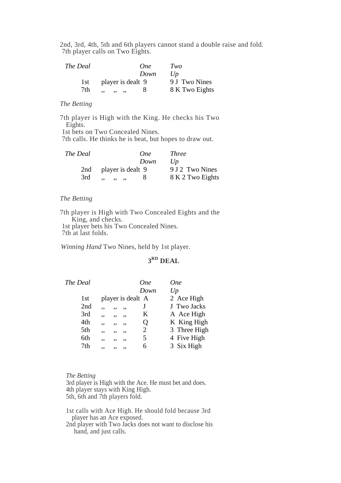2nd, 3rd, 4th, 5th and 6th players cannot stand a double raise and fold. 7th player calls on Two Eights.

| The Deal | <i>One</i>        | Two               |
|----------|-------------------|-------------------|
|          | Down              | $U_{\mathcal{D}}$ |
| 1st      | player is dealt 9 | 9 J Two Nines     |
| 7th      | x<br>, 9, 9, 9    | 8 K Two Eights    |

### *The Betting*

7th player is High with the King. He checks his Two Eights.

1st bets on Two Concealed Nines.

7th calls. He thinks he is beat, but hopes to draw out.

| The Deal | One                   | <i>Three</i>     |
|----------|-----------------------|------------------|
|          | Down                  | Up               |
|          | 2nd player is dealt 9 | 9 J 2 Two Nines  |
| 3rd      | 8<br>,, ,,            | 8 K 2 Two Eights |

### *The Betting*

7th player is High with Two Concealed Eights and the King, and checks. 1st player bets his Two Concealed Nines.

7th at last folds.

*Winning Hand* Two Nines, held by 1st player.

## **3RD DEAL**

| The Deal |    |     |    | <b>One</b>        | One          |
|----------|----|-----|----|-------------------|--------------|
|          |    |     |    | Down              | U p          |
| 1st      |    |     |    | player is dealt A | 2 Ace High   |
| 2nd      | ,, | ,,  | ,, | J                 | J Two Jacks  |
| 3rd      | ,, | , , | ,, | K                 | A Ace High   |
| 4th      | ,, | ,,  | ,, | Q                 | K King High  |
| 5th      | ,, | ,,  | ,, | 2                 | 3 Three High |
| 6th      | ,, | ,,  | ,, | 5                 | 4 Five High  |
| 7th      | ,, | ,,  | ,, | 6                 | 3 Six High   |
|          |    |     |    |                   |              |

*The Betting*

3rd player is High with the Ace. He must bet and does. 4th player stays with King High. 5th, 6th and 7th players fold.

1st calls with Ace High. He should fold because 3rd player has an Ace exposed.

2nd player with Two Jacks does not want to disclose his hand, and just calls.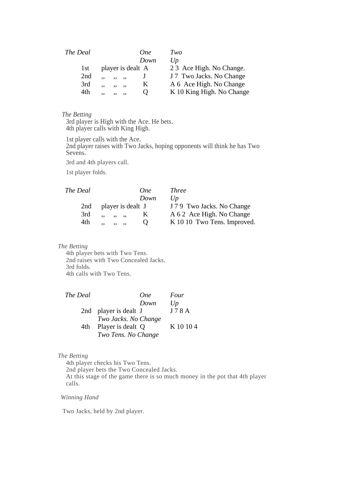| The Deal |                   | One  | Two                       |
|----------|-------------------|------|---------------------------|
|          |                   | Down | Up                        |
| 1st      | player is dealt A |      | 2 3 Ace High. No Change.  |
| 2nd      | ,,<br>,,<br>,,    |      | J 7 Two Jacks. No Change  |
| 3rd      | ,,<br>,,<br>,,    | K    | A 6 Ace High. No Change   |
| 4th      | ,,<br>,,<br>,,    | Ő    | K 10 King High. No Change |

3rd player is High with the Ace. He bets. 4th player calls with King High.

1st player calls with the Ace.

2nd player raises with Two Jacks, hoping opponents will think he has Two Sevens.

3rd and 4th players call.

1st player folds.

| The Deal | One.              | <i>Three</i>                |
|----------|-------------------|-----------------------------|
|          | Down              | $U$ <i>p</i>                |
| 2nd      | player is dealt J | J 7 9 Two Jacks. No Change  |
| 3rd      | K<br>,,,,,<br>۰,  | A 6 2 Ace High. No Change   |
| 4th      | Ő<br>,, ,,<br>٠,  | K 10 10 Two Tens. Improved. |

*The Betting*

4th player bets with Two Tens. 2nd raises with Two Concealed Jacks. 3rd folds. 4th calls with Two Tens.

| The Deal | <i>One</i>            | Four      |
|----------|-----------------------|-----------|
|          | Down                  | Up        |
|          | 2nd player is dealt J | J78A      |
|          | Two Jacks. No Change  |           |
| 4th      | Player is dealt Q     | K 10 10 4 |
|          | Two Tens. No Change   |           |

### *The Betting*

4th player checks his Two Tens. 2nd player bets the Two Concealed Jacks. At this stage of the game there is so much money in the pot that 4th player calls.

*Winning Hand* 

Two Jacks, held by 2nd player.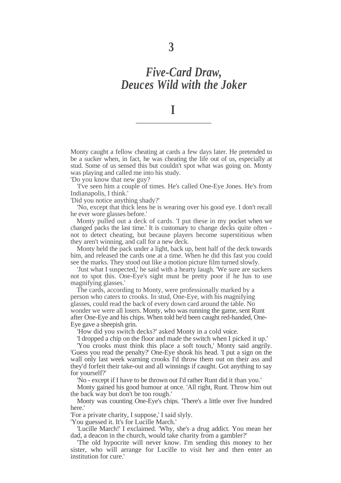## *Five-Card Draw, Deuces Wild with the Joker*

### Monty caught a fellow cheating at cards a few days later. He pretended to be a sucker when, in fact, he was cheating the life out of us, especially at stud. Some of us sensed this but couldn't spot what was going on. Monty was playing and called me into his study.

 **I**

'Do you know that new guy?

'I've seen him a couple of times. He's called One-Eye Jones. He's from Indianapolis, I think.'

'Did you notice anything shady?'

'No, except that thick lens he is wearing over his good eye. I don't recall he ever wore glasses before.'

Monty pulled out a deck of cards. 'I put these in my pocket when we changed packs the last time.' It is customary to change decks quite often not to detect cheating, but because players become superstitious when they aren't winning, and call for a new deck.

Monty held the pack under a light, back up, bent half of the deck towards him, and released the cards one at a time. When he did this fast you could see the marks. They stood out like a motion picture film turned slowly.

'Just what I suspected,' he said with a hearty laugh. 'We sure are suckers not to spot this. One-Eye's sight must be pretty poor if he has to use magnifying glasses.'

The cards, according to Monty, were professionally marked by a person who caters to crooks. In stud, One-Eye, with his magnifying glasses, could read the back of every down card around the table. No wonder we were all losers. Monty, who was running the game, sent Runt after One-Eye and his chips. When told he'd been caught red-handed, One-Eye gave a sheepish grin.

'How did you switch decks?' asked Monty in a cold voice.

'I dropped a chip on the floor and made the switch when I picked it up.'

'You crooks must think this place a soft touch,' Monty said angrily. 'Guess you read the penalty?' One-Eye shook his head. 'I put a sign on the wall only last week warning crooks I'd throw them out on their ass and they'd forfeit their take-out and all winnings if caught. Got anything to say for yourself?'

'No - except if I have to be thrown out I'd rather Runt did it than you.'

Monty gained his good humour at once. 'All right, Runt. Throw him out the back way but don't be too rough.'

Monty was counting One-Eye's chips. 'There's a little over five hundred here.'

'For a private charity, I suppose,' I said slyly.

'You guessed it. It's for Lucille March.'

'Lucille March!' I exclaimed. 'Why, she's a drug addict. You mean her dad, a deacon in the church, would take charity from a gambler?'

'The old hypocrite will never know. I'm sending this money to her sister, who will arrange for Lucille to visit her and then enter an institution for cure.'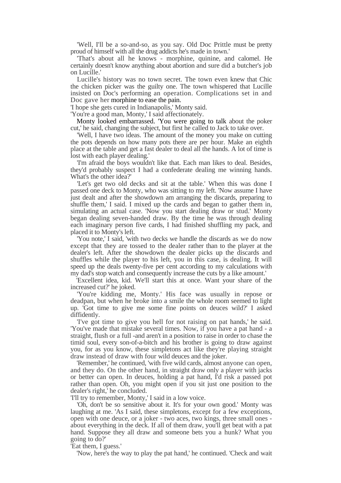'Well, I'll be a so-and-so, as you say. Old Doc Prittle must be pretty proud of himself with all the drug addicts he's made in town.'

'That's about all he knows - morphine, quinine, and calomel. He certainly doesn't know anything about abortion and sure did a butcher's job on Lucille.'

Lucille's history was no town secret. The town even knew that Chic the chicken picker was the guilty one. The town whispered that Lucille insisted on Doc's performing an operation. Complications set in and Doc gave her morphine to ease the pain.

'I hope she gets cured in Indianapolis,' Monty said.

'You're a good man, Monty,' I said affectionately.

Monty looked embarrassed. 'You were going to talk about the poker cut,' he said, changing the subject, but first he called to Jack to take over.

'Well, I have two ideas. The amount of the money you make on cutting the pots depends on how many pots there are per hour. Make an eighth place at the table and get a fast dealer to deal all the hands. A lot of time is lost with each player dealing.'

'I'm afraid the boys wouldn't like that. Each man likes to deal. Besides, they'd probably suspect I had a confederate dealing me winning hands. What's the other idea?'

'Let's get two old decks and sit at the table.' When this was done I passed one deck to Monty, who was sitting to my left. 'Now assume I have just dealt and after the showdown am arranging the discards, preparing to shuffle them,' I said. I mixed up the cards and began to gather them in, simulating an actual case. 'Now you start dealing draw or stud.' Monty began dealing seven-handed draw. By the time he was through dealing each imaginary person five cards, I had finished shuffling my pack, and placed it to Monty's left.

'You note,' I said, 'with two decks we handle the discards as we do now except that they are tossed to the dealer rather than to the player at the dealer's left. After the showdown the dealer picks up the discards and shuffles while the player to his left, you in this case, is dealing. It will speed up the deals twenty-five per cent according to my calculations with my dad's stop watch and consequently increase the cuts by a like amount.'

'Excellent idea, kid. We'll start this at once. Want your share of the increased cut?' he joked.

'You're kidding me, Monty.' His face was usually in repose or deadpan, but when he broke into a smile the whole room seemed to light up. 'Got time to give me some fine points on deuces wild?' I asked diffidently.

'I've got time to give you hell for not raising on pat hands,' he said. 'You've made that mistake several times. Now, if you have a pat hand - a straight, flush or a full -and aren't in a position to raise in order to chase the timid soul, every son-of-a-bitch and his brother is going to draw against you, for as you know, these simpletons act like they're playing straight draw instead of draw with four wild deuces and the joker.

'Remember,' he continued, 'with five wild cards, almost anyone can open, and they do. On the other hand, in straight draw only a player with jacks or better can open. In deuces, holding a pat hand, I'd risk a passed pot rather than open. Oh, you might open if you sit just one position to the dealer's right,' he concluded.

'I'll try to remember, Monty,' I said in a low voice.

'Oh, don't be so sensitive about it. It's for your own good.' Monty was laughing at me. 'As I said, these simpletons, except for a few exceptions, open with one deuce, or a joker - two aces, two kings, three small ones about everything in the deck. If all of them draw, you'll get beat with a pat hand. Suppose they all draw and someone bets you a hunk? What you going to do?'

'Eat them, I guess.'

'Now, here's the way to play the pat hand,' he continued. 'Check and wait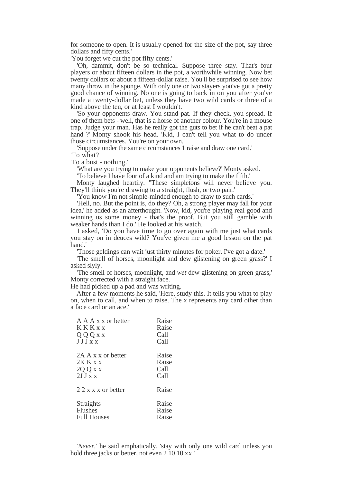for someone to open. It is usually opened for the size of the pot, say three dollars and fifty cents.'

'You forget we cut the pot fifty cents.'

'Oh, dammit, don't be so technical. Suppose three stay. That's four players or about fifteen dollars in the pot, a worthwhile winning. Now bet twenty dollars or about a fifteen-dollar raise. You'll be surprised to see how many throw in the sponge. With only one or two stayers you've got a pretty good chance of winning. No one is going to back in on you after you've made a twenty-dollar bet, unless they have two wild cards or three of a kind above the ten, or at least I wouldn't.

'So your opponents draw. You stand pat. If they check, you spread. If one of them bets - well, that is a horse of another colour. You're in a mouse trap. Judge your man. Has he really got the guts to bet if he can't beat a pat hand ?' Monty shook his head. 'Kid, I can't tell you what to do under those circumstances. You're on your own.'

'Suppose under the same circumstances 1 raise and draw one card.' 'To what?

'To a bust - nothing.'

'What are you trying to make your opponents believe?' Monty asked.

'To believe I have four of a kind and am trying to make the fifth.'

Monty laughed heartily. "These simpletons will never believe you. They'll think you're drawing to a straight, flush, or two pair.'

'You know I'm not simple-minded enough to draw to such cards.'

'Hell, no. But the point is, do they? Oh, a strong player may fall for your idea,' he added as an afterthought. 'Now, kid, you're playing real good and winning us some money - that's the proof. But you still gamble with weaker hands than I do.' He looked at his watch.

I asked, 'Do you have time to go over again with me just what cards you stay on in deuces wild? You've given me a good lesson on the pat hand.'

'Those geldings can wait just thirty minutes for poker. I've got a date.'

'The smell of horses, moonlight and dew glistening on green grass?' I asked slyly.

'The smell of horses, moonlight, and *wet* dew glistening on green grass,' Monty corrected with a straight face.

He had picked up a pad and was writing.

After a few moments he said, 'Here, study this. It tells you what to play on, when to call, and when to raise. The x represents any card other than a face card or an ace.'

| A A A x x or better | Raise |
|---------------------|-------|
| K K K x x           | Raise |
| QQQxx               | Call  |
| <b>JJJ</b> x x      | Call  |
| 2A A x x or better  | Raise |
| 2K K x x            | Raise |
| 2QQX                | Call  |
| 2JJx x              | Call  |
| 2 2 x x x or better | Raise |
| <b>Straights</b>    | Raise |
| <b>Flushes</b>      | Raise |
| <b>Full Houses</b>  | Raise |

*<sup>&#</sup>x27;Never,'* he said emphatically, 'stay with only one wild card unless you hold three jacks or better, not even 2 10 10 xx.'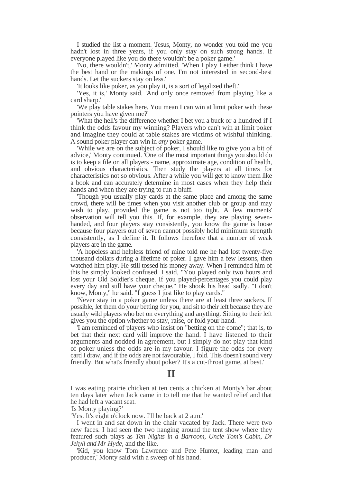I studied the list a moment. 'Jesus, Monty, no wonder you told me you hadn't lost in three years, if you only stay on such strong hands. If everyone played like you do there wouldn't be a poker game.'

'No, there wouldn't,' Monty admitted. 'When I play I either think I have the best hand or the makings of one. I'm not interested in second-best hands. Let the suckers stay on less.'

'It looks like poker, as you play it, is a sort of legalized theft.'

'Yes, it is,' Monty said. 'And only once removed from playing like a card sharp.'

'We play table stakes here. You mean I can win at limit poker with these pointers you have given me?'

'What the hell's the difference whether I bet you a buck or a hundred if I think the odds favour my winning? Players who can't win at limit poker and imagine they could at table stakes are victims of wishful thinking. A sound poker player can win in *any* poker game.

'While we are on the subject of poker, I should like to give you a bit of advice,' Monty continued. 'One of the most important things you should do is to keep a file on all players - name, approximate age, condition of health, and obvious characteristics. Then study the players at all times for characteristics not so obvious. After a while you will get to know them like a book and can accurately determine in most cases when they help their hands and when they are trying to run a bluff.

'Though you usually play cards at the same place and among the same crowd, there will be times when you visit another club or group and may wish to play, provided the game is not too tight. A few moments' observation will tell you this. If, for example, they are playing sevenhanded, and four players stay consistently, you know the game is loose because four players out of seven cannot possibly hold minimum strength consistently, as I define it. It follows therefore that a number of weak players are in the game.

'A hopeless and helpless friend of mine told me he had lost twenty-five thousand dollars during a lifetime of poker. I gave him a few lessons, then watched him play. He still tossed his money away. When I reminded him of this he simply looked confused. I said, "You played only two hours and lost your Old Soldier's cheque. If you played-percentages you could play every day and still have your cheque." He shook his head sadly. "I don't know, Monty," he said. "I guess I just like to play cards."

'Never stay in a poker game unless there are at least three suckers. If possible, let them do your betting for you, and sit to their left because they are usually wild players who bet on everything and anything. Sitting to their left gives you the option whether to stay, raise, or fold your hand.

'I am reminded of players who insist on "betting on the come"; that is, to bet that their next card will improve the hand. I have listened to their arguments and nodded in agreement, but I simply do not play that kind of poker unless the odds are in my favour. I figure the odds for every card I draw, and if the odds are not favourable, I fold. This doesn't sound very friendly. But what's friendly about poker? It's a cut-throat game, at best.'

## **II**

I was eating prairie chicken at ten cents a chicken at Monty's bar about ten days later when Jack came in to tell me that he wanted relief and that he had left a vacant seat.

'Is Monty playing?'

'Yes. It's eight o'clock now. I'll be back at 2 a.m.'

I went in and sat down in the chair vacated by Jack. There were two new faces. I had seen the two hanging around the tent show where they featured such plays as *Ten Nights in a Barroom, Uncle Tom's Cabin, Dr Jekyll and Mr Hyde,* and the like.

'Kid, you know Tom Lawrence and Pete Hunter, leading man and producer,' Monty said with a sweep of his hand.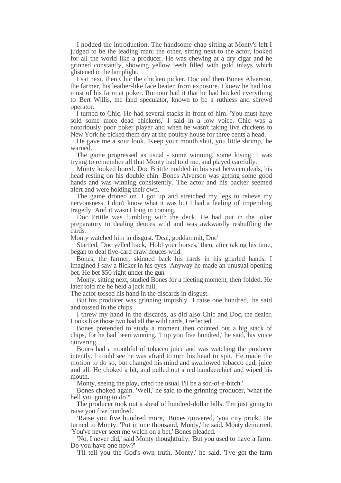I nodded the introduction. The handsome chap sitting at Monty's left I judged to be the leading man; the other, sitting next to the actor, looked for all the world like a producer. He was chewing at a dry cigar and he grinned constantly, showing yellow teeth filled with gold inlays which glistened in the lamplight.

I sat next, then Chic the chicken picker, Doc and then Bones Alverson, the farmer, his leather-like face beaten from exposure. I knew he had lost most of his farm at poker. Rumour had it that he had hocked everything to Bert Willis, the land speculator, known to be a ruthless and shrewd operator.

I turned to Chic. He had several stacks in front of him. 'You must have sold some more dead chickens,' I said in a low voice. Chic was a notoriously poor poker player and when he wasn't taking live chickens to New York he picked them dry at the poultry house for three cents a head.

He gave me a sour look. 'Keep your mouth shut, you little shrimp,' he warned.

The game progressed as usual - some winning, some losing. I was trying to remember all that Monty had told me, and played carefully.

Monty looked bored. Doc Brittle nodded in his seat between deals, his head resting on his double chin. Bones Alverson was getting some good hands and was winning consistently. The actor and his backer seemed alert and were holding their own.

The game droned on. I got up and stretched my legs to relieve my nervousness. I don't know what it was but I had a feeling of impending tragedy. And it wasn't long in coming.

Doc Prittle was fumbling with the deck. He had put in the joker preparatory to dealing deuces wild and was awkwardly reshuffling the cards.

Monty watched him in disgust. 'Deal, goddammit, Doc'

Startled, Doc yelled back, 'Hold your horses,' then, after taking his time, began to deal five-card draw deuces wild.

Bones, the farmer, skinned back his cards in his gnarled hands. I imagined I saw a flicker in his eyes. Anyway he made an unusual opening bet. He bet \$50 right under the gun.

Monty, sitting next, studied Bones for a fleeting moment, then folded. He later told me he held a jack full.

The actor tossed his hand in the discards in disgust.

But his producer was grinning impishly. 'I raise one hundred,' he said and tossed in the chips.

I threw my hand in the discards, as did also Chic and Doc, the dealer. Looks like those two had all the wild cards, I reflected.

Bones pretended to study a moment then counted out a big stack of chips, for he had been winning. 'I up you five hundred,' he said, his voice quivering.

Bones had a mouthful of tobacco juice and was watching the producer intently. I could see he was afraid to turn his head to spit. He made the motion to do so, but changed his mind and swallowed tobacco cud, juice and all. He choked a bit, and pulled out a red handkerchief and wiped his mouth.

Monty, seeing the play, cried the usual 'I'll be a son-of-a-bitch.'

Bones choked again. 'Well,' he said to the grinning producer, 'what the hell you going to do?'

The producer took out a sheaf of hundred-dollar bills. Tm just going to raise you five hundred.'

'Raise you five hundred more,' Bones quivered, 'you city prick.' He turned to Monty. 'Put in one thousand, Monty,' he said. Monty demurred. 'You've never seen me welch on a bet,' Bones pleaded.

'No, I never did,' said Monty thoughtfully. 'But you used to have a farm. Do you have one now?'

'I'll tell you the God's own truth, Monty,' he said. 'I've got the farm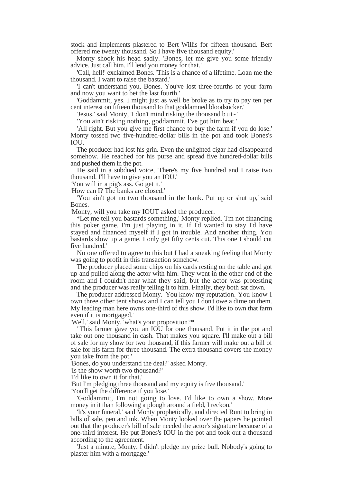stock and implements plastered to Bert Willis for fifteen thousand. Bert offered me twenty thousand. So I have five thousand equity.'

Monty shook his head sadly. 'Bones, let me give you some friendly advice. Just call him. I'll lend you money for that.'

'Call, hell!' exclaimed Bones. 'This is a chance of a lifetime. Loan me the thousand. I want to raise the bastard.'

'I can't understand you, Bones. You've lost three-fourths of your farm and now you want to bet the last fourth.'

'Goddammit, yes. I might just as well be broke as to try to pay ten per cent interest on fifteen thousand to that goddamned bloodsucker.'

'Jesus,' said Monty, 'I don't mind risking the thousand b u t - '

'You ain't risking nothing, goddammit. I've got him beat.'

'All right. But you give me first chance to buy the farm if you do lose.' Monty tossed two five-hundred-dollar bills in the pot and took Bones's IOU.

The producer had lost his grin. Even the unlighted cigar had disappeared somehow. He reached for his purse and spread five hundred-dollar bills and pushed them in the pot.

He said in a subdued voice, 'There's my five hundred and I raise two thousand. I'll have to give you an IOU.'

'You will in a pig's ass. Go get it.'

'How can I? The banks are closed.'

'You ain't got no two thousand in the bank. Put up or shut up,' said Bones.

'Monty, will you take my IOUT asked the producer.

\*Let me tell you bastards something,' Monty replied. Tm not financing this poker game. I'm just playing in it. If I'd wanted to stay I'd have stayed and financed myself if I got in trouble. And another thing. You bastards slow up a game. I only get fifty cents cut. This one I should cut five hundred.'

No one offered to agree to this but I had a sneaking feeling that Monty was going to profit in this transaction somehow.

The producer placed some chips on his cards resting on the table and got up and pulled along the actor with him. They went in the other end of the room and I couldn't hear what they said, but the actor was protesting and the producer was really telling it to him. Finally, they both sat down.

The producer addressed Monty. 'You know my reputation. You know I own three other tent shows and I can tell you I don't owe a dime on them. My leading man here owns one-third of this show. I'd like to own that farm even if it is mortgaged.'

'Well,' said Monty, 'what's your proposition?\*

"This farmer gave you an IOU for one thousand. Put it in the pot and take out one thousand in cash. That makes you square. I'll make out a bill of sale for my show for two thousand, if this farmer will make out a bill of sale for his farm for three thousand. The extra thousand covers the money you take from the pot.'

'Bones, do you understand the deal?' asked Monty.

'Is the show worth two thousand?'

'I'd like to own it for that.'

'But I'm pledging three thousand and my equity is five thousand.'

'You'll get the difference if you lose.'

'Goddammit, I'm not going to lose. I'd like to own a show. More money in it than following a plough around a field, I reckon.'

'It's your funeral,' said Monty prophetically, and directed Runt to bring in bills of sale, pen and ink. When Monty looked over the papers he pointed out that the producer's bill of sale needed the actor's signature because of a one-third interest. He put Bones's IOU in the pot and took out a thousand according to the agreement.

'Just a minute, Monty. I didn't pledge my prize bull. Nobody's going to plaster him with a mortgage.'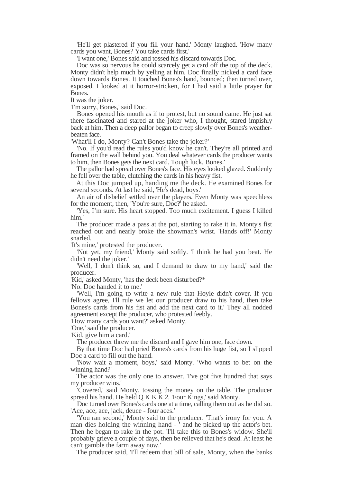'He'll get plastered if you fill your hand.' Monty laughed. 'How many cards you want, Bones? You take cards first.'

'I want one,' Bones said and tossed his discard towards Doc.

Doc was so nervous he could scarcely get a card off the top of the deck. Monty didn't help much by yelling at him. Doc finally nicked a card face down towards Bones. It touched Bones's hand, bounced; then turned over, exposed. I looked at it horror-stricken, for I had said a little prayer for Bones.

It was the joker.

'I'm sorry, Bones,' said Doc.

Bones opened his mouth as if to protest, but no sound came. He just sat there fascinated and stared at the joker who, I thought, stared impishly back at him. Then a deep pallor began to creep slowly over Bones's weatherbeaten face.

'What'll I do, Monty? Can't Bones take the joker?'

'No. If you'd read the rules you'd know he can't. They're all printed and framed on the wall behind you. You deal whatever cards the producer wants to him, then Bones gets the next card. Tough luck, Bones.'

The pallor had spread over Bones's face. His eyes looked glazed. Suddenly he fell over the table, clutching the cards in his heavy fist.

At this Doc jumped up, handing me the deck. He examined Bones for several seconds. At last he said, 'He's dead, boys.'

An air of disbelief settled over the players. Even Monty was speechless for the moment, then, 'You're sure, Doc?' he asked.

'Yes, I'm sure. His heart stopped. Too much excitement. I guess I killed him.'

The producer made a pass at the pot, starting to rake it in. Monty's fist reached out and nearly broke the showman's wrist. 'Hands off!' Monty snarled.

'It's mine,' protested the producer.

'Not yet, my friend,' Monty said softly. 'I think he had you beat. He didn't need the joker.'

'Well, I don't think so, and I demand to draw to my hand,' said the producer.

'Kid,' asked Monty, 'has the deck been disturbed?\*

'No. Doc handed it to me.'

'Well, I'm going to write a new rule that Hoyle didn't cover. If you fellows agree, I'll rule we let our producer draw to his hand, then take Bones's cards from his fist and add the next card to it.' They all nodded agreement except the producer, who protested feebly.

'How many cards you want?' asked Monty.

'One,' said the producer.

'Kid, give him a card.'

The producer threw me the discard and I gave him one, face down.

By that time Doc had pried Bones's cards from his huge fist, so I slipped Doc a card to fill out the hand.

'Now wait a moment, boys,' said Monty. 'Who wants to bet on the winning hand?'

The actor was the only one to answer. Tve got five hundred that says my producer wins.'

'Covered,' said Monty, tossing the money on the table. The producer spread his hand. He held Q K K K 2*.* 'Four Kings,' said Monty.

Doc turned over Bones's cards one at a time, calling them out as he did so. 'Ace, ace, ace, jack, deuce - four aces.'

'You ran second,' Monty said to the producer. 'That's irony for you. A man dies holding the winning hand - ' and he picked up the actor's bet. Then he began to rake in the pot. 'I'll take this to Bones's widow. She'll probably grieve a couple of days, then be relieved that he's dead. At least he can't gamble the farm away now.'

The producer said, 'I'll redeem that bill of sale, Monty, when the banks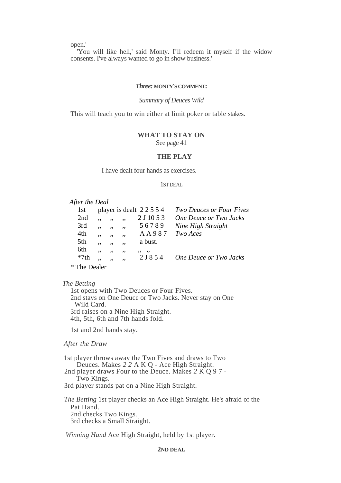open.'

'You will like hell,' said Monty. I'll redeem it myself if the widow consents. I've always wanted to go in show business.'

### *Three:* **MONTY'S COMMENT:**

### *Summary of Deuces Wild*

This will teach you to win either at limit poker or table stakes.

### **WHAT TO STAY ON**

See page 41

### **THE PLAY**

I have dealt four hands as exercises.

1ST DEAL

### *After the Deal*

| 1st                                    |    |     |    | player is dealt 22554 | <i>Two Deuces or Four Fives</i> |
|----------------------------------------|----|-----|----|-----------------------|---------------------------------|
| 2nd                                    | ,, | ,,  | ,, | 2 J 10 5 3            | One Deuce or Two Jacks          |
| 3rd                                    | ۰, | , , | ,, | 56789                 | Nine High Straight              |
| 4th                                    | ., | ,,  | ,, | AA987                 | Two Aces                        |
| 5th                                    | ٠, | ,,  | ,, | a bust.               |                                 |
| 6th                                    | ,, | ,,  | ,, | ,,<br>,,              |                                 |
| $*7th$                                 | ,, | ,,  | ٠, | 2 J 8 5 4             | One Deuce or Two Jacks          |
| $\mathbf{m}$ $\mathbf{D}$ $\mathbf{L}$ |    |     |    |                       |                                 |

\* The Dealer

#### *The Betting*

1st opens with Two Deuces or Four Fives. 2nd stays on One Deuce or Two Jacks. Never stay on One Wild Card. 3rd raises on a Nine High Straight. 4th, 5th, 6th and 7th hands fold.

1st and 2nd hands stay.

*After the Draw* 

1st player throws away the Two Fives and draws to Two Deuces. Makes *2 2* A K Q - Ace High Straight. 2nd player draws Four to the Deuce. Makes *2* K Q 9 7 - Two Kings. 3rd player stands pat on a Nine High Straight.

*The Betting* 1st player checks an Ace High Straight. He's afraid of the Pat Hand. 2nd checks Two Kings. 3rd checks a Small Straight.

*Winning Hand* Ace High Straight, held by 1st player.

### **2ND DEAL**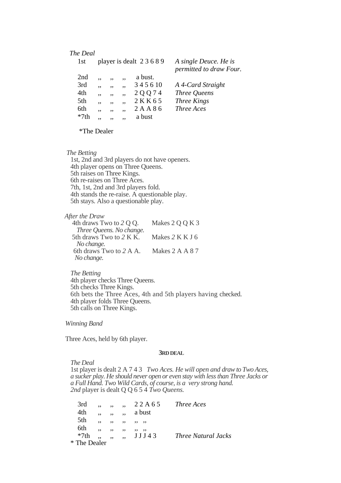### *The Deal*

| 1st    |    |     |     | player is dealt 23689 | A single Deuce. He is<br>permitted to draw Four. |
|--------|----|-----|-----|-----------------------|--------------------------------------------------|
| 2nd    | ,, | , , | ,,  | a bust.               |                                                  |
| 3rd    | ,, | ,   | , , | 345610                | A 4-Card Straight                                |
| 4th    | ٠, | ,,  | ٠,  | 20074                 | Three Queens                                     |
| 5th    | ,, | ,,  | ٠,  | 2 K K 6 5             | Three Kings                                      |
| 6th    | ,, | ,,  | ,,  | 2A A 86               | Three Aces                                       |
| $*7th$ | ,, | ,,  | ,,  | a bust                |                                                  |

### \*The Dealer

*The Betting*

1st, 2nd and 3rd players do not have openers. 4th player opens on Three Queens. 5th raises on Three Kings. 6th re-raises on Three Aces. 7th, 1st, 2nd and 3rd players fold. 4th stands the re-raise. A questionable play. 5th stays. Also a questionable play.

*After the Draw* 

| 4th draws Two to 2 Q Q.  | Makes 2 Q Q K 3   |
|--------------------------|-------------------|
| Three Queens. No change. |                   |
| 5th draws Two to 2 K K.  | Makes 2 K K J 6   |
| No change.               |                   |
| 6th draws Two to 2 A A.  | Makes $2 A A 8 7$ |
| No change.               |                   |

*The Betting*

4th player checks Three Queens. 5th checks Three Kings. 6th bets the Three Aces, 4th and 5th players having checked. 4th player folds Three Queens. 5th calls on Three Kings.

*Winning Band* 

Three Aces, held by 6th player.

### **3RD DEAL**

*The Deal*

1st player is dealt 2 A 7 4 3 *Two Aces. He will open and draw to Two Aces, a sucker play. He should never open or even stay with less than Three Jacks or a Full Hand. Two Wild Cards, of course, is a very strong hand. 2nd* player is dealt Q Q 6 5 4 *Two Queens.* 

| 3rd          | ,, |          | ,, ,, |              | 22A65 Three Aces           |
|--------------|----|----------|-------|--------------|----------------------------|
| 4th          | ,, | $\,$ , , | ,,    | a bust       |                            |
| 5th          | ,, | ,,       | ,,    | , 2, 3       |                            |
| 6th          | ,, | ,,       | ,,    | , , ,<br>,,  |                            |
| $*7th$       |    |          |       | ", ", "JJJ43 | <i>Three Natural Jacks</i> |
| * The Dealer |    |          |       |              |                            |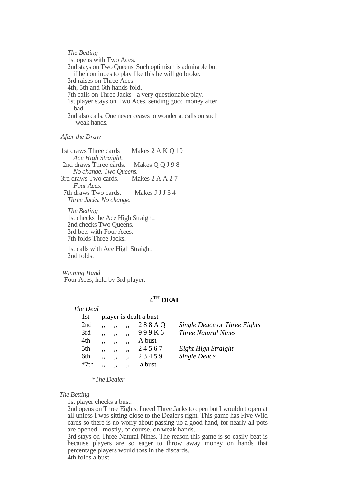1st opens with Two Aces.

2nd stays on Two Queens. Such optimism is admirable but if he continues to play like this he will go broke.

3rd raises on Three Aces.

4th, 5th and 6th hands fold.

7th calls on Three Jacks - a very questionable play.

- 1st player stays on Two Aces, sending good money after bad.
- 2nd also calls. One never ceases to wonder at calls on such weak hands.

### *After the Draw*

1st draws Three cards Makes 2 A K Q 10 *Ace High Straight.*  2nd draws Three cards. Makes Q Q J 9 8 *No change. Two Queens.*  3rd draws Two cards. *Four Aces.*  7th draws Two cards. Makes J J J 3 4 *Three Jacks. No change.*

*The Betting* 1st checks the Ace High Straight. 2nd checks Two Queens. 3rd bets with Four Aces. 7th folds Three Jacks.

1st calls with Ace High Straight. 2nd folds.

*Winning Hand* Four Aces, held by 3rd player.

## **4TH DEAL**

### *The Deal*

| 1st    | player is dealt a bust |    |    |        |                                     |  |  |  |  |
|--------|------------------------|----|----|--------|-------------------------------------|--|--|--|--|
| 2nd    | ,,                     | ,, | ٠, | 288AQ  | <b>Single Deuce or Three Eights</b> |  |  |  |  |
| 3rd    | ,,                     | ,, | ٠, | 999K6  | <b>Three Natural Nines</b>          |  |  |  |  |
| 4th    | , ,                    | ,, | ,, | A bust |                                     |  |  |  |  |
| 5th    | ,,                     | ,, | ,, | 24567  | Eight High Straight                 |  |  |  |  |
| 6th    | ,,                     | ,, | ,, | 23459  | <b>Single Deuce</b>                 |  |  |  |  |
| $*7th$ | ,,                     | ,, | ,, | a bust |                                     |  |  |  |  |

*\*The Dealer* 

### *The Betting*

1st player checks a bust.

2nd opens on Three Eights. I need Three Jacks to open but I wouldn't open at all unless I was sitting close to the Dealer's right. This game has Five Wild cards so there is no worry about passing up a good hand, for nearly all pots are opened - mostly, of course, on weak hands.

3rd stays on Three Natural Nines. The reason this game is so easily beat is because players are so eager to throw away money on hands that percentage players would toss in the discards.

4th folds a bust.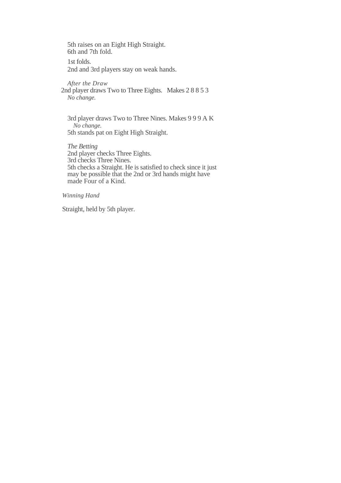5th raises on an Eight High Straight. 6th and 7th fold.

1st folds. 2nd and 3rd players stay on weak hands.

*After the Draw* 2nd player draws Two to Three Eights. Makes 2 8 8 5 3 *No change.*

3rd player draws Two to Three Nines. Makes 9 9 9 A K *No change.*  5th stands pat on Eight High Straight.

*The Betting* 2nd player checks Three Eights. 3rd checks Three Nines. 5th checks a Straight. He is satisfied to check since it just may be possible that the 2nd or 3rd hands might have made Four of a Kind.

### *Winning Hand*

Straight, held by 5th player.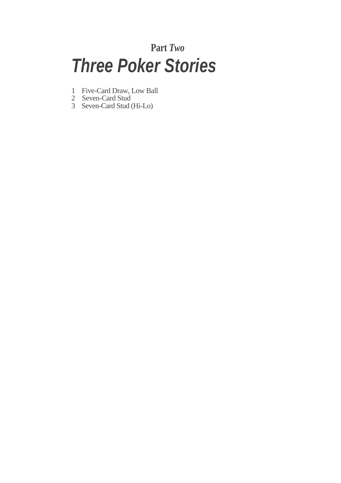# **Part** *Two Three Poker Stories*

- 1 Five-Card Draw, Low Ball
- 2 Seven-Card Stud
- 3 Seven-Card Stud (Hi-Lo)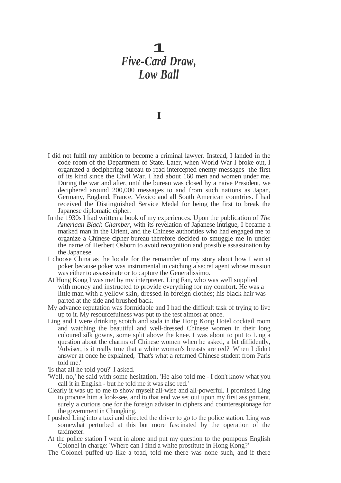## **1**  *Five-Card Draw, Low Ball*

**I** 

### I did not fulfil my ambition to become a criminal lawyer. Instead, I landed in the code room of the Department of State. Later, when World War I broke out, I organized a deciphering bureau to read intercepted enemy messages -the first of its kind since the Civil War. I had about 160 men and women under me. During the war and after, until the bureau was closed by a naive President, we deciphered around 200,000 messages to and from such nations as Japan, Germany, England, France, Mexico and all South American countries. I had received the Distinguished Service Medal for being the first to break the Japanese diplomatic cipher.

- In the 1930s I had written a book of my experiences. Upon the publication of *The American Black Chamber,* with its revelation of Japanese intrigue, I became a marked man in the Orient, and the Chinese authorities who had engaged me to organize a Chinese cipher bureau therefore decided to smuggle me in under the name of Herbert Osborn to avoid recognition and possible assassination by the Japanese.
- I choose China as the locale for the remainder of my story about how I win at poker because poker was instrumental in catching a secret agent whose mission
- At Hong Kong I was met by my interpreter, Ling Fan, who was well supplied with money and instructed to provide everything for my comfort. He was a little man with a yellow skin, dressed in foreign clothes; his black hair was parted at the side and brushed back.
- My advance reputation was formidable and I had the difficult task of trying to live up to it. My resourcefulness was put to the test almost at once.
- Ling and I were drinking scotch and soda in the Hong Kong Hotel cocktail room and watching the beautiful and well-dressed Chinese women in their long coloured silk gowns, some split above the knee. I was about to put to Ling a question about the charms of Chinese women when he asked, a bit diffidently, 'Adviser, is it really true that a white woman's breasts are red?' When I didn't answer at once he explained, 'That's what a returned Chinese student from Paris told me.'

'Is that all he told you?' I asked.

- 'Well, no,' he said with some hesitation. 'He also told me I don't know what you call it in English - but he told me it was also red.'
- Clearly it was up to me to show myself all-wise and all-powerful. I promised Ling to procure him a look-see, and to that end we set out upon my first assignment, surely a curious one for the foreign adviser in ciphers and counterespionage for the government in Chungking.
- I pushed Ling into a taxi and directed the driver to go to the police station. Ling was somewhat perturbed at this but more fascinated by the operation of the taximeter.
- At the police station I went in alone and put my question to the pompous English Colonel in charge: 'Where can I find a white prostitute in Hong Kong?'

The Colonel puffed up like a toad, told me there was none such, and if there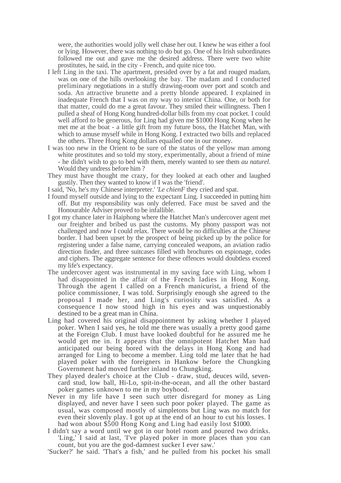were, the authorities would jolly well chase her out. I knew he was either a fool or lying. However, there was nothing to do but go. One of his Irish subordinates followed me out and gave me the desired address. There were two white prostitutes, he said, in the city - French, and quite nice too.

- I left Ling in the taxi. The apartment, presided over by a fat and rouged madam, was on one of the hills overlooking the bay. The madam and I conducted preliminary negotiations in a stuffy drawing-room over port and scotch and soda. An attractive brunette and a pretty blonde appeared. I explained in inadequate French that I was on my way to interior China. One, or both for that matter, could do me a great favour. They smiled their willingness. Then I pulled a sheaf of Hong Kong hundred-dollar bills from my coat pocket. I could well afford to be generous, for Ling had given me \$1000 Hong Kong when he met me at the boat - a little gift from my future boss, the Hatchet Man, with which to amuse myself while in Hong Kong. I extracted two bills and replaced the others. Three Hong Kong dollars equalled one in our money.
- I was too new in the Orient to be sure of the status of the yellow man among white prostitutes and so told my story, experimentally, about a friend of mine - he didn't wish to go to bed with them, merely wanted to see them *au naturel.*  Would they undress before him ?
- They must have thought me crazy, for they looked at each other and laughed gustily. Then they wanted to know if I was the 'friend'.
- I said, 'No, he's my Chinese interpreter.' *'Le chienF* they cried and spat.
- I found myself outside and lying to the expectant Ling. I succeeded in putting him off. But my responsibility was only deferred. Face must be saved and the Honourable Adviser proved to be infallible.
- I got my chance later in Haiphong where the Hatchet Man's undercover agent met our freighter and bribed us past the customs. My phony passport was not challenged and now I could relax. There would be no difficulties at the Chinese border. I had been upset by the prospect of being picked up by the police for registering under a false name, carrying concealed weapons, an aviation radio direction finder, and three suitcases filled with brochures on espionage, codes and ciphers. The aggregate sentence for these offences would doubtless exceed my life's expectancy.
- The undercover agent was instrumental in my saving face with Ling, whom I had disappointed in the affair of the French ladies in Hong Kong. Through the agent I called on a French manicurist, a friend of the police commissioner, I was told. Surprisingly enough she agreed to the proposal I made her, and Ling's curiosity was satisfied. As a consequence I now stood high in his eyes and was unquestionably destined to be a great man in China.
- Ling had covered his original disappointment by asking whether I played poker. When I said yes, he told me there was usually a pretty good game at the Foreign Club. I must have looked doubtful for he assured me he would get me in. It appears that the omnipotent Hatchet Man had anticipated our being bored with the delays in Hong Kong and had arranged for Ling to become a member. Ling told me later that he had played poker with the foreigners in Hankow before the Chungking Government had moved further inland to Chungking.
- They played dealer's choice at the Club draw, stud, deuces wild, sevencard stud, low ball, Hi-Lo, spit-in-the-ocean, and all the other bastard poker games unknown to me in my boyhood.
- Never in my life have I seen such utter disregard for money as Ling displayed, and never have I seen such poor poker played. The game as usual, was composed mostly of simpletons but Ling was no match for even their slovenly play. I got up at the end of an hour to cut his losses. I had won about \$500 Hong Kong and Ling had easily lost \$1000.
- I didn't say a word until we got in our hotel room and poured two drinks. 'Ling,' I said at last, 'I've played poker in more places than you can count, but you are the god-damnest sucker I ever saw.'

'Sucker?' he said. 'That's a fish,' and he pulled from his pocket his small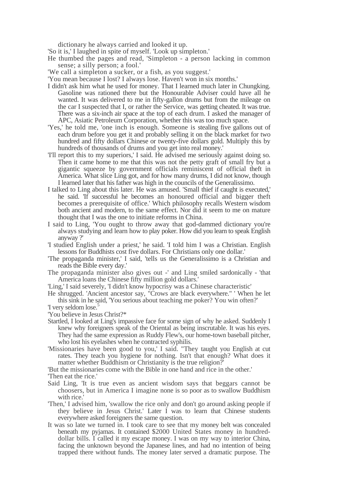dictionary he always carried and looked it up.

- 'So it is,' I laughed in spite of myself. 'Look up simpleton.'
- He thumbed the pages and read, 'Simpleton a person lacking in common sense; a silly person; a fool.'
- 'We call a simpleton a sucker, or a fish, as you suggest.'
- 'You mean because I lost? I always lose. Haven't won in six months.'
- I didn't ask him what he used for money. That I learned much later in Chungking. Gasoline was rationed there but the Honourable Adviser could have all he wanted. It was delivered to me in fifty-gallon drums but from the mileage on the car I suspected that I, or rather the Service, was getting cheated. It was true. There was a six-inch air space at the top of each drum. I asked the manager of APC, Asiatic Petroleum Corporation, whether this was too much space.
- 'Yes,' he told me, 'one inch is enough. Someone is stealing five gallons out of each drum before you get it and probably selling it on the black market for two hundred and fifty dollars Chinese or twenty-five dollars gold. Multiply this by hundreds of thousands of drums and you get into real money.'
- 'I'll report this to my superiors,' I said. He advised me seriously against doing so. Then it came home to me that this was not the petty graft of small fry but a gigantic squeeze by government officials reminiscent of official theft in America. What slice Ling got, and for how many drums, I did not know, though I learned later that his father was high in the councils of the Generalissimo.
- I talked to Ling about this later. He was amused. 'Small thief if caught is executed,' he said. 'If successful he becomes an honoured official and bigger theft becomes a prerequisite of office.' Which philosophy recalls Western wisdom both ancient and modern, to the same effect. Nor did it seem to me on mature thought that I was the one to initiate reforms in China.
- I said to Ling, 'You ought to throw away that god-dammed dictionary you're always studying and learn how to play poker. How did you learn to speak English anyway ?'
- 'I studied English under a priest,' he said. 'I told him I was a Christian. English lessons for Buddhists cost five dollars. For Christians only one dollar.'
- 'The propaganda minister,' I said, 'tells us the Generalissimo is a Christian and reads the Bible every day.'
- The propaganda minister also gives out -' and Ling smiled sardonically 'that America loans the Chinese fifty million gold dollars.'

'Ling,' I said severely, 'I didn't know hypocrisy was a Chinese characteristic'

He shrugged. 'Ancient ancestor say, "Crows are black everywhere." ' When he let this sink in he said, 'You serious about teaching me poker? You win often?' 'I very seldom lose.5

'You believe in Jesus Christ?\*

- Startled, I looked at Ling's impassive face for some sign of why he asked. Suddenly I knew why foreigners speak of the Oriental as being inscrutable. It was his eyes. They had the same expression as Ruddy Flew's, our home-town baseball pitcher, who lost his eyelashes when he contracted syphilis.
- 'Missionaries have been good to you,' I said. "They taught you English at cut rates. They teach you hygiene for nothing. Isn't that enough? What does it matter whether Buddhism or Christianity is the true religion?'

'But the missionaries come with the Bible in one hand and rice in the other.' 'Then eat the rice.'

- Said Ling, 'It is true even as ancient wisdom says that beggars cannot be choosers, but in America I imagine none is so poor as to swallow Buddhism with rice.'
- 'Then,' I advised him, 'swallow the rice only and don't go around asking people if they believe in Jesus Christ.' Later I was to learn that Chinese students everywhere asked foreigners the same question.
- It was so late we turned in. I took care to see that my money belt was concealed beneath my pyjamas. It contained \$2000 United States money in hundreddollar bills. I called it my escape money. I was on my way to interior China, facing the unknown beyond the Japanese lines, and had no intention of being trapped there without funds. The money later served a dramatic purpose. The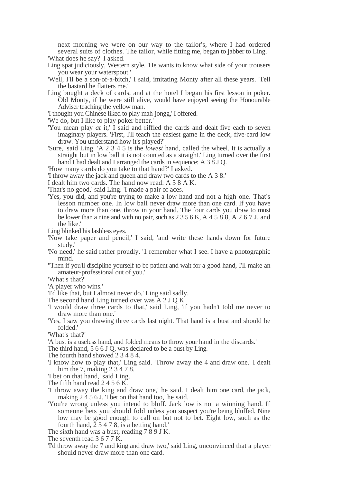next morning we were on our way to the tailor's, where I had ordered several suits of clothes. The tailor, while fitting me, began to jabber to Ling. 'What does he say?' I asked.

- Ling spat judiciously, Western style. 'He wants to know what side of your trousers you wear your waterspout.'
- 'Well, I'll be a son-of-a-bitch,' I said, imitating Monty after all these years. 'Tell the bastard he flatters me.'
- Ling bought a deck of cards, and at the hotel I began his first lesson in poker. Old Monty, if he were still alive, would have enjoyed seeing the Honourable Adviser teaching the yellow man.
- 'I thought you Chinese liked to play mah-jongg,' I offered.
- 'We do, but I like to play poker better.'
- 'You mean play *at* it,' I said and riffled the cards and dealt five each to seven imaginary players. 'First, I'll teach the easiest game in the deck, five-card low draw. You understand how it's played?'
- 'Sure,' said Ling. 'A 2 3 4 5 is the *lowest* hand, called the wheel. It is actually a straight but in low ball it is not counted as a straight.' Ling turned over the first hand I had dealt and I arranged the cards in sequence: A 3 8 J Q.
- 'How many cards do you take to that hand?' I asked.
- 'I throw away the jack and queen and draw two cards to the A 3 8.'
- I dealt him two cards. The hand now read: A 3 8 A K.

'That's no good,' said Ling. 'I made a pair of aces.'

'Yes, you did, and you're trying to make a low hand and not a high one. That's lesson number one. In low ball never draw more than one card. If you have to draw more than one, throw in your hand. The four cards you draw to must be lower than a nine and with no pair, such as 2 3 5 6 K, A 4 5 8 8, A 2 6 7 J, and the like.'

Ling blinked his lashless eyes.

- 'Now take paper and pencil,' I said, 'and write these hands down for future study.'
- 'No need,' he said rather proudly. '1 remember what I see. I have a photographic mind.'
- "Then if you'll discipline yourself to be patient and wait for a good hand, I'll make an amateur-professional out of you.'
- 'What's that?'
- 'A player who wins.'

'I'd like that, but I almost never do,' Ling said sadly.

- The second hand Ling turned over was A 2 J O K.
- 'I would draw three cards to that,' said Ling, 'if you hadn't told me never to draw more than one.'
- 'Yes, I saw you drawing three cards last night. That hand is a bust and should be folded.'
- 'What's that?'
- 'A bust is a useless hand, and folded means to throw your hand in the discards.'

The third hand, 5 6 6 J Q, was declared to be a bust by Ling.

- The fourth hand showed 2 3 4 8 4.
- 'I know how to play that,' Ling said. 'Throw away the 4 and draw one.' I dealt him the 7, making 2 3 4 7 8.
- 'I bet on that hand,' said Ling.
- The fifth hand read 2 4 5 6 K.
- '1 throw away the king and draw one,' he said. I dealt him one card, the jack, making 2 4 5 6 J. 'I bet on that hand too,' he said.
- 'You're wrong unless you intend to bluff. Jack low is not a winning hand. If someone bets you should fold unless you suspect you're being bluffed. Nine low may be good enough to call on but not to bet. Eight low, such as the fourth hand, 2 3 4 7 8, is a betting hand.'

The sixth hand was a bust, reading 7 8 9 J K.

- The seventh read 3 6 7 7 K.
- 'I'd throw away the 7 and king and draw two,' said Ling, unconvinced that a player should never draw more than one card.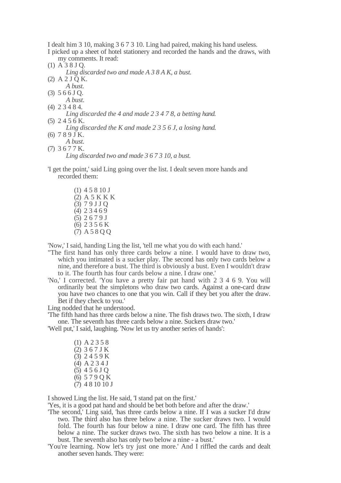I dealt him 3 10, making 3 6 7 3 10. Ling had paired, making his hand useless.

I picked up a sheet of hotel stationery and recorded the hands and the draws, with my comments. It read:

- (1) A 3 8 J Q. *Ling discarded two and made A 3 8 A K, a bust.*  $(2)$  A  $2$  J  $\ddot{\mathrm{O}}$  K.
- *A bust.*
- (3) 5 6 6 J Q.
- *A bust.*
- (4) 2 3 4 8 4. *Ling discarded the 4 and made 2 3 4 7 8, a betting hand.* (5) 2 4 5 6 K.
- *Ling discarded the K and made 2 3 5 6 J, a losing hand.* (6) 7 8 9 J K.
- *A bust.*
- (7) 3 6 7 7 K.

*Ling discarded two and made 3 6 7 3 10, a bust.*

- 'I get the point,' said Ling going over the list. I dealt seven more hands and recorded them:
	- (1) 4 5 8 10 J (2) A 5 K K K (3) 7 9 J J Q (4) 2 3 4 6 9 (5) 2 6 7 9 J (6) 2 3 5 6 K (7) A58QQ

'Now,' I said, handing Ling the list, 'tell me what you do with each hand.'

- "The first hand has only three cards below a nine. I would have to draw two, which you intimated is a sucker play. The second has only two cards below a nine, and therefore a bust. The third is obviously a bust. Even I wouldn't draw to it. The fourth has four cards below a nine. I draw one.'
- 'No,' I corrected. 'You have a pretty fair pat hand with 2 3 4 6 9. You will ordinarily beat the simpletons who draw two cards. Against a one-card draw you have two chances to one that you win. Call if they bet you after the draw. Bet if they check to you.'

Ling nodded that he understood.

'The fifth hand has three cards below a nine. The fish draws two. The sixth, I draw one. The seventh has three cards below a nine. Suckers draw two.'

'Well put,' I said, laughing. 'Now let us try another series of hands':

(1) A 2 3 5 8 (2) 3 6 7 J K (3) 2 4 5 9 K (4) A 2 3 4 J (5) 4 5 6 J Q (6) 5 7 9 Q K (7) 4 8 10 10 J

I showed Ling the list. He said, 'I stand pat on the first.'

'Yes, it is a good pat hand and should be bet both before and after the draw.'

- 'The second,' Ling said, 'has three cards below a nine. If I was a sucker I'd draw two. The third also has three below a nine. The sucker draws two. I would fold. The fourth has four below a nine. I draw one card. The fifth has three below a nine. The sucker draws two. The sixth has two below a nine. It is a bust. The seventh also has only two below a nine - a bust.'
- 'You're learning. Now let's try just one more.' And I riffled the cards and dealt another seven hands. They were: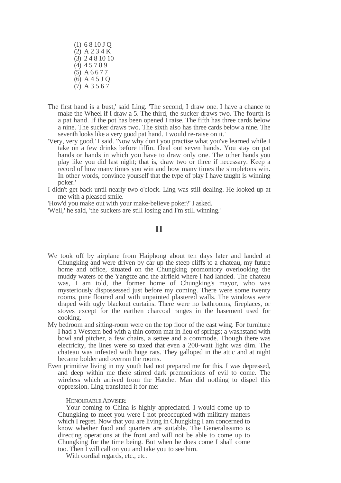| $(1)$ 6 8 10 J Q  |
|-------------------|
| $(2)$ A 2 3 4 K   |
| $(3)$ 2 4 8 10 10 |
| $(4)$ 45789       |
| $(5)$ A 6 6 7 7   |
| $(6)$ A 4 5 J Q   |
| $(7)$ A 3 5 6 7   |

- The first hand is a bust,' said Ling. 'The second, I draw one. I have a chance to make the Wheel if I draw a 5. The third, the sucker draws two. The fourth is a pat hand. If the pot has been opened I raise. The fifth has three cards below a nine. The sucker draws two. The sixth also has three cards below a nine. The seventh looks like a very good pat hand. I would re-raise on it.'
- 'Very, very good,' I said. 'Now why don't you practise what you've learned while I take on a few drinks before tiffin. Deal out seven hands. You stay on pat hands or hands in which you have to draw only one. The other hands you play like you did last night; that is, draw two or three if necessary. Keep a record of how many times you win and how many times the simpletons win. In other words, convince yourself that the type of play I have taught is winning poker.'
- I didn't get back until nearly two o'clock. Ling was still dealing. He looked up at me with a pleased smile.

'How'd you make out with your make-believe poker?' I asked.

'Well,' he said, 'the suckers are still losing and I'm still winning.'

## **II**

- We took off by airplane from Haiphong about ten days later and landed at Chungking and were driven by car up the steep cliffs to a chateau, my future home and office, situated on the Chungking promontory overlooking the muddy waters of the Yangtze and the airfield where I had landed. The chateau was, I am told, the former home of Chungking's mayor, who was mysteriously dispossessed just before my coming. There were some twenty rooms, pine floored and with unpainted plastered walls. The windows were draped with ugly blackout curtains. There were no bathrooms, fireplaces, or stoves except for the earthen charcoal ranges in the basement used for cooking.
- My bedroom and sitting-room were on the top floor of the east wing. For furniture I had a Western bed with a thin cotton mat in lieu of springs; a washstand with bowl and pitcher, a few chairs, a settee and a commode. Though there was electricity, the lines were so taxed that even a 200-watt light was dim. The chateau was infested with huge rats. They galloped in the attic and at night became bolder and overran the rooms.
- Even primitive living in my youth had not prepared me for this. I was depressed, and deep within me there stirred dark premonitions of evil to come. The wireless which arrived from the Hatchet Man did nothing to dispel this oppression. Ling translated it for me:

### HONOURABLE ADVISER:

Your coming to China is highly appreciated. I would come up to Chungking to meet you were I not preoccupied with military matters which I regret. Now that you are living in Chungking I am concerned to know whether food and quarters are suitable. The Generalissimo is directing operations at the front and will not be able to come up to Chungking for the time being. But when he does come I shall come too. Then I will call on you and take you to see him.

With cordial regards, etc., etc.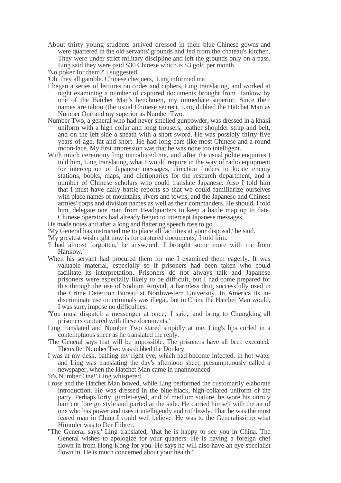About thirty young students arrived dressed in their blue Chinese gowns and were quartered in the old servants' grounds and fed from the chateau's kitchen. They were under strict military discipline and left the grounds only on a pass. Ling said they were paid \$30 Chinese which is \$3 gold per month.

'No poker for them?' I suggested.

- 'Oh, they all gamble. Chinese chequers,' Ling informed me.
- I began a series of lectures on codes and ciphers, Ling translating, and worked at night examining a number of captured documents brought from Hankow by one of the Hatchet Man's henchmen, my immediate superior. Since their names are taboo (the usual Chinese secret), Ling dubbed the Hatchet Man as Number One and my superior as Number Two.
- Number Two, a general who had never smelled gunpowder, was dressed in a khaki uniform with a high collar and long trousers, leather shoulder strap and belt, and on the left side a sheath with a short sword. He was possibly thirty-five years of age, fat and short. He had long ears like most Chinese and a round moon-face. My first impression was that he was none too intelligent.
- With much ceremony ling introduced me, and after the usual polite enquiries I told him, Ling translating, what I would require in the way of radio equipment for interception of Japanese messages, direction finders to locate enemy stations, books, maps, and dictionaries for the research department, and a number of Chinese scholars who could translate Japanese. Also I told him that I must have daily battle reports so that we could familiarize ourselves with place names of mountains, rivers and towns; and the Japanese and Chinese armies' corps and division names as well as their commanders. He should, I told him, delegate one man from Headquarters to keep a battle map up to date. Chinese operators had already begun to intercept Japanese messages.
- He made notes and after a long and flattering speech rose to go.
- 'My General has instructed me to place all facilities at your disposal,' he said.
- 'My greatest wish right now is for captured documents,' I told him.
- 'I had almost forgotten,' he answered. 'I brought some more with me from Hankow.'
- When his servant had procured them for me I examined them eagerly. It was valuable material, especially so if prisoners had been taken who could facilitate its interpretation. Prisoners do not always talk and Japanese prisoners were especially likely to be difficult, but I had come prepared for this through the use of Sodium Amytal, a harmless drug successfully used in the Crime Detection Bureau at Northwestern University. In America its indiscriminate use on criminals was illegal, but in China the Hatchet Man would, I was sure, impose no difficulties.
- 'You must dispatch a messenger at once,' I said, 'and bring to Chungking all prisoners captured with these documents.'
- Ling translated and Number Two stared stupidly at me. Ling's lips curled in a contemptuous sneer as he translated the reply.
- 'The General says that will be impossible. The prisoners have all been executed.' Thereafter Number Two was dubbed the Donkey.
- I was at my desk, bathing my right eye, which had become infected, in hot water and Ling was translating the day's afternoon sheet, presumptuously called a newspaper, when the Hatchet Man came in unannounced.

'It's Number One!' Ling whispered.

- I rose and the Hatchet Man bowed, while Ling performed the customarily elaborate introduction. He was dressed in the blue-black, high-collared uniform of the party. Perhaps forty, gimlet-eyed, and of medium stature, he wore his unruly hair cut foreign style and parted at the side. He carried himself with the air of one who has power and uses it intelligently and ruthlessly. That he was the most feared man in China I could well believe. He was to the Generalissimo what Himmler was to Der Fiihrer.
- "The General says,' Ling translated, 'that he is happy to see you in China. The General wishes to apologize for your quarters. He is having a foreign chef flown in from Hong Kong for you. He says he will also have an eye specialist flown in. He is much concerned about your health.'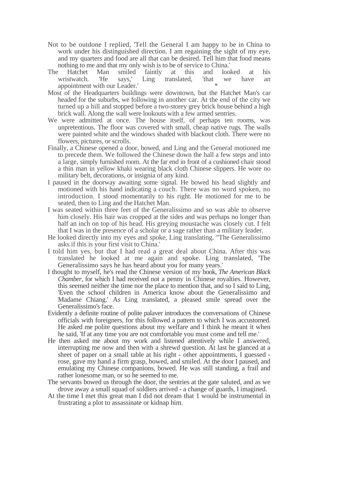- Not to be outdone I replied, 'Tell the General I am happy to be in China to work under his distinguished direction. I am regaining the sight of my eye, and my quarters and food are all that can be desired. Tell him that food means nothing to me and that my only wish is to be of service to China.'
- The Hatchet Man smiled faintly at this and looked at his wristwatch. 'He says,' Ling translated, 'that we have an appointment with our Leader.'
- Most of the Headquarters buildings were downtown, but the Hatchet Man's car headed for the suburbs, we following in another car. At the end of the city we turned up a hill and stopped before a two-storey grey brick house behind a high brick wall. Along the wall were lookouts with a few armed sentries.
- We were admitted at once. The house itself, of perhaps ten rooms, was unpretentious. The floor was covered with small, cheap native rugs. The walls were painted white and the windows shaded with blackout cloth. There were no flowers, pictures, or scrolls.
- Finally, a Chinese opened a door, bowed, and Ling and the General motioned me to precede them. We followed the Chinese down the hall a few steps and into a large, simply furnished room. At the far end in front of a cushioned chair stood a thin man in yellow khaki wearing black cloth Chinese slippers. He wore no military belt, decorations, or insignia of any kind.
- I paused in the doorway awaiting some signal. He bowed his head slightly and motioned with his hand indicating a couch. There was no word spoken, no introduction. I stood momentarily to his right. He motioned for me to be seated, then to Ling and the Hatchet Man.
- I was seated within three feet of the Generalissimo and so was able to observe him closely. His hair was cropped at the sides and was perhaps no longer than half an inch on top of his head. His greying moustache was closely cut. I felt that I was in the presence of a scholar or a sage rather than a military leader.
- He looked directly into my eyes and spoke, Ling translating. "The Generalissimo asks if this is your first visit to China.'
- I told him yes, but that I had read a great deal about China. After this was translated he looked at me again and spoke. Ling translated, 'The Generalissimo says he has heard about you for many years.'
- I thought to myself, he's read the Chinese version of my book, *The American Black Chamber,* for which I had received not a penny in Chinese royalties. However, this seemed neither the time nor the place to mention that, and so I said to Ling, 'Even the school children in America know about the Generalissimo and Madame Chiang.' As Ling translated, a pleased smile spread over the Generalissimo's face.
- Evidently a definite routine of polite palaver introduces the conversations of Chinese officials with foreigners, for this followed a pattern to which I was accustomed. He asked me polite questions about my welfare and I think he meant it when he said, 'If at any time you are not comfortable you must come and tell me.'
- He then asked me about my work and listened attentively while I answered, interrupting me now and then with a shrewd question. At last he glanced at a sheet of paper on a small table at his right - other appointments, I guessed rose, gave my hand a firm grasp, bowed, and smiled. At the door I paused, and emulating my Chinese companions, bowed. He was still standing, a frail and rather lonesome man, or so he seemed to me.
- The servants bowed us through the door, the sentries at the gate saluted, and as we drove away a small squad of soldiers arrived - a change of guards, I imagined.
- At the time I met this great man I did not dream that 1 would be instrumental in frustrating a plot to assassinate or kidnap him.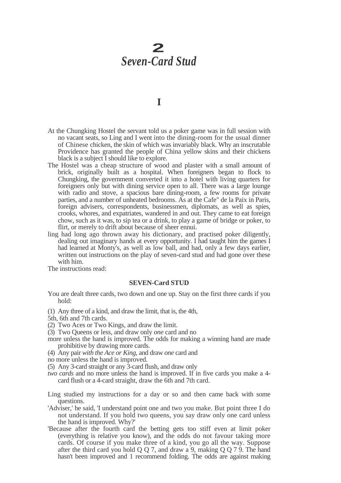## **2**  *Seven-Card Stud*

## **I**

- At the Chungking Hostel the servant told us a poker game was in full session with no vacant seats, so Ling and I went into the dining-room for the usual dinner of Chinese chicken, the skin of which was invariably black. Why an inscrutable Providence has granted the people of China yellow skins and their chickens black is a subject I should like to explore.
- The Hostel was a cheap structure of wood and plaster with a small amount of brick, originally built as a hospital. When foreigners began to flock to Chungking, the government converted it into a hotel with living quarters for foreigners only but with dining service open to all. There was a large lounge with radio and stove, a spacious bare dining-room, a few rooms for private parties, and a number of unheated bedrooms. As at the Cafe" de la Paix in Paris, foreign advisers, correspondents, businessmen, diplomats, as well as spies, crooks, whores, and expatriates, wandered in and out. They came to eat foreign chow, such as it was, to sip tea or a drink, to play a game of bridge or poker, to flirt, or merely to drift about because of sheer ennui.
- ling had long ago thrown away his dictionary, and practised poker diligently, dealing out imaginary hands at every opportunity. I had taught him the games I had learned at Monty's, as well as low ball, and had, only a few days earlier, written out instructions on the play of seven-card stud and had gone over these with him.

The instructions read:

### **SEVEN-Card STUD**

- You are dealt three cards, two down and one up. Stay on the first three cards if you hold:
- (1) Any three of a kind, and draw the limit, that is, the 4th,
- 5th, 6th and 7th cards.
- (2) Two Aces or Two Kings, and draw the limit.
- (3) Two Queens or less, and draw only *one* card and no
- more unless the hand is improved. The odds for making a winning hand are made prohibitive by drawing more cards.
- (4) Any pair *with the Ace or King,* and draw *one* card and
- no more unless the hand is improved.
- (5) Any 3-card straight or any 3-card flush, and draw only
- *two cards* and no more unless the hand is improved. If in five cards you make a 4 card flush or a 4-card straight, draw the 6th and 7th card.
- Ling studied my instructions for a day or so and then came back with some questions.
- 'Adviser,' he said, 'I understand point one and two you make. But point three I do not understand. If you hold two queens, you say draw only one card unless the hand is improved. Why?'
- 'Because after the fourth card the betting gets too stiff even at limit poker (everything is relative you know), and the odds do not favour taking more cards. Of course if you make three of a kind, you go all the way. Suppose after the third card you hold  $QQ7$ , and draw a 9, making  $QQ79$ . The hand hasn't been improved and 1 recommend folding. The odds are against making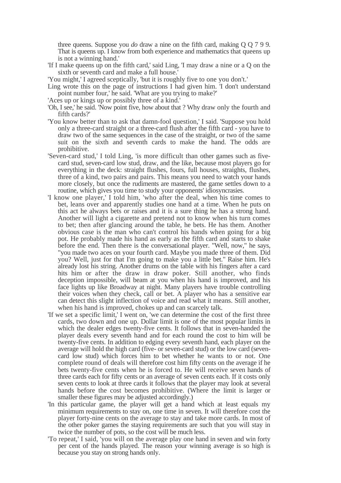three queens. Suppose you *do* draw a nine on the fifth card, making Q Q 7 9 9. That is queens up. I know from both experience and mathematics that queens up is not a winning hand.'

- 'If I make queens up on the fifth card,' said Ling, 'I may draw a nine or a Q on the sixth or seventh card and make a full house.'
- 'You might,' I agreed sceptically, 'but it is roughly five to one you don't.'
- Ling wrote this on the page of instructions I had given him. 'I don't understand point number four,' he said. 'What are you trying to make?'
- 'Aces up or kings up or possibly three of a kind.'
- 'Oh, I see,' he said. 'Now point five, how about that ? Why draw only the fourth and fifth cards?'
- 'You know better than to ask that damn-fool question,' I said. 'Suppose you hold only a three-card straight or a three-card flush after the fifth card - you have to draw two of the same sequences in the case of the straight, or two of the same suit on the sixth and seventh cards to make the hand. The odds are prohibitive.
- 'Seven-card stud,' I told Ling, 'is more difficult than other games such as fivecard stud, seven-card low stud, draw, and the like, because most players go for everything in the deck: straight flushes, fours, full houses, straights, flushes, three of a kind, two pairs and pairs. This means you need to watch your hands more closely, but once the rudiments are mastered, the game settles down to a routine, which gives you time to study your opponents' idiosyncrasies.
- 'I know one player,' I told him, 'who after the deal, when his time comes to bet, leans over and apparently studies one hand at a time. When he puts on this act he always bets or raises and it is a sure thing he has a strong hand. Another will light a cigarette and pretend not to know when his turn comes to bet; then after glancing around the table, he bets. He has them. Another obvious case is the man who can't control his hands when going for a big pot. He probably made his hand as early as the fifth card and starts to shake before the end. Then there is the conversational player. "Well, now," he says, "you made two aces on your fourth card. Maybe you made three of them. Did you? Well, just for that I'm going to make you a little bet." Raise him. He's already lost his string. Another drums on the table with his fingers after a card hits him or after the draw in draw poker. Still another, who finds deception impossible, will beam at you when his hand is improved, and his face lights up like Broadway at night. Many players have trouble controlling their voices when they check, call or bet. A player who has a sensitive ear can detect this slight inflection of voice and read what it means. Still another, when his hand is improved, chokes up and can scarcely talk.
- 'If we set a specific limit,' I went on, 'we can determine the cost of the first three cards, two down and one up. Dollar limit is one of the most popular limits in which the dealer edges twenty-five cents. It follows that in seven-handed the player deals every seventh hand and for each round the cost to him will be twenty-five cents. In addition to edging every seventh hand, each player on the average will hold the high card (five- or seven-card stud) or the low card (sevencard low stud) which forces him to bet whether he wants to or not. One complete round of deals will therefore cost him fifty cents on the average if he bets twenty-five cents when he is forced to. He will receive seven hands of three cards each for fifty cents or an average of seven cents each. If it costs only seven cents to look at three cards it follows that the player may look at several hands before the cost becomes prohibitive. (Where the limit is larger or smaller these figures may be adjusted accordingly.)
- 'In this particular game, the player will get a hand which at least equals my minimum requirements to stay on, one time in seven. It will therefore cost the player forty-nine cents on the average to stay and take more cards. In most of the other poker games the staying requirements are such that you will stay in twice the number of pots, so the cost will be much less.
- 'To repeat,' I said, 'you will on the average play one hand in seven and win forty per cent of the hands played. The reason your winning average is so high is because you stay on strong hands only.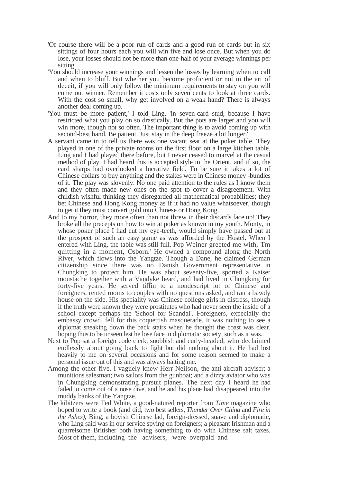- 'Of course there will be a poor run of cards and a good run of cards but in six sittings of four hours each you will win five and lose once. But when you do lose, your losses should not be more than one-half of your average winnings per sitting.
- 'You should increase your winnings and lessen the losses by learning when to call and when to bluff. But whether you become proficient or not in the art of deceit, if you will only follow the minimum requirements to stay on you will come out winner. Remember it costs only seven cents to look at three cards. With the cost so small, why get involved on a weak hand? There is always another deal coming up.
- 'You must be more patient,' I told Ling, 'in seven-card stud, because I have restricted what you play on so drastically. But the pots are larger and you will win more, though not so often. The important thing is to avoid coming up with second-best hand. Be patient. Just stay in the deep freeze a bit longer.'
- A servant came in to tell us there was one vacant seat at the poker table. They played in one of the private rooms on the first floor on a large kitchen table. Ling and I had played there before, but I never ceased to marvel at the casual method of play. I had heard this is accepted style in the Orient, and if so, the card sharps had overlooked a lucrative field. To be sure it takes a lot of Chinese dollars to buy anything and the stakes were in Chinese money -bundles of it. The play was slovenly. No one paid attention to the rules as I know them and they often made new ones on the spot to cover a disagreement. With childish wishful thinking they disregarded all mathematical probabilities; they bet Chinese and Hong Kong money as if it had no value whatsoever, though to get it they must convert gold into Chinese or Hong Kong.
- And to my horror, they more often than not threw in their discards face up! They broke all the precepts on how to win at poker as known in my youth. Monty, in whose poker place I had cut my eye-teeth, would simply have passed out at the prospect of such an easy game as was afforded by the Hostel. When I entered with Ling, the table was still full. Pop Weiner greeted me with, Tm quitting in a moment, Osborn.' He owned a compound along the North River, which flows into the Yangtze. Though a Dane, he claimed German citizenship since there was no Danish Government representative in Chungking to protect him. He was about seventy-five, sported a Kaiser moustache together with a Vandyke beard, and had lived in Chungking for forty-five years. He served tiffin to a nondescript lot of Chinese and foreigners, rented rooms to couples with no questions asked, and ran a bawdy house on the side. His speciality was Chinese college girls in distress, though if the truth were known they were prostitutes who had never seen the inside of a school except perhaps the 'School for Scandal'. Foreigners, expecially the embassy crowd, fell for this coquettish masquerade. It was nothing to see a diplomat sneaking down the back stairs when he thought the coast was clear, hoping thus to be unseen lest he lose face in diplomatic society, such as it was.
- Next to Pop sat a foreign code clerk, snobbish and curly-headed, who declaimed endlessly about going back to fight but did nothing about it. He had lost heavily to me on several occasions and for some reason seemed to make a personal issue out of this and was always baiting me.
- Among the other five, I vaguely knew Herr Neilson, the anti-aircraft adviser; a munitions salesman; two sailors from the gunboat; and a dizzy aviator who was in Chungking demonstrating pursuit planes. The next day I heard he had failed to come out of a nose dive, and he and his plane had disappeared into the muddy banks of the Yangtze.
- The kibitzers were Ted White, a good-natured reporter from *Time* magazine who hoped to write a book (and did, two best sellers, *Thunder Over China* and *Fire in the Ashes);* Bing, a boyish Chinese lad, foreign-dressed, suave and diplomatic, who Ling said was in our service spying on foreigners; a pleasant Irishman and a quarrelsome Britisher both having something to do with Chinese salt taxes. Most of them, including the advisers, were overpaid and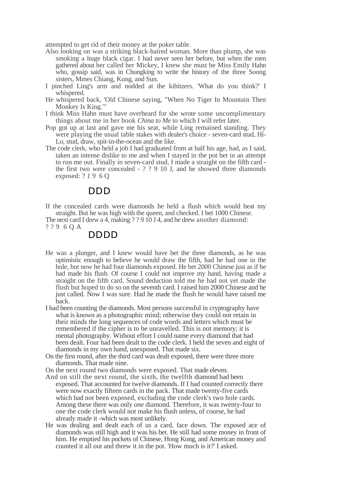attempted to get rid of their money at the poker table.

- Also looking on was a striking black-haired woman. More than plump, she was smoking a huge black cigar. I had never seen her before, but when the men gathered about her called her Mickey, I knew she must be Miss Emily Hahn who, gossip said, was in Chungking to write the history of the three Soong sisters, Mmes Chiang, Kung, and Sun.
- I pinched Ling's arm and nodded at the kibitzers. 'What do you think?' I whispered.
- He whispered back, 'Old Chinese saying, "When No Tiger In Mountain Then Monkey Is King."'
- I think Miss Hahn must have overheard for she wrote some uncomplimentary things about me in her book *China to Me* to which I will refer later.
- Pop got up at last and gave me his seat, while Ling remained standing. They were playing the usual table stakes with dealer's choice - seven-card stud, Hi-Lo, stud, draw, spit-in-the-ocean and the like.
- The code clerk, who held a job I had graduated from at half his age, had, as I said, taken an intense dislike to me and when I stayed in the pot bet in an attempt to run me out. Finally in seven-card stud, I made a straight on the fifth card the first two were concealed - ? ? 9 10 J, and he showed three diamonds exposed: ? *1 9* 6 Q

### D D D

If the concealed cards were diamonds he held a flush which would beat my straight. But he was high with the queen, and checked. I bet 1000 Chinese. The next card I drew a 4, making ? ? 9 10 J 4, and he drew another diamond:

? ? 9 6 Q A

### D D D D

- He was a plunger, and I knew would have bet the three diamonds, as he was optimistic enough to believe he would draw the fifth, had he had one in the hole, but now he had four diamonds exposed. He bet 2000 Chinese just as if he had made his flush. Of course I could not improve my hand, having made a straight on the fifth card. Sound deduction told me he had not yet made the flush but hoped to do so on the seventh card. I raised him 2000 Chinese and he just called. Now I was sure. Had he made the flush he would have raised me back.
- I had been counting the diamonds. Most persons successful in cryptography have what is known as a photographic mind; otherwise they could not retain in their minds the long sequences of code words and letters which must be remembered if the cipher is to be unravelled. This is not memory; it is mental photography. Without effort I could name every diamond that had been dealt. Four had been dealt to the code clerk. I held the seven and eight of diamonds in my own hand, unexposed. That made six.
- On the first round, after the third card was dealt exposed, there were three more diamonds. That made nine.
- On the next round two diamonds were exposed. That made eleven.
- And on still the next round, the sixth, the twelfth diamond had been exposed. That accounted for twelve diamonds. If I had counted correctly there were now exactly fifteen cards in the pack. That made twenty-five cards which had not been exposed, excluding the code clerk's two hole cards. Among these there was only *one* diamond. Therefore, it was twenty-four to one the code clerk would not make his flush unless, of course, he had already made it -which was most unlikely.
- He was dealing and dealt each of us a card, face down. The exposed ace of diamonds was still high and it was his bet. He still had some money in front of him. He emptied his pockets of Chinese, Hong Kong, and American money and counted it all out and threw it in the pot. 'How much is it?' I asked.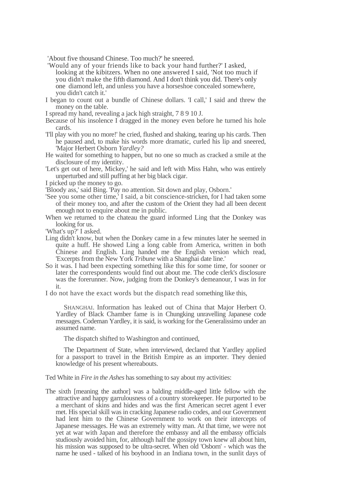'About five thousand Chinese. Too much?' he sneered.

- 'Would any of your friends like to back your hand further?' I asked, looking at the kibitzers. When no one answered I said, 'Not too much if you didn't make the fifth diamond. And I don't think you did. There's only one diamond left, and unless you have a horseshoe concealed somewhere, you didn't catch it.'
- I began to count out a bundle of Chinese dollars. 'I call,' I said and threw the money on the table.
- I spread my hand, revealing a jack high straight, 7 8 9 10 J.
- Because of his insolence I dragged in the money even before he turned his hole cards.
- 'I'll play with you no more!' he cried, flushed and shaking, tearing up his cards. Then he paused and, to make his words more dramatic, curled his lip and sneered, 'Major Herbert Osborn *Yardley?*
- He waited for something to happen, but no one so much as cracked a smile at the disclosure of my identity.
- 'Let's get out of here, Mickey,' he said and left with Miss Hahn, who was entirely unperturbed and still puffing at her big black cigar.
- I picked up the money to go.

'Bloody ass,' said Bing. 'Pay no attention. Sit down and play, Osborn.'

- 'See you some other time,' I said, a bit conscience-stricken, for I had taken some of their money too, and after the custom of the Orient they had all been decent enough not to enquire about me in public.
- When we returned to the chateau the guard informed Ling that the Donkey was looking for us.

'What's up?' I asked.

- Ling didn't know, but when the Donkey came in a few minutes later he seemed in quite a huff. He showed Ling a long cable from America, written in both Chinese and English. Ling handed me the English version which read, 'Excerpts from the New York *Tribune* with a Shanghai date line.'
- So it was. I had been expecting something like this for some time, for sooner or later the correspondents would find out about me. The code clerk's disclosure was the forerunner. Now, judging from the Donkey's demeanour, I was in for it.
- I do not have the exact words but the dispatch read something like this,

SHANGHAI. Information has leaked out of China that Major Herbert O. Yardley of Black Chamber fame is in Chungking unravelling Japanese code messages. Codeman Yardley, it is said, is working for the Generalissimo under an assumed name.

The dispatch shifted to Washington and continued,

The Department of State, when interviewed, declared that Yardley applied for a passport to travel in the British Empire as an importer. They denied knowledge of his present whereabouts.

Ted White in *Fire in the Ashes* has something to say about my activities:

The sixth [meaning the author] was a balding middle-aged little fellow with the attractive and happy garrulousness of a country storekeeper. He purported to be a merchant of skins and hides and was the first American secret agent I ever met. His special skill was in cracking Japanese radio codes, and our Government had lent him to the Chinese Government to work on their intercepts of Japanese messages. He was an extremely witty man. At that time, we were not yet at war with Japan and therefore the embassy and all the embassy officials studiously avoided him, for, although half the gossipy town knew all about him, his mission was supposed to be ultra-secret. When old 'Osborn' - which was the name he used - talked of his boyhood in an Indiana town, in the sunlit days of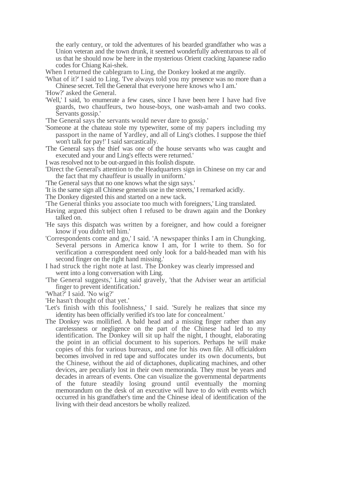the early century, or told the adventures of his bearded grandfather who was a Union veteran and the town drunk, it seemed wonderfully adventurous to all of us that he should now be here in the mysterious Orient cracking Japanese radio codes for Chiang Kai-shek.

When I returned the cablegram to Ling, the Donkey looked at me angrily.

- 'What of it?' I said to Ling. 'I've always told you my presence was no more than a Chinese secret. Tell the General that everyone here knows who I am.'
- 'How?' asked the General.
- 'Well,' I said, 'to enumerate a few cases, since I have been here I have had five guards, two chauffeurs, two house-boys, one wash-amah and two cooks. Servants gossip.'

'The General says the servants would never dare to gossip.'

- 'Someone at the chateau stole my typewriter, some of my papers including my passport in the name of Yardley, and all of Ling's clothes. I suppose the thief won't talk for pay!' I said sarcastically.
- 'The General says the thief was one of the house servants who was caught and executed and your and Ling's effects were returned.'
- I was resolved not to be out-argued in this foolish dispute.
- 'Direct the General's attention to the Headquarters sign in Chinese on my car and the fact that my chauffeur is usually in uniform.'
- 'The General says that no one knows what the sign says.'
- 'It is the same sign all Chinese generals use in the streets,' I remarked acidly.

The Donkey digested this and started on a new tack.

- 'The General thinks you associate too much with foreigners,' Ling translated.
- Having argued this subject often I refused to be drawn again and the Donkey talked on.
- 'He says this dispatch was written by a foreigner, and how could a foreigner know if you didn't tell him.'
- 'Correspondents come and go,' I said. 'A newspaper thinks I am in Chungking. Several persons in America know I am, for I write to them. So for verification a correspondent need only look for a bald-headed man with his second finger on the right hand missing.'
- I had struck the right note at last. The Donkey was clearly impressed and went into a long conversation with Ling.
- 'The General suggests,' Ling said gravely, 'that the Adviser wear an artificial finger to prevent identification.'
- 'What?' I said. 'No wig?'
- 'He hasn't thought of that yet.'
- 'Let's finish with this foolishness,' I said. 'Surely he realizes that since my identity has been officially verified it's too late for concealment.'
- The Donkey was mollified. A bald head and a missing finger rather than any carelessness or negligence on the part of the Chinese had led to my identification. The Donkey will sit up half the night, I thought, elaborating the point in an official document to his superiors. Perhaps he will make copies of this for various bureaux, and one for his own file. All officialdom becomes involved in red tape and suffocates under its own documents, but the Chinese, without the aid of dictaphones, duplicating machines, and other devices, are peculiarly lost in their own memoranda. They must be years and decades in arrears of events. One can visualize the governmental departments of the future steadily losing ground until eventually the morning memorandum on the desk of an executive will have to do with events which occurred in his grandfather's time and the Chinese ideal of identification of the living with their dead ancestors be wholly realized.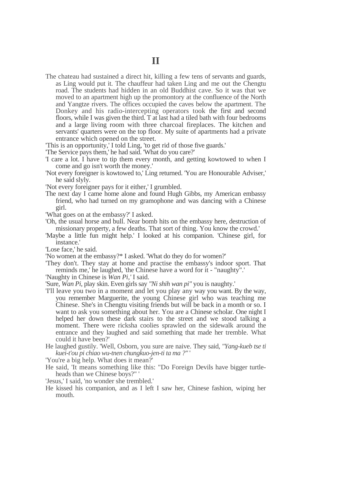- The chateau had sustained a direct hit, killing a few tens of servants and guards, as Ling would put it. The chauffeur had taken Ling and me out the Chengtu road. The students had hidden in an old Buddhist cave. So it was that we moved to an apartment high up the promontory at the confluence of the North and Yangtze rivers. The offices occupied the caves below the apartment. The Donkey and his radio-intercepting operators took the first and second floors, while I was given the third. T at last had a tiled bath with four bedrooms and a large living room with three charcoal fireplaces. The kitchen and servants' quarters were on the top floor. My suite of apartments had a private entrance which opened on the street.
- 'This is an opportunity,' I told Ling, 'to get rid of those five guards.'
- 'The Service pays them,' he had said. 'What do you care?'
- 'I care a lot. I have to tip them every month, and getting kowtowed to when I come and go isn't worth the money.'
- 'Not every foreigner is kowtowed to,' Ling returned. 'You are Honourable Adviser,' he said slyly.
- 'Not every foreigner pays for it either,' I grumbled.
- The next day I came home alone and found Hugh Gibbs, my American embassy friend, who had turned on my gramophone and was dancing with a Chinese girl.
- 'What goes on at the embassy?' I asked.
- 'Oh, the usual horse and bull. Near bomb hits on the embassy here, destruction of missionary property, a few deaths. That sort of thing. You know the crowd.'
- 'Maybe a little fun might help.' I looked at his companion. 'Chinese girl, for instance.'
- 'Lose face,' he said.
- 'No women at the embassy?\* I asked. 'What do they do for women?'
- 'They don't. They stay at home and practise the embassy's indoor sport. That reminds me,' he laughed, 'the Chinese have a word for it - "naughty".'
- 'Naughty in Chinese is *Wan Pi,'* I said.
- 'Sure, *Wan Pi,* play skin. Even girls say *"Ni shih wan pi"* you is naughty.'
- 'I'll leave you two in a moment and let you play any way you want. By the way, you remember Marguerite, the young Chinese girl who was teaching me Chinese. She's in Chengtu visiting friends but will be back in a month or so. I want to ask you something about her. You are a Chinese scholar. One night I helped her down these dark stairs to the street and we stood talking a moment. There were ricksha coolies sprawled on the sidewalk around the entrance and they laughed and said something that made her tremble. What could it have been?'
- He laughed gustily. 'Well, Osborn, you sure are naive. They said, *"Yang-kueb tse ti kuei-t'ou pi chiao wu-tnen chungkuo-jen-ti ta ma ?"* '
- 'You're a big help. What does it mean?'
- He said, 'It means something like this: "Do Foreign Devils have bigger turtleheads than we Chinese boys?" '
- 'Jesus,' I said, 'no wonder she trembled.'
- He kissed his companion, and as I left I saw her, Chinese fashion, wiping her mouth.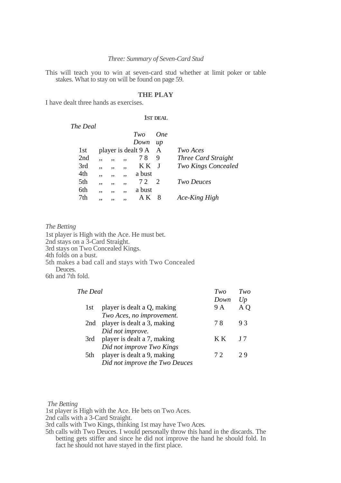### *Three: Summary of Seven-Card Stud*

This will teach you to win at seven-card stud whether at limit poker or table stakes. What to stay on will be found on page 59.

### **THE PLAY**

I have dealt three hands as exercises.

### **1ST DEAL**

| The Deal |    |    |    |                     |                             |                            |
|----------|----|----|----|---------------------|-----------------------------|----------------------------|
|          |    |    |    | Two                 | One                         |                            |
|          |    |    |    | Down                | $\mu$                       |                            |
| 1st      |    |    |    | player is dealt 9 A | A                           | Two Aces                   |
| 2nd      | ,, | ,, | ,, | 78                  | 9                           | Three Card Straight        |
| 3rd      | ٠, | ,, | ,, | K K                 |                             | <b>Two Kings Concealed</b> |
| 4th      | ,, | ,, | ,, | a bust              |                             |                            |
| 5th      | ,, | ,, | ,, | 72                  | $\mathcal{D}_{\mathcal{L}}$ | <b>Two Deuces</b>          |
| 6th      | ,, | ,, | ,, | a bust              |                             |                            |
| 7th      | ,, | ,, | ,, | A K                 | 8                           | Ace-King High              |
|          |    |    |    |                     |                             |                            |

*The Betting* 1st player is High with the Ace. He must bet. 2nd stays on a 3-Card Straight. 3rd stays on Two Concealed Kings. 4th folds on a bust. 5th makes a bad call and stays with Two Concealed Deuces. 6th and 7th fold.

### *The Deal Two Down*  1st player is dealt a Q, making *Two Aces, no improvement.*  9 A A Q 2nd player is dealt a 3, making *Did not improve.*  7 8 9 3 3rd player is dealt a 7, making *Did not improve Two Kings*   $KK$  J7

5th player is dealt a 9, making *Did not improve the Two Deuces*  7 2 2 9

*Two*   $Up$ 

*The Betting*

1st player is High with the Ace. He bets on Two Aces.

2nd calls with a 3-Card Straight.<br>3rd calls with Two Kings, thinking 1st may have Two Aces.

5th calls with Two Deuces. I would personally throw this hand in the discards. The betting gets stiffer and since he did not improve the hand he should fold. In fact he should not have stayed in the first place.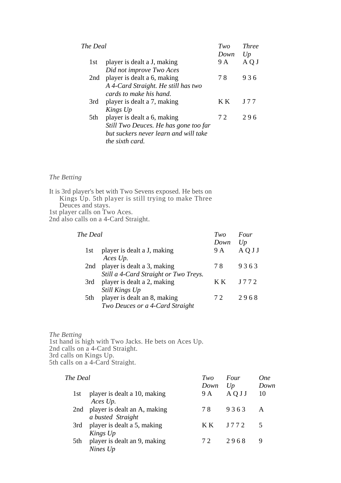| The Deal |                                       | Two  | Three |
|----------|---------------------------------------|------|-------|
|          |                                       | Down | Up    |
| 1st      | player is dealt a J, making           | 9 A  | A Q J |
|          | Did not improve Two Aces              |      |       |
|          | 2nd player is dealt a 6, making       | 78   | 936   |
|          | A 4-Card Straight. He still has two   |      |       |
|          | cards to make his hand.               |      |       |
| 3rd      | player is dealt a 7, making           | K K  | J77   |
|          | Kings Up                              |      |       |
| 5th      | player is dealt a 6, making           | 72   | 296   |
|          | Still Two Deuces. He has gone too far |      |       |
|          | but suckers never learn and will take |      |       |
|          | <i>the sixth card.</i>                |      |       |

It is 3rd player's bet with Two Sevens exposed. He bets on Kings Up. 5th player is still trying to make Three Deuces and stays. 1st player calls on Two Aces.

2nd also calls on a 4-Card Straight.

| The Deal |                                       | Two  | Four |
|----------|---------------------------------------|------|------|
|          |                                       | Down | Up   |
| 1st      | player is dealt a J, making           | 9 A  | AQJJ |
|          | Aces Up.                              |      |      |
|          | 2nd player is dealt a 3, making       | 78   | 9363 |
|          | Still a 4-Card Straight or Two Treys. |      |      |
| 3rd      | player is dealt a 2, making           | K K  | J772 |
|          | Still Kings Up                        |      |      |
| 5th      | player is dealt an 8, making          | 72   | 2968 |
|          | Two Deuces or a 4-Card Straight       |      |      |

*The Betting* 1st hand is high with Two Jacks. He bets on Aces Up. 2nd calls on a 4-Card Straight. 3rd calls on Kings Up. 5th calls on a 4-Card Straight.

| The Deal |                                                       | Two<br>Down | Four<br>Up | One<br>Down    |
|----------|-------------------------------------------------------|-------------|------------|----------------|
| 1st      | player is dealt a 10, making<br>Aces Up.              | 9 A         | AQJJ       | 10             |
|          | 2nd player is dealt an A, making<br>a busted Straight | 78          | 9363       | A              |
| 3rd      | player is dealt a 5, making<br>Kings Up               | K K         | J 7 7 2    | $\overline{5}$ |
| 5th      | player is dealt an 9, making<br>Nines Up              | 72          | 2968       |                |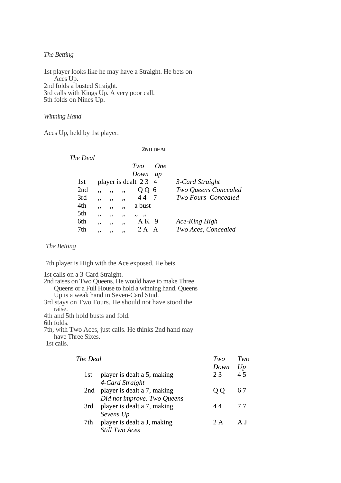1st player looks like he may have a Straight. He bets on Aces Up. 2nd folds a busted Straight. 3rd calls with Kings Up. A very poor call. 5th folds on Nines Up.

### *Winning Hand*

Aces Up, held by 1st player.

### **2ND DEAL**

| The Deal |    |    |    |                      |              |                      |
|----------|----|----|----|----------------------|--------------|----------------------|
|          |    |    |    | Two                  | One          |                      |
|          |    |    |    | Down                 | $\mu$        |                      |
| 1st      |    |    |    | player is dealt 23 4 |              | 3-Card Straight      |
| 2nd      | ,, | ٠, | ,, | Q Q                  | 6            | Two Queens Concealed |
| 3rd      | ,, | ,, | ٠, | 44                   |              | Two Fours Concealed  |
| 4th      | ,, | ,, | ٠, | a bust               |              |                      |
| 5th      | ,, | ,, | ,, | ,,<br>,,             |              |                      |
| 6th      | ,, | ,, | ,, | AK <sub>9</sub>      |              | Ace-King High        |
| 7th      | ,, | ,, | ,, | 2A                   | $\mathbf{A}$ | Two Aces, Concealed  |

### *The Betting*

7th player is High with the Ace exposed. He bets.

1st calls on a 3-Card Straight.

2nd raises on Two Queens. He would have to make Three Queens or a Full House to hold a winning hand. Queens Up is a weak hand in Seven-Card Stud. 3rd stays on Two Fours. He should not have stood the

raise.

4th and 5th hold busts and fold.

6th folds.

7th, with Two Aces, just calls. He thinks 2nd hand may have Three Sixes.

1st calls.

| The Deal |                                 | Two     | Two |
|----------|---------------------------------|---------|-----|
|          |                                 | Down    | Up  |
|          | 1st player is dealt a 5, making | 23      | 4.5 |
|          | 4-Card Straight                 |         |     |
|          | 2nd player is dealt a 7, making | ( ) ( ) | 67  |
|          | Did not improve. Two Queens     |         |     |
|          | 3rd player is dealt a 7, making | 44      | 77  |
|          | Sevens Up                       |         |     |
| 7th      | player is dealt a J, making     | 2A      | A I |
|          | <i>Still Two Aces</i>           |         |     |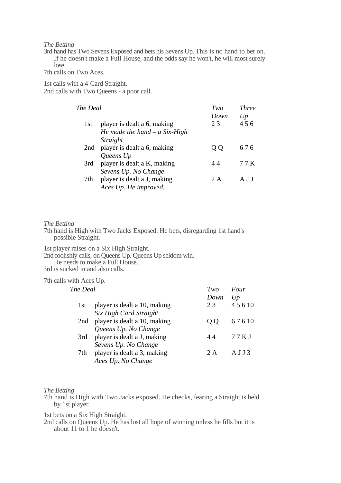3rd hand has Two Sevens Exposed and bets his Sevens Up. This is no hand to bet on. If he doesn't make a Full House, and the odds say he won't, he will most surely lose.

7th calls on Two Aces.

1st calls with a 4-Card Straight. 2nd calls with Two Queens - a poor call.

| Two  | Three |  |
|------|-------|--|
| Down | U p   |  |
| 23   | 456   |  |
|      |       |  |
|      |       |  |
| OΟ   | 676   |  |
|      |       |  |
| 44   | 77K   |  |
|      |       |  |
| 2. A | A J J |  |
|      |       |  |
|      |       |  |

### *The Betting*

7th hand is High with Two Jacks Exposed. He bets, disregarding 1st hand's possible Straight.

1st player raises on a Six High Straight. 2nd foolishly calls, on Queens Up. Queens Up seldom win. He needs to make a Full House. 3rd is sucked in and also calls.

### 7th calls with Aces Up.

| The Deal |                              | Two  | Four    |
|----------|------------------------------|------|---------|
|          |                              | Down | Up      |
| 1st      | player is dealt a 10, making | 23   | 45610   |
|          | Six High Card Straight       |      |         |
| 2nd      | player is dealt a 10, making |      | 67610   |
|          | Queens Up. No Change         |      |         |
| 3rd      | player is dealt a J, making  | 44   | 77 K J  |
|          | Sevens Up. No Change         |      |         |
| 7th      | player is dealt a 3, making  | 2A   | A J J 3 |
|          | Aces Up. No Change           |      |         |
|          |                              |      |         |

### *The Betting*

7th hand is High with Two Jacks exposed. He checks, fearing a Straight is held by 1st player.

1st bets on a Six High Straight.

2nd calls on Queens Up. He has lost all hope of winning unless he fills but it is about 11 to 1 he doesn't.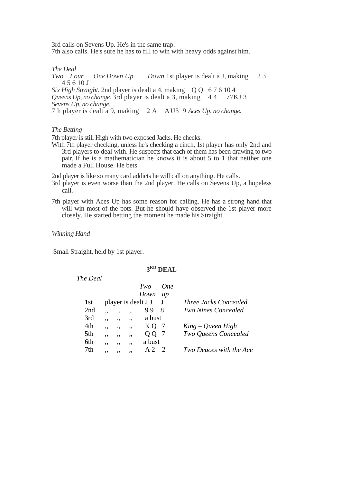3rd calls on Sevens Up. He's in the same trap.

7th also calls. He's sure he has to fill to win with heavy odds against him.

*The Deal One Down Up Down* 1st player is dealt a J, making 2 3 4 5 6 10 J

*Six High Straight.* 2nd player is dealt a 4, making Q Q 6 7 6 10 4 *Queens Up, no change.* 3rd player is dealt a 3, making 44 77KJ 3 *Sevens Up, no change.*

7th player is dealt a 9, making 2 A AJJ3 9 *Aces Up, no change.*

*The Betting*

7th player is still High with two exposed Jacks. He checks.

With 7th player checking, unless he's checking a cinch, 1st player has only 2nd and 3rd players to deal with. He suspects that each of them has been drawing to two pair. If he is a mathematician he knows it is about 5 to 1 that neither one made a Full House. He bets.

2nd player is like so many card addicts he will call on anything. He calls.

- 3rd player is even worse than the 2nd player. He calls on Sevens Up, a hopeless call.
- 7th player with Aces Up has some reason for calling. He has a strong hand that will win most of the pots. But he should have observed the 1st player more closely. He started betting the moment he made his Straight.

*Winning Hand* 

Small Straight, held by 1st player.

## **3RD DEAL**

*The Deal* 

|     |    |    |     | Two                 | One            |                              |
|-----|----|----|-----|---------------------|----------------|------------------------------|
|     |    |    |     | Down                | up             |                              |
| 1st |    |    |     | player is dealt J J |                | <i>Three Jacks Concealed</i> |
| 2nd | ,, | ٠, | ,,  | 99                  | 8              | Two Nines Concealed          |
| 3rd | ,, | ,, | , , | a bust              |                |                              |
| 4th | ,, | ,, | ,   | K Q                 | $\overline{7}$ | $King-Queen High$            |
| 5th | ,, | ,, | , , | O O                 |                | Two Queens Concealed         |
| 6th | ,, | ,, | ,,  | a bust              |                |                              |
| 7th | ,, | ,, | ,,  | A <sup>2</sup>      |                | Two Deuces with the Ace      |
|     |    |    |     |                     |                |                              |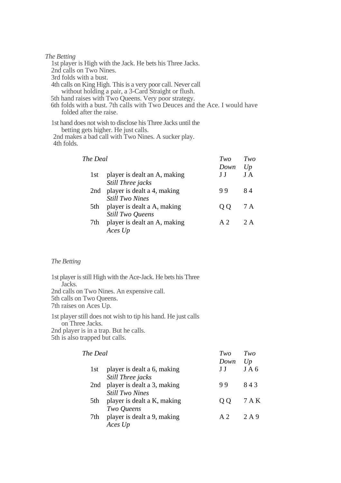| The Betting                                                                                           |
|-------------------------------------------------------------------------------------------------------|
| 1st player is High with the Jack. He bets his Three Jacks.                                            |
| 2nd calls on Two Nines.                                                                               |
| 3rd folds with a bust.                                                                                |
| 4th calls on King High. This is a very poor call. Never call                                          |
| without holding a pair, a 3-Card Straight or flush.                                                   |
| 5th hand raises with Two Queens. Very poor strategy.                                                  |
| 6th folds with a bust. 7th calls with Two Deuces and the Ace. I would have<br>folded after the raise. |
| न जाना प्राप्त को समापा जाता है। अनुसार                                                               |

1st hand does not wish to disclose his Three Jacks until the betting gets higher. He just calls.

2nd makes a bad call with Two Nines. A sucker play. 4th folds.

|     | The Deal<br>Two              |                              | Two            |     |
|-----|------------------------------|------------------------------|----------------|-----|
|     |                              |                              | Down           | Up  |
| 1st | player is dealt an A, making | ЛJ                           | J A            |     |
|     |                              | Still Three jacks            |                |     |
|     | 2nd                          | player is dealt a 4, making  | 99             | 84  |
|     |                              | <b>Still Two Nines</b>       |                |     |
|     | 5th                          | player is dealt a A, making  | O O            | 7 A |
|     |                              | Still Two Queens             |                |     |
|     | 7th                          | player is dealt an A, making | A <sub>2</sub> | 2A  |
|     |                              | Aces Up                      |                |     |
|     |                              |                              |                |     |

*The Betting* 

1st player is still High with the Ace-Jack. He bets his Three Jacks. 2nd calls on Two Nines. An expensive call. 5th calls on Two Queens. 7th raises on Aces Up.

1st player still does not wish to tip his hand. He just calls on Three Jacks. 2nd player is in a trap. But he calls. 5th is also trapped but calls.

| The Deal |                                                       | Two<br>Down | Two<br>Up |
|----------|-------------------------------------------------------|-------------|-----------|
| 1st      | player is dealt a 6, making                           | ЛJ          | J A 6     |
| 2nd      | Still Three jacks<br>player is dealt a 3, making      | 99          | 843       |
| 5th      | <b>Still Two Nines</b><br>player is dealt a K, making | $\Omega$    | 7 A K     |
| 7th      | Two Queens<br>player is dealt a 9, making             | A 2         | 2 A 9     |
|          | Aces Up                                               |             |           |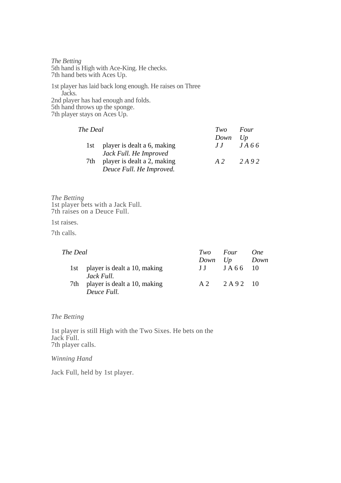## *The Betting*

5th hand is High with Ace-King. He checks. 7th hand bets with Aces Up.

1st player has laid back long enough. He raises on Three Jacks. 2nd player has had enough and folds. 5th hand throws up the sponge. 7th player stays on Aces Up.

| The Deal |                                 | Two     | Four        |
|----------|---------------------------------|---------|-------------|
|          |                                 | Down Up |             |
|          | 1st player is dealt a 6, making |         | $JJ$ $JA66$ |
|          | Jack Full. He Improved          |         |             |
| 7th      | player is dealt a 2, making     | A 2     | 2 A 9 2     |
|          | Deuce Full. He Improved.        |         |             |

*The Betting* 1st player bets with a Jack Full. 7th raises on a Deuce Full.

1st raises.

7th calls.

| The Deal |                                                 | Two Four |                  | One  |
|----------|-------------------------------------------------|----------|------------------|------|
|          |                                                 |          | Down Up          | Down |
|          | 1st player is dealt a 10, making<br>Jack Full.  |          | $JJ$ $JA66$ $10$ |      |
|          | 7th player is dealt a 10, making<br>Deuce Full. |          | A 2 2 A 9 2 10   |      |

## *The Betting*

1st player is still High with the Two Sixes. He bets on the Jack Full. 7th player calls.

#### *Winning Hand*

Jack Full, held by 1st player.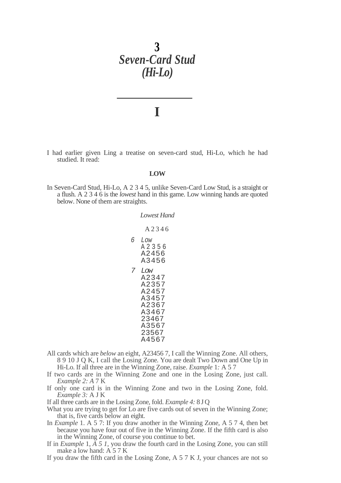**3** *Seven-Card Stud (Hi-Lo)*

**I** 

I had earlier given Ling a treatise on seven-card stud, Hi-Lo, which he had studied. It read:

#### **LOW**

In Seven-Card Stud, Hi-Lo, A 2 3 4 5, unlike Seven-Card Low Stud, is a straight or a flush. A 2 3 4 6 is the *lowest* hand in this game. Low winning hands are quoted below. None of them are straights.

*Lowest Hand* 

A2346 *6 Low*  A 2 3 5 6 A2456 A3456 *7 Low*  A2347 A2357 A2457 A3457 A2367 A3467 23467 A3567 23567 A4567

- All cards which are *below* an eight, A23456 7, I call the Winning Zone. All others, 8 9 10 J Q K, I call the Losing Zone. You are dealt Two Down and One Up in Hi-Lo. If all three are in the Winning Zone, raise. *Example* 1*:* A 5 7
- If two cards are in the Winning Zone and one in the Losing Zone, just call. *Example 2: A* 7 K
- If only one card is in the Winning Zone and two in the Losing Zone, fold. *Example 3:* A J K

If all three cards are in the Losing Zone, fold. *Example 4:* 8JQ

- What you are trying to get for Lo are five cards out of seven in the Winning Zone; that is, five cards below an eight.
- In *Example* 1. A 5 7: If you draw another in the Winning Zone, A 5 7 4, then bet because you have four out of five in the Winning Zone. If the fifth card is also in the Winning Zone, of course you continue to bet.
- If in *Example* 1*, A 5 1,* you draw the fourth card in the Losing Zone, you can still make a low hand: A 5 7 K
- If you draw the fifth card in the Losing Zone, A 5 7 K J, your chances are not so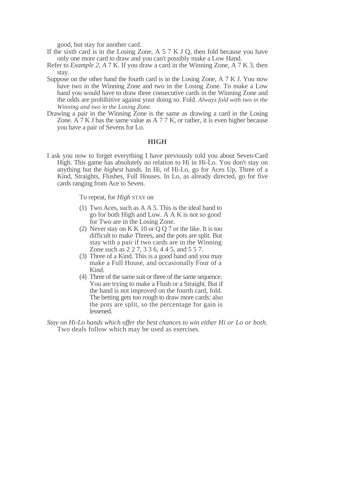good, but stay for another card.

- If the sixth card is in the Losing Zone, A 5 7 K J Q, then fold because you have only one more card to draw and you can't possibly make a Low Hand.
- Refer to *Example 2, A* 7 K. If you draw a card in the Winning Zone, A 7 K 3, then stay.
- Suppose on the other hand the fourth card is in the Losing Zone, A 7 K J. You now have two in the Winning Zone and two in the Losing Zone. To make a Low hand you would have to draw three consecutive cards in the Winning Zone and the odds are prohibitive against your doing so. Fold. *Always fold with two in the Winning and two in the Losing Zone.*
- Drawing a pair in the Winning Zone is the same as drawing a card in the Losing Zone. A 7 K J has the same value as A 7 7 K, or rather, it is even higher because you have a pair of Sevens for Lo.

## **HIGH**

I ask you now to forget everything I have previously told you about Seven-Card High. This game has absolutely no relation to Hi in Hi-Lo. You don't stay on anything but the *highest* hands. In Hi, of Hi-Lo, go for Aces Up, Three of a Kind, Straights, Flushes, Full Houses. In Lo, as already directed, go for five cards ranging from Ace to Seven.

To repeat, for *High* STAY on

- (1) Two Aces, such as A A 5. This is the ideal hand to go for both High and Low. A A K is not so good for Two are in the Losing Zone.
- (2) Never stay on K K 10 or Q Q 7 or the like. It is too difficult to make Threes, and the pots are split. But stay with a pair if two cards are in the Winning Zone such as 2 2 7, 3 3 6, 4 4 5, and 5 5 7.
- (3) Three of a Kind. This is a good hand and you may make a Full House, and occasionally Four of a Kind.
- (4) Three of the same suit or three of the same sequence. You are trying to make a Flush or a Straight. But if the hand is not improved on the fourth card, fold. The betting gets too rough to draw more cards; also the pots are split, so the percentage for gain is lessened.

*Stay on Hi-Lo hands which offer the best chances to win either Hi or Lo or both.*  Two deals follow which may be used as exercises.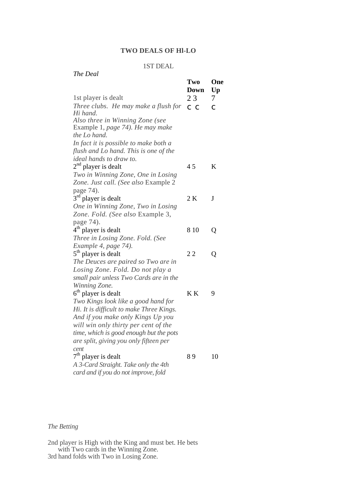## **TWO DEALS OF Hl-LO**

## 1ST DEAL

## *The Deal*

|                                                                                                                                                                                                                                                                                                                                                                                                                                                                                                                                                                             | Two<br><b>Down</b> | One<br>Up |
|-----------------------------------------------------------------------------------------------------------------------------------------------------------------------------------------------------------------------------------------------------------------------------------------------------------------------------------------------------------------------------------------------------------------------------------------------------------------------------------------------------------------------------------------------------------------------------|--------------------|-----------|
| 1st player is dealt                                                                                                                                                                                                                                                                                                                                                                                                                                                                                                                                                         | 23                 | 7         |
| Three clubs. He may make a flush for                                                                                                                                                                                                                                                                                                                                                                                                                                                                                                                                        | C <sub>C</sub>     | С         |
| Hi hand.                                                                                                                                                                                                                                                                                                                                                                                                                                                                                                                                                                    |                    |           |
| Also three in Winning Zone (see                                                                                                                                                                                                                                                                                                                                                                                                                                                                                                                                             |                    |           |
| Example 1, page 74). He may make                                                                                                                                                                                                                                                                                                                                                                                                                                                                                                                                            |                    |           |
| the Lo hand.                                                                                                                                                                                                                                                                                                                                                                                                                                                                                                                                                                |                    |           |
| In fact it is possible to make both a                                                                                                                                                                                                                                                                                                                                                                                                                                                                                                                                       |                    |           |
| flush and Lo hand. This is one of the                                                                                                                                                                                                                                                                                                                                                                                                                                                                                                                                       |                    |           |
| ideal hands to draw to.                                                                                                                                                                                                                                                                                                                                                                                                                                                                                                                                                     |                    |           |
|                                                                                                                                                                                                                                                                                                                                                                                                                                                                                                                                                                             |                    | K         |
| Two in Winning Zone, One in Losing                                                                                                                                                                                                                                                                                                                                                                                                                                                                                                                                          |                    |           |
| Zone. Just call. (See also Example 2                                                                                                                                                                                                                                                                                                                                                                                                                                                                                                                                        |                    |           |
| page 74).                                                                                                                                                                                                                                                                                                                                                                                                                                                                                                                                                                   |                    |           |
|                                                                                                                                                                                                                                                                                                                                                                                                                                                                                                                                                                             | 2 K                | J         |
| One in Winning Zone, Two in Losing                                                                                                                                                                                                                                                                                                                                                                                                                                                                                                                                          |                    |           |
| Zone. Fold. (See also Example 3,                                                                                                                                                                                                                                                                                                                                                                                                                                                                                                                                            |                    |           |
| page 74).                                                                                                                                                                                                                                                                                                                                                                                                                                                                                                                                                                   |                    |           |
|                                                                                                                                                                                                                                                                                                                                                                                                                                                                                                                                                                             | 8 1 0              | Q         |
| Three in Losing Zone. Fold. (See                                                                                                                                                                                                                                                                                                                                                                                                                                                                                                                                            |                    |           |
|                                                                                                                                                                                                                                                                                                                                                                                                                                                                                                                                                                             |                    |           |
|                                                                                                                                                                                                                                                                                                                                                                                                                                                                                                                                                                             | 22                 | Q         |
|                                                                                                                                                                                                                                                                                                                                                                                                                                                                                                                                                                             |                    |           |
|                                                                                                                                                                                                                                                                                                                                                                                                                                                                                                                                                                             |                    |           |
| small pair unless Two Cards are in the                                                                                                                                                                                                                                                                                                                                                                                                                                                                                                                                      |                    |           |
|                                                                                                                                                                                                                                                                                                                                                                                                                                                                                                                                                                             |                    |           |
|                                                                                                                                                                                                                                                                                                                                                                                                                                                                                                                                                                             | KK                 | 9         |
|                                                                                                                                                                                                                                                                                                                                                                                                                                                                                                                                                                             |                    |           |
|                                                                                                                                                                                                                                                                                                                                                                                                                                                                                                                                                                             |                    |           |
|                                                                                                                                                                                                                                                                                                                                                                                                                                                                                                                                                                             |                    |           |
|                                                                                                                                                                                                                                                                                                                                                                                                                                                                                                                                                                             |                    |           |
|                                                                                                                                                                                                                                                                                                                                                                                                                                                                                                                                                                             |                    |           |
|                                                                                                                                                                                                                                                                                                                                                                                                                                                                                                                                                                             |                    |           |
|                                                                                                                                                                                                                                                                                                                                                                                                                                                                                                                                                                             |                    |           |
|                                                                                                                                                                                                                                                                                                                                                                                                                                                                                                                                                                             | 89                 | 10        |
|                                                                                                                                                                                                                                                                                                                                                                                                                                                                                                                                                                             |                    |           |
| card and if you do not improve, fold                                                                                                                                                                                                                                                                                                                                                                                                                                                                                                                                        |                    |           |
| $2nd$ player is dealt<br>$3rd$ player is dealt<br>$4th$ player is dealt<br>Example 4, page 74).<br>$5th$ player is dealt<br>The Deuces are paired so Two are in<br>Losing Zone. Fold. Do not play a<br>Winning Zone.<br>$6th$ player is dealt<br>Two Kings look like a good hand for<br>Hi. It is difficult to make Three Kings.<br>And if you make only Kings Up you<br>will win only thirty per cent of the<br>time, which is good enough but the pots<br>are split, giving you only fifteen per<br>cent<br>$7th$ player is dealt<br>A 3-Card Straight. Take only the 4th | 45                 |           |

## *The Betting*

2nd player is High with the King and must bet. He bets with Two cards in the Winning Zone. 3rd hand folds with Two in Losing Zone.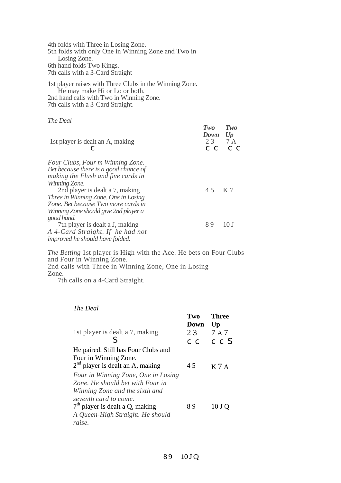4th folds with Three in Losing Zone. 5th folds with only One in Winning Zone and Two in Losing Zone. 6th hand folds Two Kings. 7th calls with a 3-Card Straight

1st player raises with Three Clubs in the Winning Zone. He may make Hi or Lo or both. 2nd hand calls with Two in Winning Zone. 7th calls with a 3-Card Straight.

*The Deal*

| 1st player is dealt an A, making      | Two<br>Two<br>U p<br>Down<br>23<br>7 A<br>C C<br>C C |
|---------------------------------------|------------------------------------------------------|
| Four Clubs, Four m Winning Zone.      |                                                      |
| Bet because there is a good chance of |                                                      |
| making the Flush and five cards in    |                                                      |
| Winning Zone.                         |                                                      |
| 2nd player is dealt a 7, making       | 45 K7                                                |
| Three in Winning Zone, One in Losing  |                                                      |
| Zone. Bet because Two more cards in   |                                                      |
| Winning Zone should give 2nd player a |                                                      |
| good hand.                            |                                                      |
| 7th player is dealt a J, making       | 89<br>10 J                                           |
| A 4-Card Straight. If he had not      |                                                      |
| improved he should have folded.       |                                                      |

*The Betting* 1st player is High with the Ace. He bets on Four Clubs and Four in Winning Zone. 2nd calls with Three in Winning Zone, One in Losing Zone.

7th calls on a 4-Card Straight.

## *The Deal*

| 1st player is dealt a 7, making     | Two<br>Down<br>23<br>C C | Three<br>Up<br>7 A 7<br>c c S |
|-------------------------------------|--------------------------|-------------------------------|
| He paired. Still has Four Clubs and |                          |                               |
| Four in Winning Zone.               |                          |                               |
| $2nd$ player is dealt an A, making  | 45                       | K <sub>7</sub> A              |
| Four in Winning Zone, One in Losing |                          |                               |
| Zone. He should bet with Four in    |                          |                               |
| Winning Zone and the sixth and      |                          |                               |
| seventh card to come.               |                          |                               |
| $7th$ player is dealt a Q, making   | 89                       | 10 J Q                        |
| A Queen-High Straight. He should    |                          |                               |
| raise.                              |                          |                               |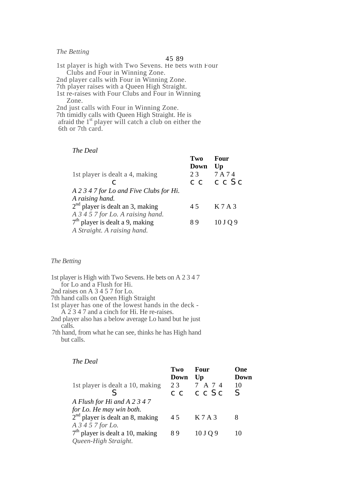#### *The Betting*

#### 45 89

1st player is high with Two Sevens. He bets with Four Clubs and Four in Winning Zone. 2nd player calls with Four in Winning Zone.

7th player raises with a Queen High Straight.

1st re-raises with Four Clubs and Four in Winning Zone.

2nd just calls with Four in Winning Zone. 7th timidly calls with Queen High Straight. He is afraid the  $1<sup>st</sup>$  player will catch a club on either the 6th or 7th card.

## *The Deal*

|                                         | Two            | Four                   |
|-----------------------------------------|----------------|------------------------|
|                                         | <b>Down</b>    | $\mathbf{U}\mathbf{p}$ |
| 1st player is dealt a 4, making         | 23             | 7A74                   |
|                                         | C <sub>c</sub> | $cc$ $sc$              |
| A 2 3 4 7 for Lo and Five Clubs for Hi. |                |                        |
| A raising hand.                         |                |                        |
| $2nd$ player is dealt an 3, making      | 4.5            | K7A3                   |
| A 3 4 5 7 for Lo. A raising hand.       |                |                        |
| $7th$ player is dealt a 9, making       | 89             | 10JQ9                  |
| A Straight. A raising hand.             |                |                        |

## *The Betting*

1st player is High with Two Sevens. He bets on A 2 3 4 7 for Lo and a Flush for Hi. 2nd raises on A 3 4 5 7 for Lo. 7th hand calls on Queen High Straight 1st player has one of the lowest hands in the deck - A 2 3 4 7 and a cinch for Hi. He re-raises.

2nd player also has a below average Lo hand but he just calls.

 7th hand, from what he can see, thinks he has High hand but calls.

## *The Deal*

| 1st player is dealt a 10, making   | Two<br>Down<br>23<br>C <sub>C</sub> | Four<br>Up<br>7 A 7 4<br><b>ccsc</b> | One<br>Down<br>10<br>S |
|------------------------------------|-------------------------------------|--------------------------------------|------------------------|
| A Flush for Hi and A 2 3 4 7       |                                     |                                      |                        |
| for Lo. He may win both.           |                                     |                                      |                        |
| $2nd$ player is dealt an 8, making | 45                                  | K 7 A 3                              | 8                      |
| A 3 4 5 7 for Lo.                  |                                     |                                      |                        |
| $7th$ player is dealt a 10, making | 89                                  | 10JQ9                                | 10                     |
| Queen-High Straight.               |                                     |                                      |                        |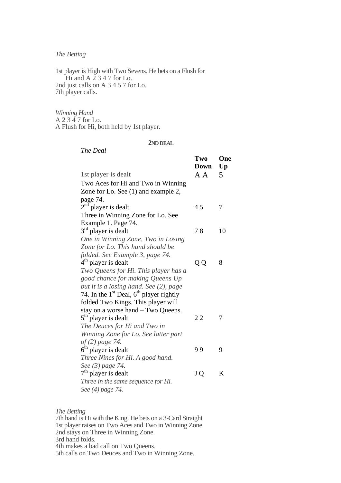## *The Betting*

1st player is High with Two Sevens. He bets on a Flush for Hi and A  $\overline{2}$  3 4 7 for Lo. 2nd just calls on A 3 4 5 7 for Lo. 7th player calls.

*Winning Hand*  A 2 3 4 7 for Lo. A Flush for Hi, both held by 1st player.

*The Deal* 

## **2ND DEAL**

|                                             | Two         | One |
|---------------------------------------------|-------------|-----|
|                                             | <b>Down</b> | Up  |
| 1st player is dealt                         | A A         | 5   |
| Two Aces for Hi and Two in Winning          |             |     |
| Zone for Lo. See $(1)$ and example 2,       |             |     |
| page 74.                                    |             |     |
| $2nd$ player is dealt                       | 45          | 7   |
| Three in Winning Zone for Lo. See           |             |     |
| Example 1. Page 74.                         |             |     |
| 3 <sup>rd</sup> player is dealt             | 78          | 10  |
| One in Winning Zone, Two in Losing          |             |     |
| Zone for Lo. This hand should be            |             |     |
| folded. See Example 3, page 74.             |             |     |
| $4th$ player is dealt                       | Q Q         | 8   |
| Two Queens for Hi. This player has a        |             |     |
| good chance for making Queens Up            |             |     |
| but it is a losing hand. See (2), page      |             |     |
| 74. In the $1st$ Deal, $6th$ player rightly |             |     |
| folded Two Kings. This player will          |             |     |
| stay on a worse hand – Two Queens.          |             |     |
| 5 <sup>th</sup> player is dealt             | 22          | 7   |
| The Deuces for Hi and Two in                |             |     |
| Winning Zone for Lo. See latter part        |             |     |
| of $(2)$ page 74.                           |             |     |
| 6 <sup>th</sup> player is dealt             | 99          | 9   |
| Three Nines for Hi. A good hand.            |             |     |
| See (3) page 74.                            |             |     |
| $7th$ player is dealt                       | J Q         | K   |
| Three in the same sequence for Hi.          |             |     |
| See (4) page 74.                            |             |     |
|                                             |             |     |

*The Betting* 

7th hand is Hi with the King. He bets on a 3-Card Straight 1st player raises on Two Aces and Two in Winning Zone. 2nd stays on Three in Winning Zone. 3rd hand folds. 4th makes a bad call on Two Queens. 5th calls on Two Deuces and Two in Winning Zone.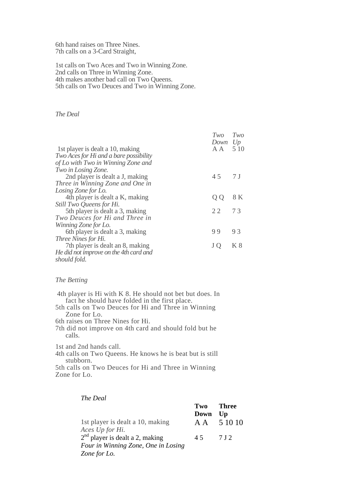6th hand raises on Three Nines. 7th calls on a 3-Card Straight,

1st calls on Two Aces and Two in Winning Zone. 2nd calls on Three in Winning Zone. 4th makes another bad call on Two Queens. 5th calls on Two Deuces and Two in Winning Zone.

*The Deal* 

|                                        | Two<br>Down Up | Two |
|----------------------------------------|----------------|-----|
| 1st player is dealt a 10, making       | AA 510         |     |
| Two Aces for Hi and a bare possibility |                |     |
| of Lo with Two in Winning Zone and     |                |     |
| Two in Losing Zone.                    |                |     |
| 2nd player is dealt a J, making        | 45 7J          |     |
| Three in Winning Zone and One in       |                |     |
| Losing Zone for Lo.                    |                |     |
| 4th player is dealt a K, making        |                | 8 K |
| Still Two Queens for Hi.               |                |     |
| 5th player is dealt a 3, making        | 22 73          |     |
| Two Deuces for Hi and Three in         |                |     |
| Winning Zone for Lo.                   |                |     |
| 6th player is dealt a 3, making        | 99             | 93  |
| Three Nines for Hi.                    |                |     |
| 7th player is dealt an 8, making       | JO             | K 8 |
| He did not improve on the 4th card and |                |     |
| should fold.                           |                |     |

## *The Betting*

4th player is Hi with K 8. He should not bet but does. In fact he should have folded in the first place.

5th calls on Two Deuces for Hi and Three in Winning Zone for Lo.

6th raises on Three Nines for Hi.

7th did not improve on 4th card and should fold but he calls.

1st and 2nd hands call.

4th calls on Two Queens. He knows he is beat but is still stubborn.

5th calls on Two Deuces for Hi and Three in Winning Zone for Lo.

#### *The Deal*

|                                     |      | <b>Two</b> Three |
|-------------------------------------|------|------------------|
|                                     | Down | U <sub>p</sub>   |
| 1st player is dealt a 10, making    |      | A A 5 10 10      |
| Aces Up for Hi.                     |      |                  |
| $2nd$ player is dealt a 2, making   | 45   | 7 J 2            |
| Four in Winning Zone, One in Losing |      |                  |
| Zone for Lo.                        |      |                  |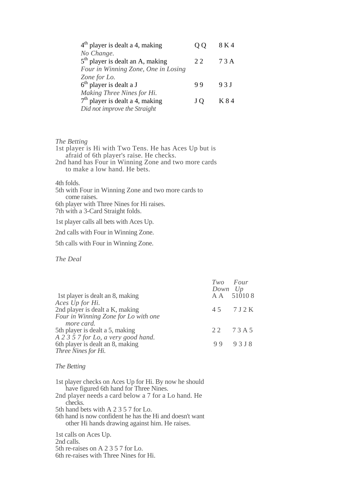| $4th$ player is dealt a 4, making                                 |     | 8 K 4 |
|-------------------------------------------------------------------|-----|-------|
| No Change.<br>$5th$ player is dealt an A, making                  | 22  | 73A   |
| Four in Winning Zone, One in Losing                               |     |       |
| Zone for Lo.<br>$6th$ player is dealt a J                         | 99  | 9 3 J |
| Making Three Nines for Hi.                                        |     |       |
| $7th$ player is dealt a 4, making<br>Did not improve the Straight | JO. | K 8 4 |
|                                                                   |     |       |

## *The Betting*

1st player is Hi with Two Tens. He has Aces Up but is afraid of 6th player's raise. He checks.

2nd hand has Four in Winning Zone and two more cards to make a low hand. He bets.

4th folds.

- 5th with Four in Winning Zone and two more cards to come raises.
- 6th player with Three Nines for Hi raises.

7th with a 3-Card Straight folds.

1st player calls all bets with Aces Up.

2nd calls with Four in Winning Zone.

5th calls with Four in Winning Zone.

*The Deal* 

|                                       | Two Four |           |
|---------------------------------------|----------|-----------|
|                                       | Down Up  |           |
| 1st player is dealt an 8, making      |          | AA 510108 |
| Aces Up for Hi.                       |          |           |
| 2nd player is dealt a K, making       |          | 45 7J2K   |
| Four in Winning Zone for Lo with one  |          |           |
| more card.                            |          |           |
| 5th player is dealt a 5, making       |          | 22 73A5   |
| $A$ 2 3 5 7 for Lo, a very good hand. |          |           |
| 6th player is dealt an 8, making      |          | 99 93J8   |
| Three Nines for Hi.                   |          |           |

#### *The Betting*

- 1st player checks on Aces Up for Hi. By now he should have figured 6th hand for Three Nines.
- 2nd player needs a card below a 7 for a Lo hand. He checks.

5th hand bets with A 2 3 5 7 for Lo.

6th hand is now confident he has the Hi and doesn't want other Hi hands drawing against him. He raises.

1st calls on Aces Up.

2nd calls.

5th re-raises on A 2 3 5 7 for Lo.

6th re-raises with Three Nines for Hi.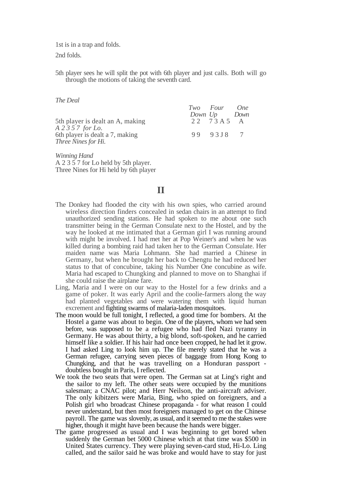1st is in a trap and folds.

2nd folds.

5th player sees he will split the pot with 6th player and just calls. Both will go through the motions of taking the seventh card.

*The Deal*

|                                  | Two Four One |  |
|----------------------------------|--------------|--|
|                                  | Down Up Down |  |
| 5th player is dealt an A, making | 22 73A5 A    |  |
| $A$ 2 3 5 7 for Lo.              |              |  |
| 6th player is dealt a 7, making  | 99 9318 7    |  |
| Three Nines for Hi.              |              |  |

*Winning Hand* A 2 3 5 7 for Lo held by 5th player. Three Nines for Hi held by 6th player

## **II**

- The Donkey had flooded the city with his own spies, who carried around wireless direction finders concealed in sedan chairs in an attempt to find unauthorized sending stations. He had spoken to me about one such transmitter being in the German Consulate next to the Hostel, and by the way he looked at me intimated that a German girl I was running around with might be involved. I had met her at Pop Weiner's and when he was killed during a bombing raid had taken her to the German Consulate. Her maiden name was Maria Lohmann. She had married a Chinese in Germany, but when he brought her back to Chengtu he had reduced her status to that of concubine, taking his Number One concubine as wife. Maria had escaped to Chungking and planned to move on to Shanghai if she could raise the airplane fare.
- Ling, Maria and I were on our way to the Hostel for a few drinks and a game of poker. It was early April and the coolie-farmers along the way had planted vegetables and were watering them with liquid human excrement and fighting swarms of malaria-laden mosquitoes.
- The moon would be full tonight, I reflected, a good time for bombers. At the Hostel a game was about to begin. One of the players, whom we had seen before, was supposed to be a refugee who had fled Nazi tyranny in Germany. He was about thirty, a big blond, soft-spoken, and he carried himself like a soldier. If his hair had once been cropped, he had let it grow. I had asked Ling to look him up. The file merely stated that he was a German refugee, carrying seven pieces of baggage from Hong Kong to Chungking, and that he was travelling on a Honduran passport doubtless bought in Paris, I reflected.
- We took the two seats that were open. The German sat at Ling's right and the sailor to my left. The other seats were occupied by the munitions salesman; a CNAC pilot; and Herr Neilson, the anti-aircraft adviser. The only kibitzers were Maria, Bing, who spied on foreigners, and a Polish girl who broadcast Chinese propaganda - for what reason I could never understand, but then most foreigners managed to get on the Chinese payroll. The game was slovenly, as usual, and it seemed to me the stakes were higher, though it might have been because the hands were bigger.
- The game progressed as usual and I was beginning to get bored when suddenly the German bet 5000 Chinese which at that time was \$500 in United States currency. They were playing seven-card stud, Hi-Lo. Ling called, and the sailor said he was broke and would have to stay for just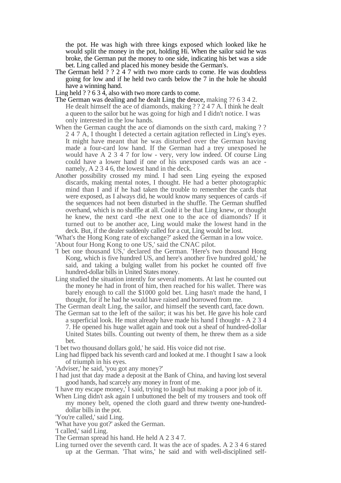the pot. He was high with three kings exposed which looked like he would split the money in the pot, holding Hi. When the sailor said he was broke, the German put the money to one side, indicating his bet was a side bet. Ling called and placed his money beside the German's.

The German held ? ? 2 4 7 with two more cards to come. He was doubtless going for low and if he held two cards below the 7 in the hole he should have a winning hand.

Ling held ? ? 6 3 4, also with two more cards to come.

- The German was dealing and he dealt Ling the deuce, making ?? 6 3 4 2. He dealt himself the ace of diamonds, making ? ? 2 4 7 A. I think he dealt a queen to the sailor but he was going for high and I didn't notice. I was only interested in the low hands.
- When the German caught the ace of diamonds on the sixth card, making ?? 2 4 7 A, I thought I detected a certain agitation reflected in Ling's eyes. It might have meant that he was disturbed over the German having made a four-card low hand. If the German had a trey unexposed he would have A 2 3 4 7 for low - very, very low indeed. Of course Ling could have a lower hand if one of his unexposed cards was an ace namely, A 2 3 4 6, the lowest hand in the deck.
- Another possibility crossed my mind. I had seen Ling eyeing the exposed discards, making mental notes, I thought. He had a better photographic mind than I and if he had taken the trouble to remember the cards that were exposed, as I always did, he would know many sequences of cards -if the sequences had not been disturbed in the shuffle. The German shuffled overhand, which is no shuffle at all. Could it be that Ling knew, or thought he knew, the next card -the next one to the ace of diamonds? If it turned out to be another ace, Ling would make the lowest hand in the deck. But, if the dealer suddenly called for a cut, Ling would be lost.
- 'What's the Hong Kong rate of exchange?' asked the German in a low voice.
- 'About four Hong Kong to one US,' said the CNAC pilot.
- 'I bet one thousand US,' declared the German. 'Here's two thousand Hong Kong, which is five hundred US, and here's another five hundred gold,' he said, and taking a bulging wallet from his pocket he counted off five hundred-dollar bills in United States money.
- Ling studied the situation intently for several moments. At last he counted out the money he had in front of him, then reached for his wallet. There was barely enough to call the \$1000 gold bet. Ling hasn't made the hand, I thought, for if he had he would have raised and borrowed from me.
- The German dealt Ling, the sailor, and himself the seventh card, face down.
- The German sat to the left of the sailor; it was his bet. He gave his hole card a superficial look. He must already have made his hand I thought - A 2 3 4 7. He opened his huge wallet again and took out a sheaf of hundred-dollar United States bills. Counting out twenty of them, he threw them as a side bet.

'I bet two thousand dollars gold,' he said. His voice did not rise.

Ling had flipped back his seventh card and looked at me. I thought I saw a look of triumph in his eyes.

'Adviser,' he said, 'you got any money?'

I had just that day made a deposit at the Bank of China, and having lost several good hands, had scarcely any money in front of me.

'I have my escape money,' I said, trying to laugh but making a poor job of it.

- When Ling didn't ask again I unbuttoned the belt of my trousers and took off my money belt, opened the cloth guard and threw twenty one-hundreddollar bills in the pot.
- 'You're called,' said Ling.
- 'What have you got?' asked the German.

'I called,' said Ling.

The German spread his hand. He held A 2 3 4 7.

Ling turned over the seventh card. It was the ace of spades. A 2 3 4 6 stared up at the German. 'That wins,' he said and with well-disciplined self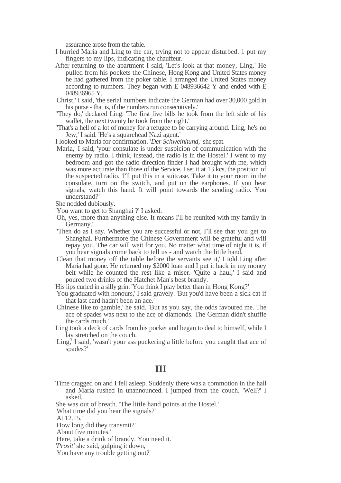assurance arose from the table.

- I hurried Maria and Ling to the car, trying not to appear disturbed. 1 put my fingers to my lips, indicating the chauffeur.
- After returning to the apartment I said, 'Let's look at that money, Ling.' He pulled from his pockets the Chinese, Hong Kong and United States money he had gathered from the poker table. I arranged the United States money according to numbers. They began with E 048936642 Y and ended with E 048936965 Y.
- 'Christ,' I said, 'the serial numbers indicate the German had over 30,000 gold in his purse - that is, if the numbers run consecutively.'
- "They do,' declared Ling. 'The first five bills he took from the left side of his wallet, the next twenty he took from the right.'
- "That's a hell of a lot of money for a refugee to be carrying around. Ling, he's no Jew,' I said. 'He's a squarehead Nazi agent.'
- I looked to Maria for confirmation. *'Der Schweinhund,'* she spat.
- 'Maria,' I said, 'your consulate is under suspicion of communication with the enemy by radio. I think, instead, the radio is in the Hostel.' I went to my bedroom and got the radio direction finder I had brought with me, which was more accurate than those of the Service. I set it at 13 kcs, the position of the suspected radio. 'I'll put this in a suitcase. Take it to your room in the consulate, turn on the switch, and put on the earphones. If you hear signals, watch this hand. It will point towards the sending radio. You understand?'

She nodded dubiously.

- 'You want to get to Shanghai ?' I asked.
- 'Oh, yes, more than anything else. It means I'll be reunited with my family in Germany.'
- "Then do as I say. Whether you are successful or not, I'll see that you get to Shanghai. Furthermore the Chinese Government will be grateful and will repay you. The car will wait for you. No matter what time of night it is, if you hear signals come back to tell us - and watch the little hand.
- 'Clean that money off the table before the servants see it,' I told Ling after Maria had gone. He returned my \$2000 loan and I put it back in my money belt while he counted the rest like a miser. 'Quite a haul,' I said and poured two drinks of the Hatchet Man's best brandy.

His lips curled in a silly grin. 'You think I play better than in Hong Kong?'

- 'You graduated with honours,' I said gravely. 'But you'd have been a sick cat if that last card hadn't been an ace.'
- 'Chinese like to gamble,' he said. 'But as you say, the odds favoured me. The ace of spades was next to the ace of diamonds. The German didn't shuffle the cards much.'
- Ling took a deck of cards from his pocket and began to deal to himself, while I lay stretched on the couch.
- 'Ling,' I said, 'wasn't your ass puckering a little before you caught that ace of spades?'

## **III**

- Time dragged on and I fell asleep. Suddenly there was a commotion in the hall and Maria rushed in unannounced. I jumped from the couch. 'Well?' I asked.
- She was out of breath. 'The little hand points at the Hostel.'
- 'What time did you hear the signals?'
- 'At 12.15.'
- 'How long did they transmit?'
- 'About five minutes.'
- 'Here, take a drink of brandy. You need it.'
- *'Prosit'* she said, gulping it down,
- 'You have any trouble getting out?'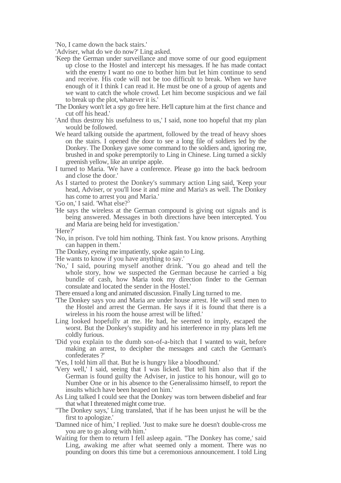'No, I came down the back stairs.'

'Adviser, what do we do now?' Ling asked.

- 'Keep the German under surveillance and move some of our good equipment up close to the Hostel and intercept his messages. If he has made contact with the enemy I want no one to bother him but let him continue to send and receive. His code will not be too difficult to break. When we have enough of it I think I can read it. He must be one of a group of agents and we want to catch the whole crowd. Let him become suspicious and we fail to break up the plot, whatever it is.'
- 'The Donkey won't let a spy go free here. He'll capture him at the first chance and cut off his head.'
- 'And thus destroy his usefulness to us,' I said, none too hopeful that my plan would be followed.
- We heard talking outside the apartment, followed by the tread of heavy shoes on the stairs. I opened the door to see a long file of soldiers led by the Donkey. The Donkey gave some command to the soldiers and, ignoring me, brushed in and spoke peremptorily to Ling in Chinese. Ling turned a sickly greenish yellow, like an unripe apple.
- I turned to Maria. 'We have a conference. Please go into the back bedroom and close the door.'
- As I started to protest the Donkey's summary action Ling said, 'Keep your head, Adviser, or you'll lose it and mine and Maria's as well. The Donkey has come to arrest you and Maria.'

'Go on,' I said. 'What else?<sup>5</sup>

'He says the wireless at the German compound is giving out signals and is being answered. Messages in both directions have been intercepted. You and Maria are being held for investigation.'

'Here?'

- 'No, in prison. I've told him nothing. Think fast. You know prisons. Anything can happen in them.'
- The Donkey, eyeing me impatiently, spoke again to Ling.
- 'He wants to know if you have anything to say.'
- 'No,' I said, pouring myself another drink. 'You go ahead and tell the whole story, how we suspected the German because he carried a big bundle of cash, how Maria took my direction finder to the German consulate and located the sender in the Hostel.'

There ensued a long and animated discussion. Finally Ling turned to me.

- 'The Donkey says you and Maria are under house arrest. He will send men to the Hostel and arrest the German. He says if it is found that there is a wireless in his room the house arrest will be lifted.'
- Ling looked hopefully at me. He had, he seemed to imply, escaped the worst. But the Donkey's stupidity and his interference in my plans left me coldly furious.
- 'Did you explain to the dumb son-of-a-bitch that I wanted to wait, before making an arrest, to decipher the messages and catch the German's confederates ?'

'Yes, I told him all that. But he is hungry like a bloodhound.'

- 'Very well,' I said, seeing that I was licked. 'But tell him also that if the German is found guilty the Adviser, in justice to his honour, will go to Number One or in his absence to the Generalissimo himself, to report the insults which have been heaped on him.'
- As Ling talked I could see that the Donkey was torn between disbelief and fear that what I threatened might come true.
- "The Donkey says,' Ling translated, 'that if he has been unjust he will be the first to apologize.'
- 'Damned nice of him,' I replied. 'Just to make sure he doesn't double-cross me you are to go along with him.'
- Waiting for them to return I fell asleep again. "The Donkey has come,' said Ling, awaking me after what seemed only a moment. There was no pounding on doors this time but a ceremonious announcement. I told Ling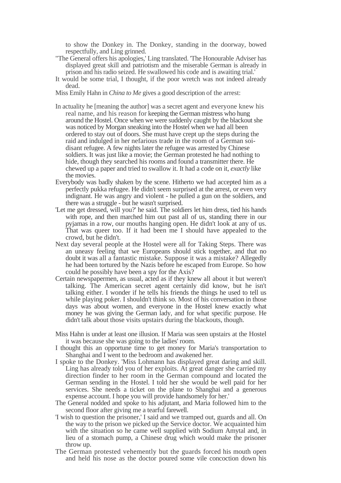to show the Donkey in. The Donkey, standing in the doorway, bowed respectfully, and Ling grinned.

- "The General offers his apologies,' Ling translated. 'The Honourable Adviser has displayed great skill and patriotism and the miserable German is already in prison and his radio seized. He swallowed his code and is awaiting trial.'
- It would be some trial, I thought, if the poor wretch was not indeed already dead.

Miss Emily Hahn in *China to Me* gives a good description of the arrest:

- In actuality he [meaning the author] was a secret agent and everyone knew his real name, and his reason for keeping the German mistress who hung around the Hostel. Once when we were suddenly caught by the blackout she was noticed by Morgan sneaking into the Hostel when we had all been ordered to stay out of doors. She must have crept up the steps during the raid and indulged in her nefarious trade in the room of a German soidisant refugee. A few nights later the refugee was arrested by Chinese soldiers. It was just like a movie; the German protested he had nothing to hide, though they searched his rooms and found a transmitter there. He chewed up a paper and tried to swallow it. It had a code on it, *exactly* like the movies.
- Everybody was badly shaken by the scene. Hitherto we had accepted him as a perfectly pukka refugee. He didn't seem surprised at the arrest, or even very indignant. He was angry and violent - he pulled a gun on the soldiers, and there was a struggle - but he wasn't surprised.
- 'Let me get dressed, will you?' he said. The soldiers let him dress, tied his hands with rope, and then marched him out past all of us, standing there in our pyjamas in a row, our mouths hanging open. He didn't look at any of us. That was queer too. If it had been me I should have appealed to the crowd, but he didn't.
- Next day several people at the Hostel were all for Taking Steps. There was an uneasy feeling that we Europeans should stick together, and that no doubt it was all a fantastic mistake. Suppose it was a mistake? Allegedly he had been tortured by the Nazis before he escaped from Europe. So how could he possibly have been a spy for the Axis?
- Certain newspapermen, as usual, acted as if they knew all about it but weren't talking. The American secret agent certainly did know, but he isn't talking either. I wonder if he tells his friends the things he used to tell us while playing poker. I shouldn't think so. Most of his conversation in those days was about women, and everyone in the Hostel knew exactly what money he was giving the German lady, and for what specific purpose. He didn't talk about those visits upstairs during the blackouts, though.
- Miss Hahn is under at least one illusion. If Maria was seen upstairs at the Hostel it was because she was going to the ladies' room.
- I thought this an opportune time to get money for Maria's transportation to Shanghai and I went to the bedroom and awakened her.
- I spoke to the Donkey. 'Miss Lohmann has displayed great daring and skill. Ling has already told you of her exploits. At great danger she carried my direction finder to her room in the German compound and located the German sending in the Hostel. I told her she would be well paid for her services. She needs a ticket on the plane to Shanghai and a generous expense account. I hope you will provide handsomely for her.'
- The General nodded and spoke to his adjutant, and Maria followed him to the second floor after giving me a tearful farewell.
- 'I wish to question the prisoner,' I said and we tramped out, guards and all. On the way to the prison we picked up the Service doctor. We acquainted him with the situation so he came well supplied with Sodium Amytal and, in lieu of a stomach pump, a Chinese drug which would make the prisoner throw up.
- The German protested vehemently but the guards forced his mouth open and held his nose as the doctor poured some vile concoction down his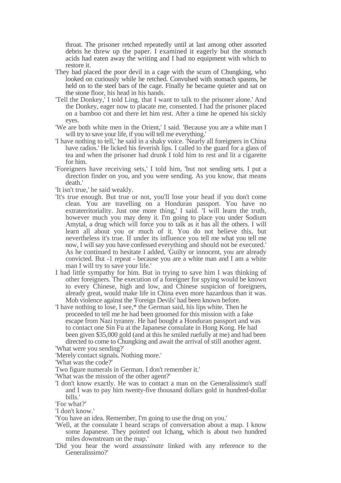throat. The prisoner retched repeatedly until at last among other assorted debris he threw up the paper. I examined it eagerly but the stomach acids had eaten away the writing and I had no equipment with which to restore it.

- They had placed the poor devil in a cage with the scum of Chungking, who looked on curiously while he retched. Convulsed with stomach spasms, he held on to the steel bars of the cage. Finally he became quieter and sat on the stone floor, his head in his hands.
- 'Tell the Donkey,' I told Ling, that I want to talk to the prisoner alone.' And the Donkey, eager now to placate me, consented. I had the prisoner placed on a bamboo cot and there let him rest. After a time he opened his sickly eyes.
- 'We are both white men in the Orient,' I said. 'Because you are a white man I will try to save your life, if you will tell me everything.'
- 'I have nothing to tell,' he said in a shaky voice. 'Nearly all foreigners in China have radios.' He licked his feverish lips. I called to the guard for a glass of tea and when the prisoner had drunk I told him to rest and lit a cigarette for him.
- 'Foreigners have receiving sets,' I told him, 'but not sending sets. I put a direction finder on you, and you were sending. As you know, that means death.'
- 'It isn't true,' he said weakly.
- 'It's true enough. But true or not, you'll lose your head if you don't come clean. You are travelling on a Honduran passport. You have no extraterritoriality. Just one more thing,' I said. 'I will learn the truth, however much you may deny it. I'm going to place you under Sodium Amytal, a drug which will force you to talk as it has all the others. I will learn all about you or much of it. You do not believe this, but nevertheless it's true. If under its influence you tell me what you tell me now, I will say you have confessed everything and should not be executed.' As he continued to hesitate I added, 'Guilty or innocent, you are already convicted. But -1 repeat - because you are a white man and I am a white man I will try to save your life.'
- I had little sympathy for him. But in trying to save him I was thinking of other foreigners. The execution of a foreigner for spying would be known to every Chinese, high and low, and Chinese suspicion of foreigners, already great, would make life in China even more hazardous than it was. Mob violence against the 'Foreign Devils' had been known before.
- 'I have nothing to lose, I see,\* the German said, his lips white. Then he proceeded to tell me he had been groomed for this mission with a fake escape from Nazi tyranny. He had bought a Honduran passport and was to contact one Sin Fu at the Japanese consulate in Hong Kong. He had been given \$35,000 gold (and at this he smiled ruefully at me) and had been directed to come to Chungking and await the arrival of still another agent.
- 'What were you sending?'

'Merely contact signals. Nothing more.'

'What was the code?'

- Two figure numerals in German. I don't remember it.'
- 'What was the mission of the other agent?'
- 'I don't know exactly. He was to contact a man on the Generalissimo's staff and I was to pay him twenty-five thousand dollars gold in hundred-dollar bills.'

'For what?'

'I don't know.'

- 'You have an idea. Remember, I'm going to use the drug on you.'
- 'Well, at the consulate I heard scraps of conversation about a map. I know some Japanese. They pointed out Ichang, which is about two hundred miles downstream on the map.'
- 'Did you hear the word *assassinate* linked with any reference to the Generalissimo?'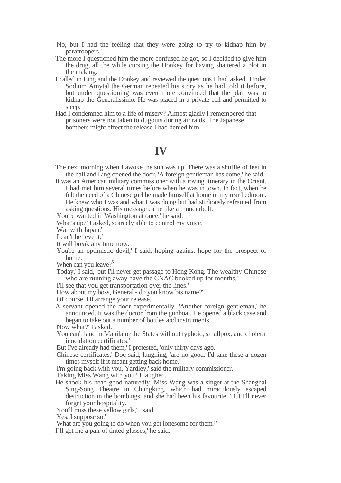'No, but I had the feeling that they were going to try to kidnap him by paratroopers.'

The more I questioned him the more confused he got, so I decided to give him the drug, all the while cursing the Donkey for having shattered a plot in the making.

- I called in Ling and the Donkey and reviewed the questions I had asked. Under Sodium Amytal the German repeated his story as he had told it before, but under questioning was even more convinced that the plan was to kidnap the Generalissimo. He was placed in a private cell and permitted to sleep.
- Had I condemned him to a life of misery? Almost gladly I remembered that prisoners were not taken to dugouts during air raids. The Japanese bombers might effect the release I had denied him.

## **IV**

It was an American military commissioner with a roving itinerary in the Orient. I had met him several times before when he was in town. In fact, when he felt the need of a Chinese girl he made himself at home in my rear bedroom. He knew who I was and what I was doing but had studiously refrained from asking questions. His message came like a thunderbolt.

'You're wanted in Washington at once,' he said.

- 'What's up?' I asked, scarcely able to control my voice.
- 'War with Japan.'
- 'I can't believe it.'
- 'It will break any time now.'
- 'You're an optimistic devil,' I said, hoping against hope for the prospect of home.
- 'When can you leave?<sup>5</sup>

'Today,' I said, 'but I'll never get passage to Hong Kong. The wealthy Chinese who are running away have the CNAC booked up for months.'

- 'I'll see that you get transportation over the lines.'
- 'How about my boss, General do you know bis name?'
- 'Of course. I'll arrange your release.'

A servant opened the door experimentally. 'Another foreign gentleman,' he announced. It was the doctor from the gunboat. He opened a black case and began to take out a number of bottles and instruments.

'Now what?' Tasked.

'You can't land in Manila or the States without typhoid, smallpox, and cholera inoculation certificates.'

'But I've already had them,' I protested, 'only thirty days ago.'

'Chinese certificates,' Doc said, laughing, 'are no good. I'd take these a dozen times myself if it meant getting back home.'

'I'm going back with you, Yardley,' said the military commissioner.

'Taking Miss Wang with you? I laughed.

He shook his head good-naturedly. Miss Wang was a singer at the Shanghai Sing-Song Theatre in Chungking, which had miraculously escaped destruction in the bombings, and she had been his favourite. 'But I'll never forget your hospitality.'

'You'll miss these yellow girls,' I said.

'Yes, I suppose so.'

- 'What are you going to do when you get lonesome for them?'
- I'll get me a pair of tinted glasses,' he said.

The next morning when I awoke the sun was up. There was a shuffle of feet in the hall and Ling opened the door. 'A foreign gentleman has come,' he said.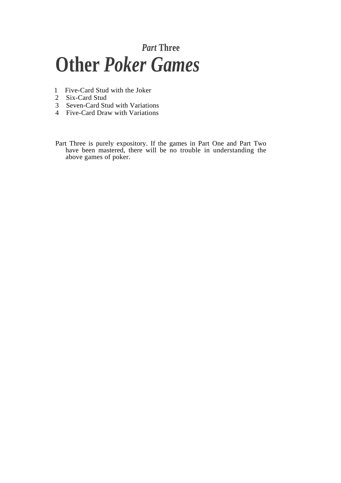# *Part* **Three Other** *Poker Games*

- 1 Five-Card Stud with the Joker<br>2 Six-Card Stud
- Six-Card Stud
- 3 Seven-Card Stud with Variations
- 4 Five-Card Draw with Variations
- Part Three is purely expository. If the games in Part One and Part Two have been mastered, there will be no trouble in understanding the above games of poker.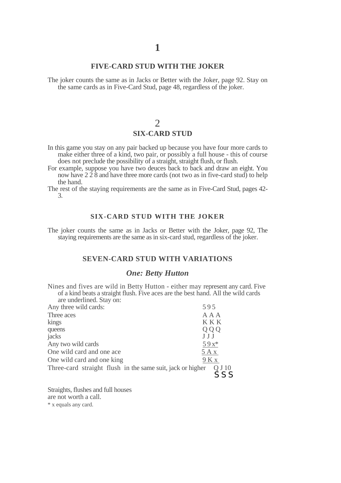## **FIVE-CARD STUD WITH THE JOKER**

The joker counts the same as in Jacks or Better with the Joker, page 92. Stay on the same cards as in Five-Card Stud, page 48, regardless of the joker.

## $\mathcal{D}$ **SIX-CARD STUD**

- In this game you stay on any pair backed up because you have four more cards to make either three of a kind, two pair, or possibly a full house - this of course does not preclude the possibility of a straight, straight flush, or flush.
- For example, suppose you have two deuces back to back and draw an eight. You now have 2 2 8 and have three more cards (not two as in five-card stud) to help the hand.
- The rest of the staying requirements are the same as in Five-Card Stud, pages 42- 3.

## **SIX-CARD STUD WITH THE JOKER**

The joker counts the same as in Jacks or Better with the Joker, page 92, The staying requirements are the same as in six-card stud, regardless of the joker.

## **SEVEN-CARD STUD WITH VARIATIONS**

## *One: Betty Hutton*

Nines and fives are wild in Betty Hutton - either may represent any card. Five of a kind beats a straight flush. Five aces are the best hand. All the wild cards are underlined. Stay on:

| Any three wild cards:                                      | 595           |
|------------------------------------------------------------|---------------|
| Three aces                                                 | A A A         |
| kings                                                      | <b>KKK</b>    |
| queens                                                     | QQQ           |
| jacks                                                      | JJJ           |
| Any two wild cards                                         | $59x*$        |
| One wild card and one ace                                  | 5A x          |
| One wild card and one king                                 | 9 K x         |
| Three-card straight flush in the same suit, jack or higher | O J 10<br>SSS |
|                                                            |               |

Straights, flushes and full houses are not worth a call. \* x equals any card.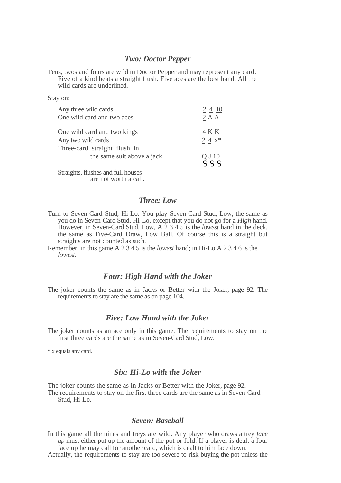## *Two: Doctor Pepper*

Tens, twos and fours are wild in Doctor Pepper and may represent any card. Five of a kind beats a straight flush. Five aces are the best hand. All the wild cards are underlined.

| ~~~~ ;                                                                            |                                         |
|-----------------------------------------------------------------------------------|-----------------------------------------|
| Any three wild cards<br>One wild card and two aces                                | $2 \underline{4} \underline{10}$<br>2AA |
| One wild card and two kings<br>Any two wild cards<br>Three-card straight flush in | <b>4 K K</b><br>$24x*$                  |
| the same suit above a jack                                                        | Q J 10<br><b>SSS</b>                    |
| $\Omega_{\rm{max}}$ : 1.4. $\Omega_{\rm{max}}$ 1. 1. $\Omega_{\rm{min}}$ 1.       |                                         |

Straights, flushes and full houses are not worth a call.

Stay on:

## *Three: Low*

Turn to Seven-Card Stud, Hi-Lo. You play Seven-Card Stud, Low, the same as you do in Seven-Card Stud, Hi-Lo, except that you do not go for a *High* hand. However, in Seven-Card Stud, Low, A 2 3 4 5 is the *lowest* hand in the deck, the same as Five-Card Draw, Low Ball. Of course this is a straight but straights are not counted as such.

Remember, in this game A 2 3 4 5 is the *lowest* hand; in Hi-Lo A 2 3 4 6 is the *lowest.*

## *Four: High Hand with the Joker*

The joker counts the same as in Jacks or Better with the Joker, page 92. The requirements to stay are the same as on page 104.

## *Five: Low Hand with the Joker*

The joker counts as an ace only in this game. The requirements to stay on the first three cards are the same as in Seven-Card Stud, Low.

\* x equals any card.

## *Six: Hi-Lo with the Joker*

The joker counts the same as in Jacks or Better with the Joker, page 92. The requirements to stay on the first three cards are the same as in Seven-Card Stud, Hi-Lo.

## *Seven: Baseball*

- In this game all the nines and treys are wild. Any player who draws a trey *face up* must either put up the amount of the pot or fold. If a player is dealt a four face up he may call for another card, which is dealt to him face down.
- Actually, the requirements to stay are too severe to risk buying the pot unless the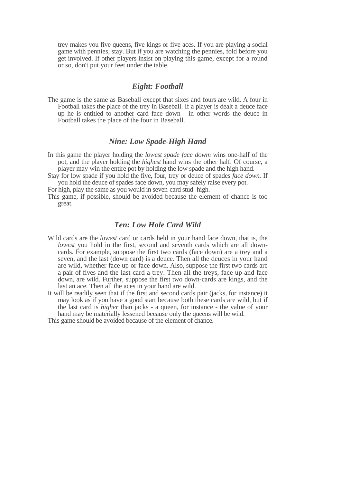trey makes you five queens, five kings or five aces. If you are playing a social game with pennies, stay. But if you are watching the pennies, fold before you get involved. If other players insist on playing this game, except for a round or so, don't put your feet under the table.

## *Eight: Football*

The game is the same as Baseball except that sixes and fours are wild. A four in Football takes the place of the trey in Baseball. If a player is dealt a deuce face up he is entitled to another card face down - in other words the deuce in Football takes the place of the four in Baseball.

## *Nine: Low Spade-High Hand*

- In this game the player holding the *lowest spade face dowm* wins one-half of the pot, and the player holding the *highest* hand wins the other half. Of course, a player may win the entire pot by holding the low spade and the high hand.
- Stay for low spade if you hold the five, four, trey or deuce of spades *face down.* If you hold the deuce of spades face down, you may safely raise every pot.

For high, play the same as you would in seven-card stud -high.

This game, if possible, should be avoided because the element of chance is too great.

## *Ten: Low Hole Card Wild*

- Wild cards are the *lowest* card or cards held in your hand face down, that is, the *lowest* you hold in the first, second and seventh cards which are all downcards. For example, suppose the first two cards (face down) are a trey and a seven, and the last (down card) is a deuce. Then all the deuces in your hand are wild, whether face up or face down. Also, suppose the first two cards are a pair of fives and the last card a trey. Then all the treys, face up and face down, are wild. Further, suppose the first two down-cards are kings, and the last an ace. Then all the aces in your hand are wild.
- It will be readily seen that if the first and second cards pair (jacks, for instance) it may look as if you have a good start because both these cards are wild, but if the last card is *higher* than jacks - a queen, for instance - the value of your hand may be materially lessened because only the queens will be wild.

This game should be avoided because of the element of chance.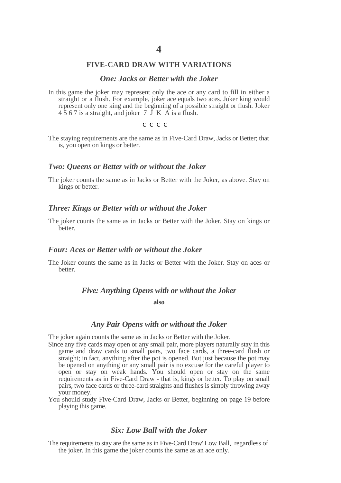## **FIVE-CARD DRAW WITH VARIATIONS**

## *One: Jacks or Better with the Joker*

In this game the joker may represent only the ace or any card to fill in either a straight or a flush. For example, joker ace equals two aces. Joker king would represent only one king and the beginning of a possible straight or flush. Joker 4 5 6 7 is a straight, and joker 7 J K A is a flush.

#### c c c c

The staying requirements are the same as in Five-Card Draw, Jacks or Better; that is, you open on kings or better.

## *Two: Queens or Better with or without the Joker*

The joker counts the same as in Jacks or Better with the Joker, as above. Stay on kings or better.

## *Three: Kings or Better with or without the Joker*

The joker counts the same as in Jacks or Better with the Joker. Stay on kings or better.

## *Four: Aces or Better with or without the Joker*

The Joker counts the same as in Jacks or Better with the Joker. Stay on aces or better.

## *Five: Anything Opens with or without the Joker*

**also** 

## *Any Pair Opens with or without the Joker*

The joker again counts the same as in Jacks or Better with the Joker.

- Since any five cards may open or any small pair, more players naturally stay in this game and draw cards to small pairs, two face cards, a three-card flush or straight; in fact, anything after the pot is opened. But just because the pot may be opened on anything or any small pair is no excuse for the careful player to open or stay on weak hands. You should open or stay on the same requirements as in Five-Card Draw - that is, kings or better. To play on small pairs, two face cards or three-card straights and flushes is simply throwing away your money.
- You should study Five-Card Draw, Jacks or Better, beginning on page 19 before playing this game.

## *Six: Low Ball with the Joker*

The requirements to stay are the same as in Five-Card Draw' Low Ball, regardless of the joker. In this game the joker counts the same as an ace only.